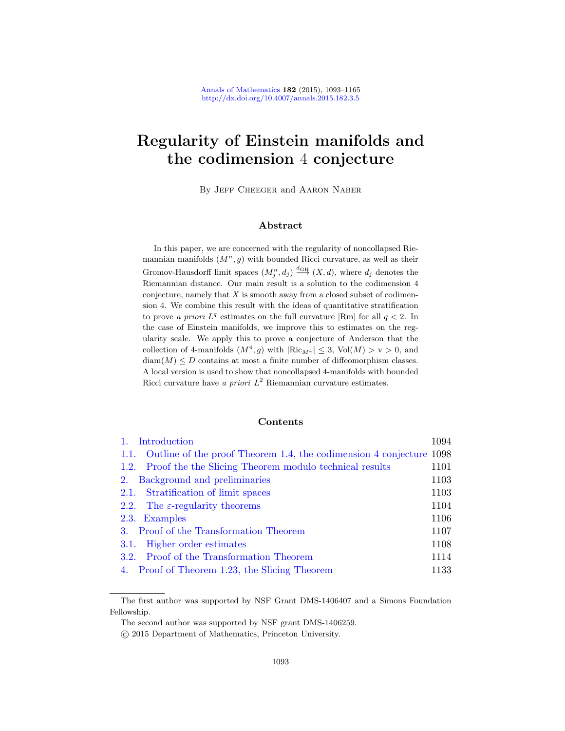# Regularity of Einstein manifolds and the codimension 4 conjecture

By Jeff Cheeger and Aaron Naber

#### Abstract

In this paper, we are concerned with the regularity of noncollapsed Riemannian manifolds  $(M^n, g)$  with bounded Ricci curvature, as well as their Gromov-Hausdorff limit spaces  $(M_j^n, d_j) \stackrel{d_{GH}}{\longrightarrow} (X, d)$ , where  $d_j$  denotes the Riemannian distance. Our main result is a solution to the codimension 4 conjecture, namely that  $X$  is smooth away from a closed subset of codimension 4. We combine this result with the ideas of quantitative stratification to prove a priori  $L^q$  estimates on the full curvature  $|\text{Rm}|$  for all  $q < 2$ . In the case of Einstein manifolds, we improve this to estimates on the regularity scale. We apply this to prove a conjecture of Anderson that the collection of 4-manifolds  $(M^4, g)$  with  $|\text{Ric}_{M^4}| \leq 3$ , Vol $(M) > v > 0$ , and  $diam(M) \leq D$  contains at most a finite number of diffeomorphism classes. [A local version is used to show that noncollapsed 4](#page-4-0)-manifolds with bounded [Ricci curvature have](#page-8-0) a priori  $L^2$  Riemannian curvature estimates.

### Contents

| Introduction                                                             | 1094 |
|--------------------------------------------------------------------------|------|
| 1.1. Outline of the proof Theorem 1.4, the codimension 4 conjecture 1098 |      |
| 1.2. Proof the the Slicing Theorem modulo technical results              | 1101 |
| Background and preliminaries<br>2.                                       | 1103 |
| 2.1. Stratification of limit spaces                                      | 1103 |
| 2.2. The $\varepsilon$ -regularity theorems                              | 1104 |
| 2.3. Examples                                                            | 1106 |
| 3. Proof of the Transformation Theorem                                   | 1107 |
| 3.1. Higher order estimates                                              | 1108 |
| 3.2. Proof of the Transformation Theorem                                 | 1114 |
| 4. Proof of Theorem 1.23, the Slicing Theorem                            | 1133 |

The first author was supported by NSF Grant DMS-1406407 and a Simons Foundation Fellowship.

The second author was supported by NSF grant DMS-1406259.

c 2015 Department of Mathematics, Princeton University.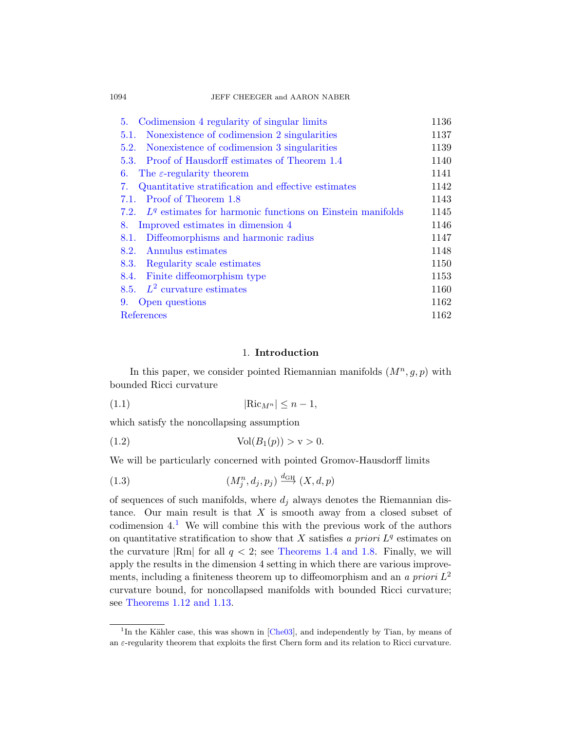[1094](#page-48-0) JEFF CHEEGER and AARON NABER

| Codimension 4 regularity of singular limits<br>5.                | 1136 |
|------------------------------------------------------------------|------|
| Nonexistence of codimension 2 singularities<br>5.1.              | 1137 |
| Nonexistence of codimension 3 singularities<br>5.2.              | 1139 |
| Proof of Hausdorff estimates of Theorem 1.4<br>5.3.              | 1140 |
| The $\varepsilon$ -regularity theorem<br>6.                      | 1141 |
| Quantitative stratification and effective estimates<br>7.        | 1142 |
| Proof of Theorem 1.8<br>7.1.                                     | 1143 |
| 7.2. $Lq$ estimates for harmonic functions on Einstein manifolds | 1145 |
| Improved estimates in dimension 4<br>8.                          | 1146 |
| Diffeomorphisms and harmonic radius<br>8.1.                      | 1147 |
| Annulus estimates<br>8.2.                                        | 1148 |
| 8.3.<br>Regularity scale estimates                               | 1150 |
| 8.4.<br>Finite diffeomorphism type                               | 1153 |
| 8.5. $L^2$ curvature estimates                                   | 1160 |
| Open questions<br>9.                                             | 1162 |
| References                                                       | 1162 |
|                                                                  |      |

## 1. Introduction

<span id="page-1-0"></span>In this paper, we consider pointed Riemannian manifolds  $(M^n, g, p)$  with bounded Ricci curvature

<span id="page-1-1"></span>
$$
(1.1) \t\t\t |{\text{Ric}}_{M^n}| \le n - 1,
$$

which satisfy the noncollapsing assumption

(1.2) 
$$
Vol(B_1(p)) > v > 0.
$$

We will be particularly concerned with pointed Gromov-Hausdorff limits

(1.3) 
$$
(M_j^n, d_j, p_j) \xrightarrow{d_{\text{GH}}} (X, d, p)
$$

of sequences of such manifolds, where  $d_i$  always denotes the Riemannian distance. Our main result is that  $X$  is smooth away from a closed subset of [codim](#page-3-1)ension  $4<sup>1</sup>$  We will combine this with the previous work of the authors on quantitative stratification to show that X satisfies a priori  $L<sup>q</sup>$  estimates on the curvature  $\text{Rm}$  $\text{Rm}$  $\text{Rm}$  for all  $q < 2$ ; see Theorems 1.4 and 1.8. Finally, we will apply the results in the dimension 4 setting in which there are various improvements, including a finiteness theorem up to diffeomorphism and an a priori  $L^2$ curvature bound, for noncollapsed manifolds with bounded Ricci curvature; see Theorems 1.12 and 1.13.

<sup>&</sup>lt;sup>1</sup>In the Kähler case, this was shown in  $[Che03]$ , and independently by Tian, by means of an  $\varepsilon$ -regularity theorem that exploits the first Chern form and its relation to Ricci curvature.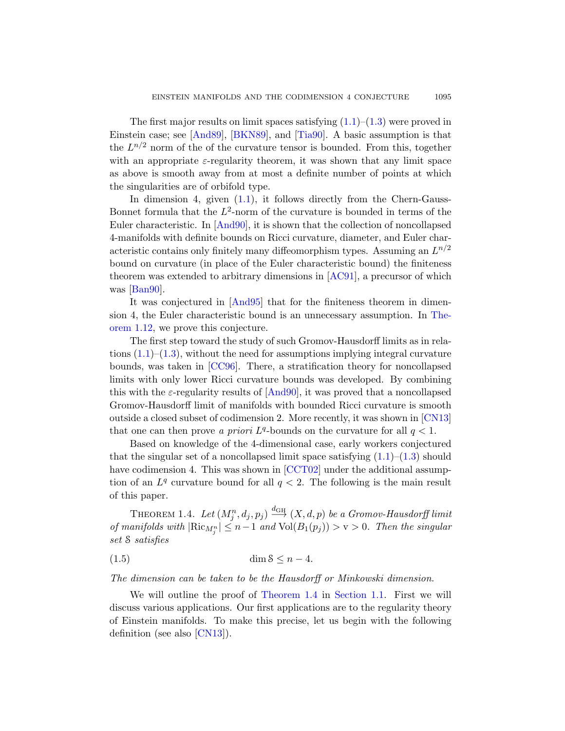[The fi](#page-1-0)rst major results on limit spaces satisfying  $(1.1)$ – $(1.3)$  were proved in Einstein case; see [And89], [BKN89], and [Tia90]. A basic assumption is that the  $L^{n/2}$  $L^{n/2}$  $L^{n/2}$  norm of the of the curvature tensor is bounded. From this, together with an appropriate  $\varepsilon$ -regularity theorem, it was shown that any limit space as above is smooth away from at most a definite number of points at which the singularities are of orbifold type.

In dimension 4, given  $(1.1)$ , it follows directly from the Chern-Gauss-Bonnet formula that the  $L^2$ -norm of the curvature is bounded in terms of the Eul[er chara](#page-70-3)cteristic. In [And90], it is shown that the collection of noncollapsed 4-manifolds with definite bounds on Ricci curvatu[re, dia](#page-3-2)meter, and Euler characteristic contains only finitely many diffeomorphism types. Assuming an  $L^{n/2}$ bound on curvature (in place of the Euler characteristic bound) the finiteness theorem was extended to arbitrary dimensions in [AC91], a precursor of which [was \[B](#page-70-4)an90].

It was conjectured in [And95] that for the finiteness theorem in dimension 4, the [Euler ch](#page-70-1)aracteristic bound is an unnecessary assumption. In Theorem 1.12, we prove this conjecture.

The first step toward the study of such Gro[mov-Ha](#page-71-0)usdorff limits as in relations  $(1.1)$ – $(1.3)$ , without the need for assumptions implying integral curvature bounds, was taken in [CC96]. There, a stratification theory for noncollapsed limits with only lower Ricci curvatur[e bo](#page-1-0)u[nds](#page-1-1) was developed. By combining this with the  $\varepsilon$ -r[egularity](#page-70-5) results of  $[And90]$ , it was proved that a noncollapsed Gromov-Hausdorff limit of manifolds with bounded Ricci curvature is smooth outside a closed subset of codimension 2. More recently, it was shown in [CN13] that one can then prove a priori  $L^q$ -bounds on the curvature for all  $q < 1$ .

<span id="page-2-0"></span>Based on knowledge of the 4-dimensional case, early workers conjectured that the singular set of a noncollapsed limit space satisfying  $(1.1)$ – $(1.3)$  should have codimension 4. This was shown in [CCT02] under the additional assumption of an  $L^q$  curvature bound for all  $q < 2$ . The following is the main result of this paper.

THEOREM 1.4. Let  $(M_j^n, d_j, p_j) \stackrel{d_{\text{GH}}}{\longrightarrow} (X, d, p)$  be a Gromov-Hausdorff limit of manifolds with  $|\text{Ric}_{M_j^n}| \leq n-1$  and  $\text{Vol}(B_1(p_j)) > \text{v} > 0$ . Then the singular set S satisfies

[\(1.5](#page-71-0)) dim S ≤ n − 4.

The dimension can be taken to be the Hausdorff or Minkowski dimension.

We will outline the proof of Theorem 1.4 in Section 1.1. First we will discuss various applications. Our first applications are to the regularity theory of Einstein manifolds. To make this precise, let us begin with the following definition (see also [CN13]).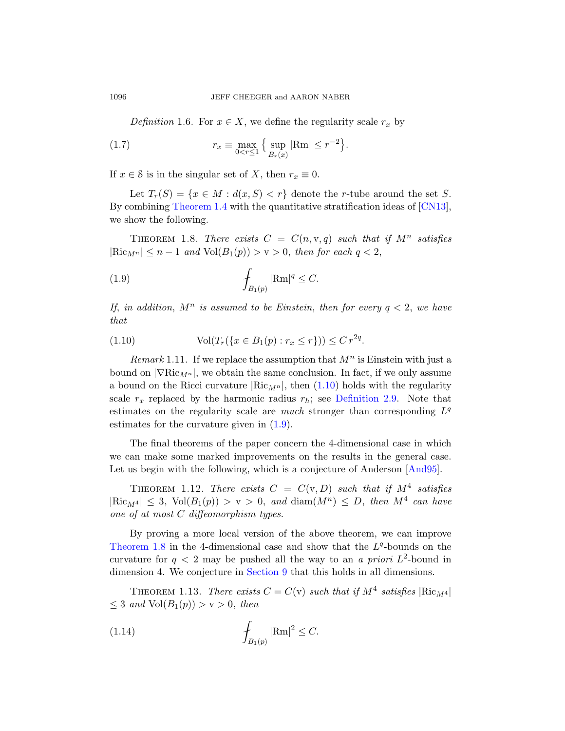Definition 1.6. For  $x \in X$ , we define the r[egularit](#page-71-0)y scale  $r_x$  by

<span id="page-3-0"></span>(1.7) 
$$
r_x \equiv \max_{0 < r \le 1} \left\{ \sup_{B_r(x)} |\text{Rm}| \le r^{-2} \right\}.
$$

If  $x \in \mathcal{S}$  is in the singular set of X, then  $r_x \equiv 0$ .

<span id="page-3-4"></span>Let  $T_r(S) = \{x \in M : d(x, S) < r\}$  denote the r-tube around the set S. By combining Theorem 1.4 with the quantitative stratification ideas of [CN13], we show the following.

<span id="page-3-3"></span>THEOREM 1.8. There exists  $C = C(n, v, q)$  such that if  $M<sup>n</sup>$  satisfies  $|\text{Ric}_{M^n}| \leq n-1$  and  $\text{Vol}(B_1(p)) > v > 0$ , then for each  $q < 2$ ,

$$
(1.9) \qquad \qquad \int_{B_1(p)} |\text{Rm}|^q \leq C.
$$

If, in addition,  $M^n$  is [assum](#page-3-3)ed to be Einstein, then for every  $q < 2$ , we have that

(1.10) 
$$
\text{Vol}(T_r(\{x \in B_1(p) : r_x \le r\})) \le C r^{2q}.
$$

Remark 1.11. If we replace the assumption that  $M<sup>n</sup>$  is Einstein with just a bound on  $|\nabla \text{Ric}_{M^n}|$ , we obtain the same conclusion. In fact, if we only assume a bound on the Ricci curvature  $\left|\operatorname{Ric}_{M^{n}}\right|$ , then  $(1.10)$  holds with the regularity scale  $r_x$  replaced by the harmonic radius  $r_h$ ; see Definition 2.9. Note that estimates on the regularity scale are *much* stronger than corresponding  $L^q$ estimates for the curvature given in (1.9).

<span id="page-3-2"></span>The final theorems of the paper concern the 4-dimensional case in which we can make some marked improvements on the results in the general case. Let us begin with the following, which is a conjecture of Anderson [And95].

<span id="page-3-1"></span>THEOREM 1.12. There exists  $C = C(v, D)$  such that if  $M<sup>4</sup>$  satisfies  $|\text{Ric}_{M^4}| \leq 3$ ,  $\text{Vol}(B_1(p)) > v > 0$ , and  $\text{diam}(M^n) \leq D$ , then  $M^4$  can have one of at most C diffeomorphism types.

By proving a more local version of the above theorem, we can improve Theorem 1.8 in the 4-dimensional case and show that the  $L<sup>q</sup>$ -bounds on the curvature for  $q < 2$  may be pushed all the way to an a priori  $L^2$ -bound in dimension 4. We conjecture in Section 9 that this holds in all dimensions.

THEOREM 1.13. There exists  $C = C(v)$  such that if  $M^4$  satisfies  $|\text{Ric}_{M^4}|$  $\leq 3$  and  $Vol(B_1(p)) > v > 0$ , then

(1.14) 
$$
\int_{B_1(p)} |\text{Rm}|^2 \leq C.
$$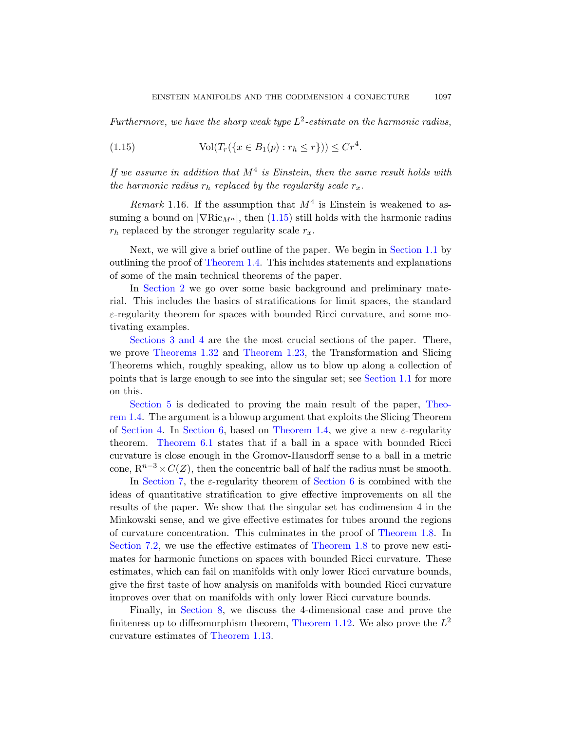Furthermore, we have the sharp weak type  $L^2$ -estimate on the harmonic radius,

(1.15) 
$$
\text{Vol}(T_r(\{x \in B_1(p) : r_h \le r\})) \le Cr^4.
$$

If we assume in addition that  $M^4$  is Einstein, [then](#page-4-0) the same result holds with [the harmon](#page-2-0)ic radius  $r_h$  replaced by the regularity scale  $r_x$ .

Remark 1.16. If the assumption that  $M<sup>4</sup>$  is Einstein is weakened to assuming a bound on  $|\nabla \text{Ric}_{M^n}|$ , then (1.15) still holds with the harmonic radius  $r_h$  replaced by the stronger regularity scale  $r_x$ .

Next, we will give a brief outline of the paper. We begin in Section 1.1 by outlining the proof of Theorem 1.4. This includes statements and explanations [of](#page-8-1) som[e of the main t](#page-7-0)echnical theorems of the paper.

In Section 2 we go over some basic background and preliminary material. This includes the basics ofs[tratifications](#page-4-0) for limit spaces, the standard  $\varepsilon$ -regularity theorem for spaces with bounded R[icci cu](#page-2-0)rvature, and some motivating examples.

Sections 3 and 4 are the the most crucial sections of the paper. There, [we](#page-48-0) prove The[orems 1.32](#page-2-0) and Theorem 1.23, the Transformation and Slicing [T](#page-48-1)heorems which, roughly speaking, allow us to blow up along a collection of points that is large enough to see into the singular set; see Section 1.1 for more on this.

Section 5 is dedic[ated to p](#page-48-0)roving the main result of the paper, Theorem 1.4. The argument is a blowup argument that exploits the Slicing Theorem of Section 4. In Section 6, based on Theorem 1.4, we give a new  $\varepsilon$ -regularity theorem. Theorem 6.1 states that if a ball in a space with bounded Ricci curvature is close enough in the Gro[mov-Hausdorff](#page-3-0) sense to a ball in a metric cone,  $R^{n-3} \times C(Z)$ , th[en the concent](#page-3-0)ric ball of half the radius must be smooth.

In Section 7, the  $\varepsilon$ -regularity theorem of Section 6 is combined with the ideas of quantitative stratification to give effective improvements on all the results of the paper. We show that the singular set has codimension 4 in the Minkowski sense, and we give effective estimates for tubes around the regions [of c](#page-53-0)urvature concentration. This culminates in the proof of Theorem 1.8. In Section 7.2, we u[se the effective](#page-3-2) estimates of Theorem 1.8 to prove new esti[mates for harm](#page-3-1)onic functions on spaces with bounded Ricci curvature. These estimates, which can fail on manifolds with only lower Ricci curvature bounds, give the first taste of how analysis on manifolds with bounded Ricci curvature improves over that on manifolds with only lower Ricci curvature bounds.

<span id="page-4-0"></span>Finally, in Section 8, we discuss the 4-dimensional case and prove the finiteness up to diffeomorphism theorem, Theorem 1.12. We also prove the  $L^2$ curvature estimates of Theorem 1.13.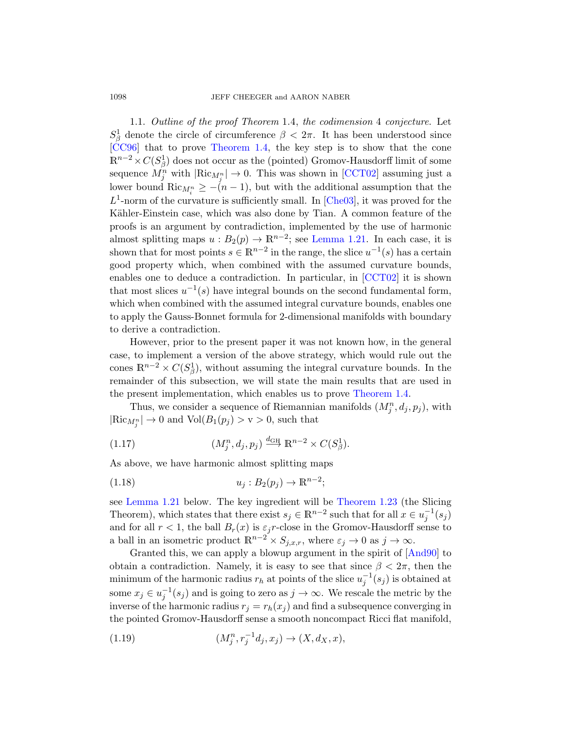1.1. Outline of the p[roof The](#page-70-0)orem 1.4, the codimension 4 conjecture. Let  $S^1_\beta$  denote the circle of circumference  $\beta < 2\pi$ . It has been understood since [CC96] that to prove Theorem 1.4, the key step is to show that the cone  $\mathbb{R}^{n-2} \times C(S^1_\beta)$  does no[t occur as the](#page-6-0) (pointed) Gromov-Hausdorff limit of some sequence  $M_j^n$  with  $|\text{Ric}_{M_j^n}| \to 0$ . This was shown in [CCT02] assuming just a lower bound  $\text{Ric}_{M_i^n} \geq -(n-1)$ , but with the additional assumption that the  $L^1$ -norm of the curvature is sufficie[ntly sma](#page-70-5)ll. In [Che03], it was proved for the Kähler-Einstein case, which was also done by Tian. A common feature of the proofs is an argument by contradiction, implemented by the use of harmonic almost splitting maps  $u : B_2(p) \to \mathbb{R}^{n-2}$ ; see Lemma 1.21. In each case, it is shown that for most points  $s \in \mathbb{R}^{n-2}$  in the range, the slice  $u^{-1}(s)$  has a certain good property which, when combined with the assumed curvature bounds, enables one to deduce a contradiction. In particular, in [CCT02] it is shown that most slices  $u^{-1}(s)$  have integral bounds on the second fundamental form, which when combined with the assumed integral curvature bounds, enables one to apply the Gauss-Bonnet form[ula for 2-dime](#page-2-0)nsional manifolds with boundary to derive a contradiction.

However, prior to the present paper it was not known how, in the general case, to implement a version of the above strategy, which would rule out the cones  $\mathbb{R}^{n-2} \times C(S^1_\beta)$ , without assuming the integral curvature bounds. In the remainder of this subsection, we will state the main results that are used in the present implementation, which enables us to prove Theorem 1.4.

<span id="page-5-0"></span>Thus, we consider a sequence of Riemannian manifolds  $(M_j^n, d_j, p_j)$ , with  $|\text{Ric}_{M_j^n}| \to 0$  and  $\text{Vol}(B_1(p_j) > v > 0$ , such that

(1.17) 
$$
(M_j^n, d_j, p_j) \stackrel{d_{GH}}{\longrightarrow} \mathbb{R}^{n-2} \times C(S_\beta^1).
$$

As above, we have harmonic almost splittin[g maps](#page-70-1)

(1.18) 
$$
u_j: B_2(p_j) \to \mathbb{R}^{n-2}
$$
;

see Lemma 1.21 below. The key ingredient will be Theorem 1.23 (the Slicing Theorem), which states that there exist  $s_j \in \mathbb{R}^{n-2}$  such that for all  $x \in u_j^{-1}(s_j)$ and for all  $r < 1$ , the ball  $B_r(x)$  is  $\varepsilon_j r$ -close in the Gromov-Hausdorff sense to a ball in an isometric product  $\mathbb{R}^{n-2} \times S_{j,x,r}$ , where  $\varepsilon_j \to 0$  as  $j \to \infty$ .

Granted this, we can apply a blowup argument in the spirit of [And90] to obtain a contradiction. Namely, it is easy to see that since  $\beta < 2\pi$ , then the minimum of the harmonic radius  $r_h$  at points of the slice  $u_j^{-1}(s_j)$  is obtained at some  $x_j \in u_j^{-1}(s_j)$  and is going to zero as  $j \to \infty$ . We rescale the metric by the inverse of the harmonic radius  $r_i = r_h(x_i)$  and find a subsequence converging in the pointed Gromov-Hausdorff sense a smooth noncompact Ricci flat manifold,

(1.19) 
$$
(M_j^n, r_j^{-1}d_j, x_j) \to (X, d_X, x),
$$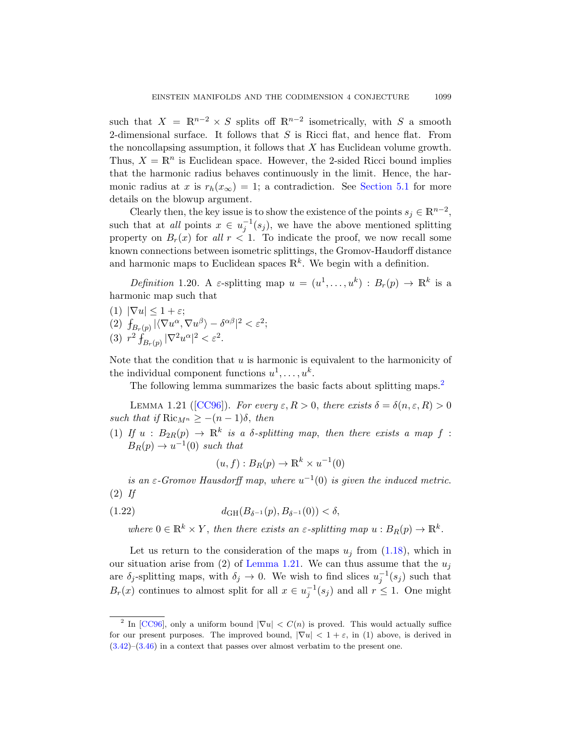such that  $X = \mathbb{R}^{n-2} \times S$  splits off  $\mathbb{R}^{n-2}$  isometrically, with S a smooth 2-dimensional surface. It follows that  $S$  is Ricci flat, and hence flat. From the noncollapsing assumption, it follows that  $X$  has Euclidean volume growth. Thus,  $X = \mathbb{R}^n$  is Euclidean space. However, the 2-sided Ricci bound implies that the harmonic radius behaves continuously in the limit. Hence, the harmonic radius at x is  $r_h(x_\infty) = 1$ ; a contradiction. See Section 5.1 for more details on the blowup argument.

Clearly then, the key issue is to show the existence of the points  $s_j \in \mathbb{R}^{n-2}$ , such that at all points  $x \in u_j^{-1}(s_j)$ , we have the above mentioned splitting property on  $B_r(x)$  for all  $r < 1$ . To indicate the proof, we now recall some known connections between isometric splittings, the Gromov-Haudorff distance and harmonic maps to Euclidean spaces  $\mathbb{R}^k$ . We begin with a definition.

Definition 1.20. A  $\varepsilon$ -splitting map  $u = (u^1, \ldots, u^k) : B_r(p) \to \mathbb{R}^k$  is a harmonic map such that

<span id="page-6-0"></span>(1)  $|\nabla u| \leq 1 + \varepsilon$ ; [\(2\)](#page-70-4)  $\int_{B_r(p)} |\langle \nabla u^{\alpha}, \nabla u^{\beta} \rangle - \delta^{\alpha \beta}|^2 < \varepsilon^2;$ (3)  $r^2 \int_{B_r(p)} |\nabla^2 u^{\alpha}|^2 < \varepsilon^2$ .

Note that the condition that  $u$  is harmonic is equivalent to the harmonicity of the individual component functions  $u^1, \ldots, u^k$ .

The following lemma summarizes the basic facts about splitting maps.<sup>2</sup>

LEMMA 1.21 ( $[CC96]$ ). For every  $\varepsilon, R > 0$ , there exists  $\delta = \delta(n, \varepsilon, R) > 0$ such that if  $\text{Ric}_{M^n} \geq -(n-1)\delta$ , then

(1) If  $u : B_{2R}(p) \to \mathbb{R}^k$  is a  $\delta$ -splitting map, then there exists a map f:  $B_R(p) \to u^{-1}(0)$  such that

$$
(u, f) : B_R(p) \to \mathbb{R}^k \times u^{-1}(0)
$$

is an  $\varepsilon$ [-Gromov H](#page-6-0)ausdorff map, where  $u^{-1}(0)$  is given the induced metric.  $(2)$  If

(1.22) 
$$
d_{GH}(B_{\delta^{-1}}(p), B_{\delta^{-1}}(0)) < \delta,
$$

where  $0 \in \mathbb{R}^k \times Y$ , then there exists an  $\varepsilon$ -splitting map  $u : B_R(p) \to \mathbb{R}^k$ .

Let us return to the consideration of the maps  $u_j$  from (1.18), which in our situation arise from (2) of Lemma 1.21. We can thus assume that the  $u_i$ are  $\delta_j$ -splitting maps, with  $\delta_j \to 0$ . We wish to find slices  $u_j^{-1}(s_j)$  such that  $B_r(x)$  continues to almost split for all  $x \in u_j^{-1}(s_j)$  and all  $r \leq 1$ . One might

<sup>&</sup>lt;sup>2</sup> In [CC96], only a uniform bound  $|\nabla u| < C(n)$  is proved. This would actually suffice for our present purposes. The improved bound,  $|\nabla u| < 1 + \varepsilon$ , in (1) above, is derived in  $(3.42)$ – $(3.46)$  in a context that passes over almost verbatim to the present one.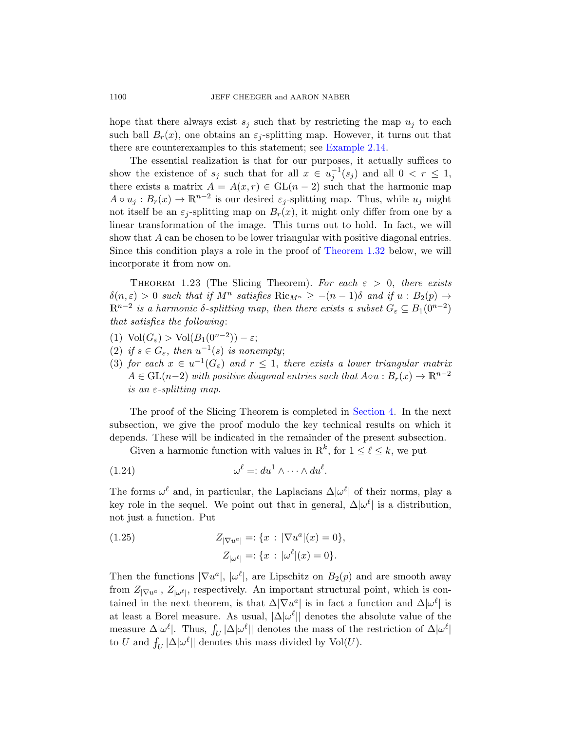hope that there always exist  $s_i$  such that by restricting the map  $u_i$  to each such ball  $B_r(x)$ , one obtains an  $\varepsilon_i$ -splitting map. However, it turns out that there are counterexamples to this statement; see Example 2.14.

<span id="page-7-0"></span>The essential realization is that for our purposes, it actually suffices to show the existence of  $s_j$  [such that for](#page-8-1) all  $x \in u_j^{-1}(s_j)$  and all  $0 < r \leq 1$ , there exists a matrix  $A = A(x, r) \in GL(n-2)$  such that the harmonic map  $A \circ u_j : B_r(x) \to \mathbb{R}^{n-2}$  is our desired  $\varepsilon_j$ -splitting map. Thus, while  $u_j$  might not itself be an  $\varepsilon_i$ -splitting map on  $B_r(x)$ , it might only differ from one by a linear transformation of the image. This turns out to hold. In fact, we will show that A can be chosen to be lower triangular with positive diagonal entries. Since this condition plays a role in the proof of Theorem 1.32 below, we will incorporate it from now on.

THEOREM 1.23 (The Slicing Theorem). For each  $\varepsilon > 0$ , there exists  $\delta(n,\varepsilon) > 0$  such that if  $M^n$  satisfies  $\text{Ric}_{M^n} \ge -(n-1)\delta$  and if  $u : B_2(p) \to$  $\mathbb{R}^{n-2}$  is a harmonic δ-splitting map, then there exists a subset  $G_{\varepsilon} \subseteq B_1(0^{n-2})$ that satisfies the following:

- (1)  $\text{Vol}(G_{\varepsilon}) > \text{Vol}(B_1(0^{n-2})) \varepsilon;$
- (2) if  $s \in G_{\varepsilon}$ , then  $u^{-1}(s)$  is nonempty;
- (3) for each  $x \in u^{-1}(G_{\varepsilon})$  and  $r \leq 1$ , there exists a lower triangular matrix  $A \in GL(n-2)$  with positive diagonal entries such that  $A \circ u : B_r(x) \to \mathbb{R}^{n-2}$ is an  $\varepsilon$ -splitting map.

The proof of the Slicing Theorem is completed in Section 4. In the next subsection, we give the proof modulo the key technical results on which it depends. These will be indicated in the remainder of the present subsection.

Given a harmonic function with values in  $\mathbb{R}^k$ , for  $1 \leq \ell \leq k$ , we put

$$
(1.24) \t\t \t\t \omega^{\ell} =: du^1 \wedge \cdots \wedge du^{\ell}.
$$

The forms  $\omega^{\ell}$  and, in particular, the Laplacians  $\Delta |\omega^{\ell}|$  of their norms, play a key role in the sequel. We point out that in general,  $\Delta |\omega^{\ell}|$  is a distribution, not just a function. Put

(1.25) 
$$
Z_{|\nabla u^a|} =: \{x : |\nabla u^a|(x) = 0\},
$$

$$
Z_{|\omega^e|} =: \{x : |\omega^e|(x) = 0\}.
$$

Then the functions  $|\nabla u^a|, |\omega^b|$ , are Lipschitz on  $B_2(p)$  and are smooth away from  $Z_{|\nabla u^a|}$ ,  $Z_{|\omega^{\ell}|}$ , respectively. An important structural point, which is contained in the next theorem, is that  $\Delta |\nabla u^a|$  is in fact a function and  $\Delta |\omega^{\ell}|$  is at least a Borel measure. As usual,  $|\Delta|\omega^{\ell}|$  denotes the absolute value of the measure  $\Delta |\omega^{\ell}|$ . Thus,  $\int_U |\Delta| \omega^{\ell}||$  denotes the mass of the restriction of  $\Delta |\omega^{\ell}|$ to U and  $f_U |\Delta|\omega^{\ell}||$  denotes this mass divided by  $Vol(U)$ .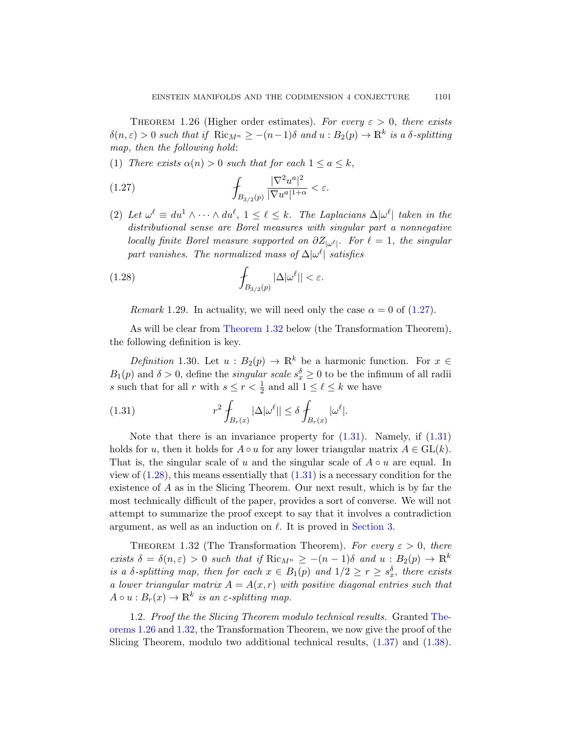<span id="page-8-4"></span><span id="page-8-2"></span>THEOREM 1.26 (Higher order estimates). For every  $\varepsilon > 0$ , there exists  $\delta(n,\varepsilon) > 0$  such that if  $\text{Ric}_{M^n} \ge -(n-1)\delta$  and  $u : B_2(p) \to \mathbb{R}^k$  is a  $\delta$ -splitting map, then the following hold:

(1) There exists  $\alpha(n) > 0$  such that for each  $1 \le a \le k$ ,

(1.27) 
$$
\int_{B_{3/2}(p)} \frac{|\nabla^2 u^a|^2}{|\nabla u^a|^{1+\alpha}} < \varepsilon.
$$

(2) Let  $\omega^{\ell} \equiv du^1 \wedge \cdots \wedge du^{\ell}, \ 1 \leq \ell \leq k$ . The Laplacians  $\Delta |\omega^{\ell}|$  taken in the distributional sense are Borel measures [with s](#page-8-2)ingular part a nonnegative locally finite Borel measure supported on  $\partial Z_{|\omega^{\ell}|}$ . For  $\ell = 1$ , the singular [part vanishes](#page-8-1). The normalized mass of  $\Delta |\omega^{\ell}|$  satisfies

(1.28) 
$$
\int_{B_{3/2}(p)} |\Delta| \omega^{\ell}|| < \varepsilon.
$$

Remark 1.29. In actuality, we will need only the case  $\alpha = 0$  of (1.27).

<span id="page-8-3"></span>As will be clear from Theorem 1.32 below (the Transformation Theorem), the following definition is key.

Definition 1.30. Let  $u : B_2(p) \to \mathbb{R}^k$  $u : B_2(p) \to \mathbb{R}^k$  $u : B_2(p) \to \mathbb{R}^k$  be a [harm](#page-8-3)onic function. For  $x \in$  $B_1(p)$  and  $\delta > 0$ , define the *singular scale*  $s_x^{\delta} \geq 0$  to be the infimum of all radii s such that for all r [wit](#page-8-3)h  $s \le r < \frac{1}{2}$  and all  $1 \le \ell \le k$  we have

(1.31) 
$$
r^2 \int_{B_r(x)} |\Delta| \omega^\ell || \leq \delta \int_{B_r(x)} |\omega^\ell |.
$$

<span id="page-8-1"></span>Note that there is an invariance property for  $(1.31)$ . Namely, if  $(1.31)$ holds for u, then it holds for  $A \circ u$  [for any](#page-14-0) lower triangular matrix  $A \in GL(k)$ . That is, the singular scale of u and the singular scale of  $A \circ u$  are equal. In view of  $(1.28)$ , this means essentially that  $(1.31)$  is a necessary condition for the existence of A as in the Slicing Theorem. Our next result, which is by far the most technically difficult of the paper, provides a sort of converse. We will not attempt to summarize the proof except to say that it involves a contradiction argument, as well as an induction on  $\ell$ . It is proved in Section 3.

<span id="page-8-0"></span>THEOREM 1.32 (The Transformation Theor[em\).](#page-8-4) For every  $\varepsilon > 0$ , there exists  $\delta = \delta(n, \varepsilon) > 0$  such that if  $\text{Ric}_{M^n} \ge -(n-1)\delta$  $\text{Ric}_{M^n} \ge -(n-1)\delta$  $\text{Ric}_{M^n} \ge -(n-1)\delta$  and  $u : B_2(p) \to \mathbb{R}^k$ is a  $\delta$ -splitting map, then for each  $x \in B_1(p)$  and  $1/2 \ge r \ge s_x^{\delta}$ , there exists a lower triangular matrix  $A = A(x, r)$  with positive diagonal entries such that  $A \circ u : B_r(x) \to \mathbb{R}^k$  is an  $\varepsilon$ -splitting map.

1.2. Proof the the Slicing Theorem modulo technical results. Granted Theorems 1.26 and 1.32, the Transformation Theorem, we now give the proof of the Slicing Theorem, modulo two additional technical results, (1.37) and (1.38).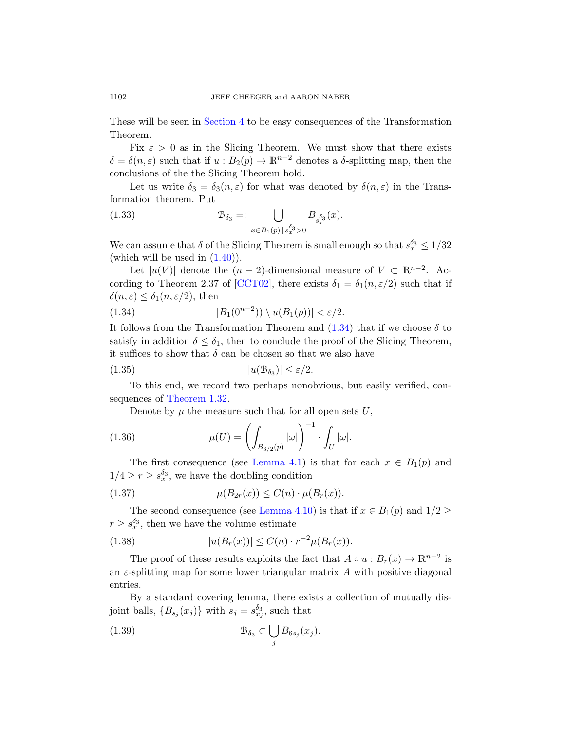These will be seen in Section 4 to be easy consequences of the Transformation Theorem.

Fix  $\varepsilon > 0$  as in the Slicing Theorem. We must show that there exists  $\delta = \delta(n, \varepsilon)$  such that if  $u : B_2(p) \to \mathbb{R}^{n-2}$  denotes a  $\delta$ -splitting map, then the [concl](#page-10-0)usions of the the Slicing Theorem hold.

Let us write  $\delta_3 = \delta_3(n, \varepsilon)$  for what was denoted by  $\delta(n, \varepsilon)$  in the Transform[ation the](#page-70-5)orem. Put

<span id="page-9-2"></span>(1.33) 
$$
\mathcal{B}_{\delta_3} =: \bigcup_{x \in B_1(p) \, | \, s_x^{\delta_3} > 0} B_{s_x^{\delta_3}}(x).
$$

We can assume that  $\delta$  of th[e Slici](#page-9-2)ng Theorem is small enough so that  $s_x^{\delta_3} \leq 1/32$ (which will be used in  $(1.40)$ ).

Let  $|u(V)|$  denote the  $(n-2)$ -dimensional measure of  $V \subset \mathbb{R}^{n-2}$ . According to Theorem 2.37 of [CCT02], there exists  $\delta_1 = \delta_1(n, \varepsilon/2)$  such that if  $\delta(n,\varepsilon) \leq \delta_1(n,\varepsilon/2)$ , then

(1.34) 
$$
|B_1(0^{n-2})\rangle \setminus u(B_1(p))| < \varepsilon/2.
$$

It follows from the Transformation Theorem and  $(1.34)$  that if we choose  $\delta$  to satisfy in addition  $\delta \leq \delta_1$ , then to conclude the proof of the Slicing Theorem, it suffices to show that  $\delta$  can be chosen so that we also have

$$
(1.35) \t |u(\mathcal{B}_{\delta_3})| \le \varepsilon/2.
$$

Tot[his end, we](#page-41-0) record two perhaps nonobvious, but easily verified, consequences of Theorem 1.32.

<span id="page-9-0"></span>Denote by  $\mu$  the measure such that for all open sets U,

(1.36) 
$$
\mu(U) = \left( \int_{B_{3/2}(p)} |\omega| \right)^{-1} \cdot \int_U |\omega|.
$$

<span id="page-9-1"></span>The first consequence (see Lemma 4.1) is that for each  $x \in B_1(p)$  and  $1/4 \ge r \ge s_x^{\delta_3}$ , we have the doubling condition

(1.37) 
$$
\mu(B_{2r}(x)) \le C(n) \cdot \mu(B_r(x)).
$$

The second consequence (see Lemma 4.10) is that if  $x \in B_1(p)$  and  $1/2 \ge$  $r \geq s_x^{\delta_3}$ , then we have the volume estimate

(1.38) 
$$
|u(B_r(x))| \le C(n) \cdot r^{-2} \mu(B_r(x)).
$$

The proof of these results exploits the fact that  $A \circ u : B_r(x) \to \mathbb{R}^{n-2}$  is an  $\varepsilon$ -splitting map for some lower triangular matrix A with positive diagonal entries.

By a standard covering lemma, there exists a collection of mutually disjoint balls,  $\{B_{s_j}(x_j)\}\$  with  $s_j = s_{x_j}^{\delta_3}$ , such that

(1.39) 
$$
\mathcal{B}_{\delta_3} \subset \bigcup_j B_{6s_j}(x_j).
$$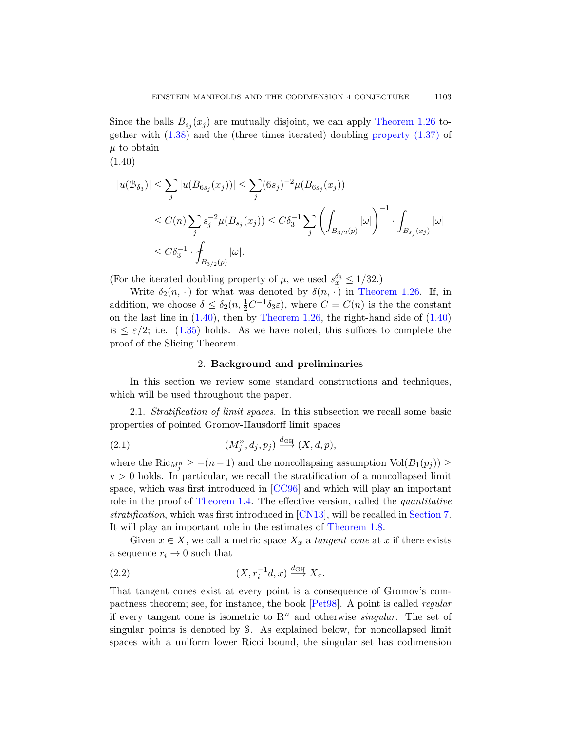<span id="page-10-0"></span>Since the balls  $B_{s_j}(x_j)$  are mutually disjoint, we can apply Theorem 1.26 together with (1.38) and the (three times iterated) doubling property (1.37) of  $\mu$  to obtain

(1.40)

$$
|u(\mathcal{B}_{\delta_3})| \leq \sum_j |u(B_{6s_j}(x_j))| \leq \sum_j (6s_j)^{-2} \mu(B_{6s_j}(x_j))
$$
  
\n
$$
\leq C(n) \sum_j s_j^{-2} \mu(B_{s_j}(x_j)) \leq C\delta_3^{-1} \sum_j \left( \int_{B_{3/2}(p)} |\omega| \right)^{-1} \cdot \int_{B_{s_j}(x_j)} |\omega|
$$
  
\n
$$
\leq C\delta_3^{-1} \cdot \int_{B_{3/2}(p)} |\omega|.
$$

(For the iterated doubling property of  $\mu$ , we used  $s_x^{\delta_3} \leq 1/32$ .)

Write  $\delta_2(n, \cdot)$  for what was denoted by  $\delta(n, \cdot)$  in Theorem 1.26. If, in addition, we choose  $\delta \leq \delta_2(n, \frac{1}{2}C^{-1}\delta_3\varepsilon)$ , where  $C = C(n)$  is the the constant on the last line in  $(1.40)$ , then by Theorem 1.26, the right-hand side of  $(1.40)$ is  $\leq \varepsilon/2$ ; i.e. (1.35) holds. As we have noted, this suffices to complete the proof of the Slicing Theorem.

#### 2. Background and preliminaries

In this section we review some standard constructions and techniques, which will be used throughout the paper.

2.1. Stra[tificatio](#page-70-4)n of limit spaces. In this subsection we recall some basic [properties](#page-2-0) of pointe[d Grom](#page-71-0)ov-Hausdorff limi[t spaces](#page-49-0)

(2.1) 
$$
(M_j^n, d_j, p_j) \stackrel{d_{\text{GH}}}{\longrightarrow} (X, d, p),
$$

where the  $\text{Ric}_{M_j^n} \ge -(n-1)$  and the noncollapsing assumption  $\text{Vol}(B_1(p_j)) \ge$  $v > 0$  holds. In particular, we recall the stratification of a noncollapsed limit space, which was first introduced in [CC96] and which will play an important role in the proof of Theorem 1.4. The effective version, called the *quantitative* stratification, which was first introduced in [CN13], will be recalled in Section 7. It will play an import[ant role](#page-71-1) in the estimates of Theorem 1.8.

Given  $x \in X$ , we call a metric space  $X_x$  a tangent cone at x if there exists a sequence  $r_i \rightarrow 0$  such that

$$
(2.2) \t\t (X, r_i^{-1}d, x) \xrightarrow{d_{GH}} X_x.
$$

That tangent cones exist at every point is a consequence of Gromov's compactness theorem; see, for instance, the book [Pet98]. A point is called regular if every tangent cone is isometric to  $\mathbb{R}^n$  and otherwise *singular*. The set of singular points is denoted by S. As explained below, for noncollapsed limit spaces with a uniform lower Ricci bound, the singular set has codimension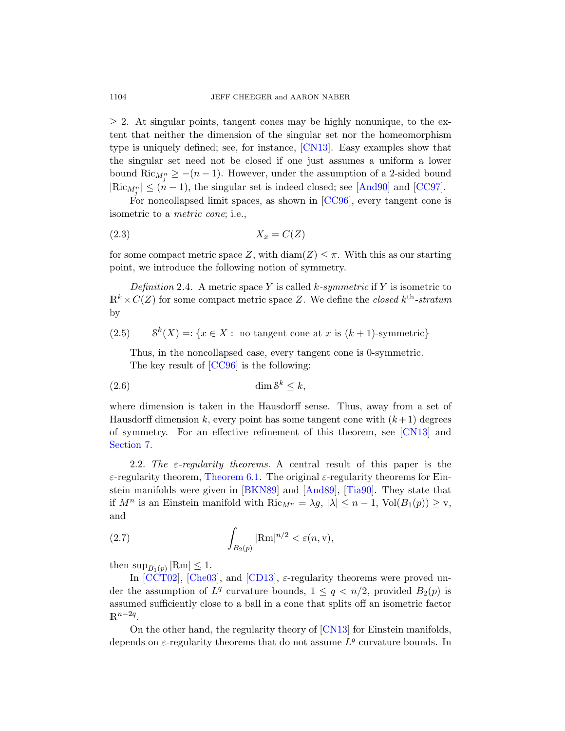$\geq$  2. At singular points, [tangen](#page-70-4)t cones may be highly nonunique, to the extent that neither the dimension of the singular set nor the homeomorphism type is uniquely defined; see, for instance, [CN13]. Easy examples show that the singular set need not be closed if one just assumes a uniform a lower bound  $\text{Ric}_{M_{j}^{n}} \geq -(n-1)$ . However, under the assumption of a 2-sided bound  $|\text{Ric}_{M_j^n}| \leq (n-1)$ , the singular set is indeed closed; see [And90] and [CC97].

For noncollapsed limit spaces, as shown in [CC96], every tangent cone is isometric to a metric cone; i.e.,

$$
(2.3) \t\t X_x = C(Z)
$$

for some compact metric space Z, with  $\text{diam}(Z) \leq \pi$ . With this as our starting point, we introduce the following notion of symmetry.

[D](#page-70-4)efinition 2.4. A metric space Y is called k-symmetric if Y is isometric to  $\mathbb{R}^k \times C(Z)$  for some compact metric space Z. We define the *closed*  $k^{\text{th}}$ -stratum by

(2.5)  $S^k(X) =: \{x \in X : \text{ no tangent cone at } x \text{ is } (k+1) \text{-symmetric}\}\$ 

Thus, in the noncollapsed case, every [tangent](#page-71-0) cone is 0-symmetric. The key result of [CC96] is the following:

dim S k (2.6) ≤ k,

[where](#page-48-1) [dimensio](#page-70-6)n ist[aken in](#page-69-1) [the Hau](#page-72-0)sdorff sense. Thus, away from a set of Hausdorff dimension k, every point has some tangent cone with  $(k+1)$  degrees of symmetry. For an effective refinement of this theorem, see [CN13] and Section 7.

2.2. The  $\varepsilon$ -regularity theorems. A central result of this paper is the  $\varepsilon$ -regularity theorem, Theorem 6.1. The original  $\varepsilon$ -regularity theorems for Einstein manifolds were given in [BKN89] and [And89], [Tia90]. They state that [if](#page-70-0)  $M^n$  is [an Ein](#page-71-2)stein manifold with  $\text{Ric}_{M^n} = \lambda g$ ,  $|\lambda| \leq n - 1$ ,  $\text{Vol}(B_1(p)) \geq \text{v}$ , and

(2.7) 
$$
\int_{B_2(p)} |\text{Rm}|^{n/2} < \varepsilon(n, v),
$$

then  $\sup_{B_1(p)} |\text{Rm}| \leq 1.$ 

In  $[CCT02]$ ,  $[Che03]$ , and  $[CD13]$ ,  $\varepsilon$ -regularity theorems were proved under the assumption of  $L^q$  curvature bounds,  $1 \leq q \leq n/2$ , provided  $B_2(p)$  is assumed sufficiently close to a ball in a cone that splits off an isometric factor  $\mathbb{R}^{n-2q}$ .

On the other hand, the regularity theory of [CN13] for Einstein manifolds, depends on  $\varepsilon$ -regularity theorems that do not assume  $L^q$  curvature bounds. In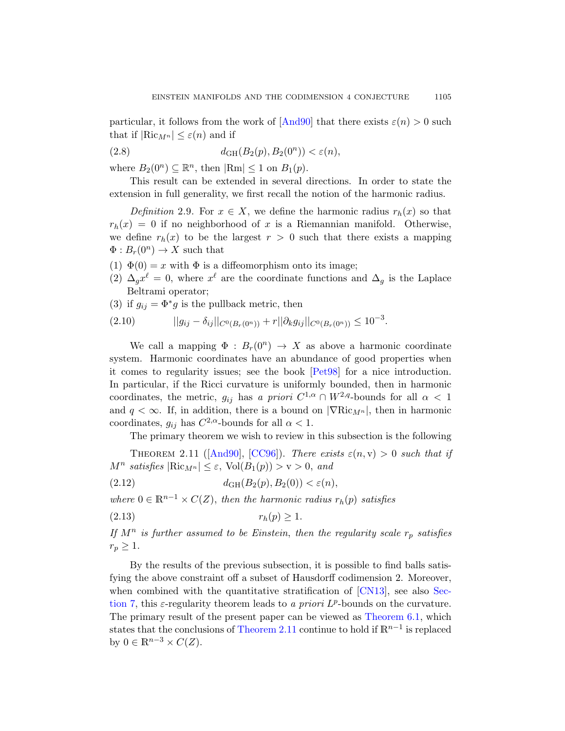particular, it follows from the work of  $[And90]$  that there exists  $\varepsilon(n) > 0$  such that if  $|\text{Ric}_{M} n| \leq \varepsilon(n)$  and if

(2.8) 
$$
d_{GH}(B_2(p), B_2(0^n)) < \varepsilon(n),
$$

where  $B_2(0^n) \subseteq \mathbb{R}^n$ , then  $|\text{Rm}| \leq 1$  on  $B_1(p)$ .

This result can be extended in several directions. In order to state the extension in full generality, we first recall the notion of the harmonic radius.

Definition 2.9. For  $x \in X$ , we define the harmonic radius  $r_h(x)$  so that  $r_h(x) = 0$  if no neighborhood of x is a Riemannian manifold. Otherwise, we define  $r_h(x)$  to be the largest  $r > 0$  such that there exists a mapping  $\Phi: B_r(0^n) \to X$  such that

- (1)  $\Phi(0) = x$  with  $\Phi$  is a diffeomorphism onto its image;
- (2)  $\Delta_g x^{\ell} = 0$ , where  $x^{\ell}$  are the coordinate functions and  $\Delta_g$  is the Laplace Beltrami operator;
- (3) if  $g_{ij} = \Phi^* g$  is the pullback metric, then

$$
(2.10) \t\t ||g_{ij} - \delta_{ij}||_{C^{0}(B_{r}(0^{n}))} + r||\partial_{k}g_{ij}||_{C^{0}(B_{r}(0^{n}))} \leq 10^{-3}.
$$

<span id="page-12-0"></span>We call a mapping  $\Phi: B_r(0^n) \to X$  as above a harmonic coordinate system. Harmonic coordinates have an abundance of good properties when [it com](#page-70-1)es [to reg](#page-70-4)ularity issues; see the book [Pet98] for a nice introduction. In particular, if the Ricci curvature is uniformly bounded, then in harmonic coordinates, the metric,  $g_{ij}$  has a priori  $C^{1,\alpha} \cap W^{2,q}$ -bounds for all  $\alpha < 1$ and  $q < \infty$ . If, in addition, there is a bound on  $|\nabla \text{Ric}_{M} n|$ , then in harmonic coordinates,  $g_{ij}$  has  $C^{2,\alpha}$ -bounds for all  $\alpha < 1$ .

The primary theorem we wish to review in this subsection is the following

THEOREM 2.11 ([And90], [CC96]). There exists  $\varepsilon(n, v) > 0$  such that if  $M^n$  satisfies  $|\text{Ric}_{M^n}| \leq \varepsilon$ ,  $\text{Vol}(B_1(p)) > v > 0$ , and

(2.12)  $d_{GH}(B_2(p), B_2(0)) < \varepsilon(n),$ 

w[h](#page-49-0)ere  $0 \in \mathbb{R}^{n-1} \times C(Z)$ , then the harmonic radius  $r_h(p)$  satisfies

$$
(2.13) \t\t\t r_h(p) \ge 1.
$$

If  $M^n$  is further assumed to be Ei[nstein](#page-48-1), then the regularity scale  $r_p$  satisfies  $r_p \geq 1$ .

By the results of the previous subsection, it is possible to find balls satisfying the above constraint off a subset of Hausdorff codimension 2. Moreover, when combined with the quantitative stratification of  $\lfloor CN13 \rfloor$ , see also Section 7, this  $\varepsilon$ -regularity theorem leads to a priori  $L^p$ -bounds on the curvature. The primary result of the present paper can be viewed as Theorem 6.1, which states that the conclusions of Theorem 2.11 continue to hold if  $\mathbb{R}^{n-1}$  is replaced by  $0 \in \mathbb{R}^{n-3} \times C(Z)$ .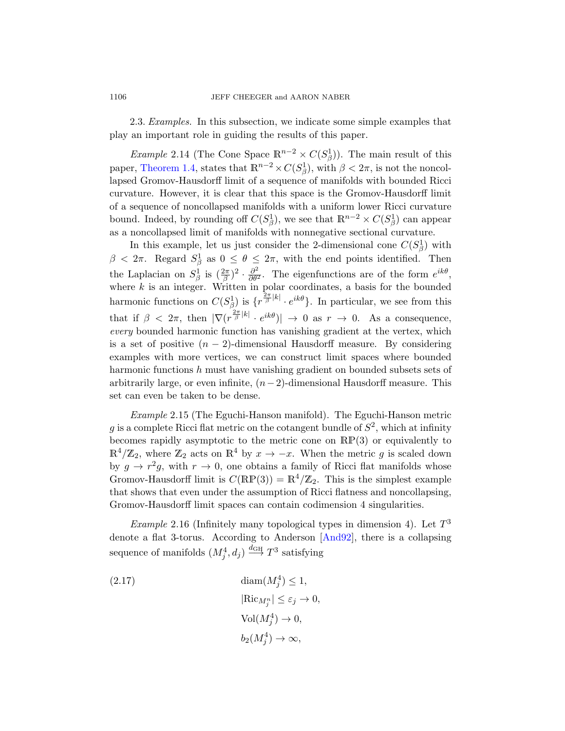2.3. Examples. In this subsection, we indicate some simple examples that play an important role in guiding the results of this paper.

*Example* 2.14 (The Cone Space  $\mathbb{R}^{n-2} \times C(S^1_\beta)$ ). The main result of this paper, Theorem 1.4, states that  $\mathbb{R}^{n-2} \times C(S^1_\beta)$ , with  $\beta < 2\pi$ , is not the noncollapsed Gromov-Hausdorff limit of a sequence of manifolds with bounded Ricci curvature. However, it is clear that this space is the Gromov-Hausdorff limit of a sequence of noncollapsed manifolds with a uniform lower Ricci curvature bound. Indeed, by rounding off  $C(S^1_\beta)$ , we see that  $\mathbb{R}^{n-2} \times C(S^1_\beta)$  can appear as a noncollapsed limit of manifolds with nonnegative sectional curvature.

In this example, let us just consider the 2-dimensional cone  $C(S^1_\beta)$  with  $\beta < 2\pi$ . Regard  $S^1_\beta$  as  $0 \leq \theta \leq 2\pi$ , with the end points identified. Then the Laplacian on  $S^1_\beta$  is  $(\frac{2\pi}{\beta})^2 \cdot \frac{\partial^2}{\partial \theta^2}$ . The eigenfunctions are of the form  $e^{ik\theta}$ , where  $k$  is an integer. Written in polar coordinates, a basis for the bounded harmonic functions on  $C(S_{\beta}^1)$  is  $\{r^{\frac{2\pi}{\beta}|k|} \cdot e^{ik\theta}\}$ . In particular, we see from this that if  $\beta < 2\pi$ , then  $|\nabla (r^{\frac{2\pi}{\beta}|k|} \cdot e^{ik\theta})| \to 0$  as  $r \to 0$ . As a consequence, every bounded harmonic function has vanishing gradient at the vertex, which is a set of positive  $(n-2)$ -dimensional Hausdorff measure. By considering examples with more vertices, we can construct limit spaces where bounded harmonic functions h must have vanishing gradient on bounded subsets sets of arbitrarily large, or even infinite,  $(n-2)$ -dimensional Hausdorff measure. This set can even be taken to be dense.

Example 2.15 (The Eguchi-Hanson manifold). The Eguchi-Hanson metric g is a complete Ricci flat metric on the cotangent bundle of  $S^2$ , which at infinity becomes rapidly asymptotic to the metric cone on RP(3) or equivalently to  $\mathbb{R}^4/\mathbb{Z}_2$ , where  $\mathbb{Z}_2$  acts on  $\mathbb{R}^4$  [by](#page-70-7)  $x \to -x$ . When the metric g is scaled down by  $g \to r^2 g$ , with  $r \to 0$ , one obtains a family of Ricci flat manifolds whose Gromov-Hausdorff limit is  $C(\mathbb{RP}(3)) = \mathbb{R}^4/\mathbb{Z}_2$ . This is the simplest example that shows that even under the assumption of Ricci flatness and noncollapsing, Gromov-Hausdorff limit spaces can contain codimension 4 singularities.

*Example* 2.16 (Infinitely many topological types in dimension 4). Let  $T^3$ denote a flat 3-torus. According to Anderson [And92], there is a collapsing sequence of manifolds  $(M_j^4, d_j) \stackrel{d_{GH}}{\longrightarrow} T^3$  satisfying

(2.17) 
$$
\begin{aligned}\n\text{diam}(M_j^4) &\le 1, \\
|\text{Ric}_{M_j^n}| &\le \varepsilon_j \to 0, \\
\text{Vol}(M_j^4) &\to 0, \\
b_2(M_j^4) &\to \infty,\n\end{aligned}
$$

<span id="page-13-0"></span>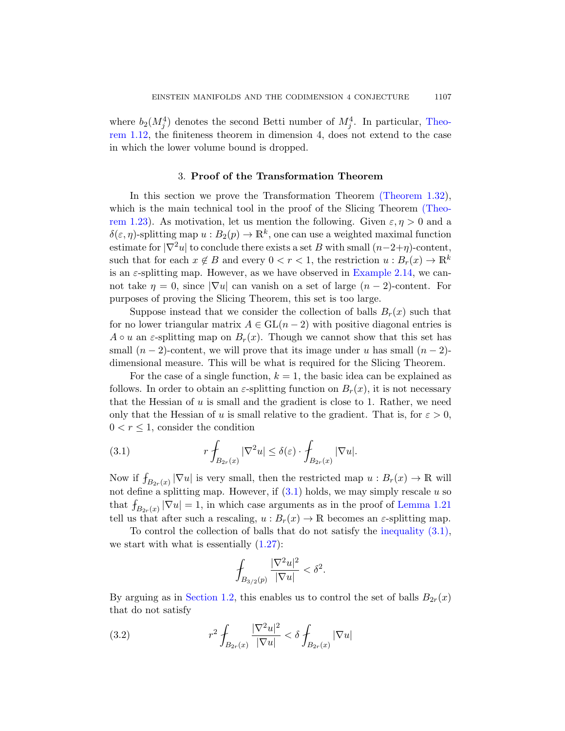<span id="page-14-0"></span>where  $b_2(M_j^4)$  denotes the second Be[tti number of](#page-8-1)  $M_j^4$ . In particular, Theorem 1.12, the finiteness theorem in dimension [4, does](#page-7-0) not extend to the case in which the lower volume bound is dropped.

## 3. Proof of the Transformation Theorem

In this section we prove t[he Transforma](#page-13-0)tion Theorem (Theorem 1.32), which is the main technical tool in the proof of the Slicing Theorem (Theorem 1.23). As motivation, let us mention the following. Given  $\varepsilon, \eta > 0$  and a  $\delta(\varepsilon, \eta)$ -splitting map  $u : B_2(p) \to \mathbb{R}^k$ , one can use a weighted maximal function estimate for  $|\nabla^2 u|$  to conclude there exists a set B with small  $(n-2+\eta)$ -content, such that for each  $x \notin B$  and every  $0 < r < 1$ , the restriction  $u : B_r(x) \to \mathbb{R}^k$ is an  $\varepsilon$ -splitting map. However, as we have observed in Example 2.14, we cannot take  $\eta = 0$ , since  $|\nabla u|$  can vanish on a set of large  $(n-2)$ -content. For purposes of proving the Slicing Theorem, this set is too large.

Suppose instead that we consider the collection of balls  $B_r(x)$  such that for no lower triangular matrix  $A \in GL(n-2)$  with positive diagonal entries is  $A \circ u$  an  $\varepsilon$ -splitting map on  $B_r(x)$ . Though we cannot show that this set has small  $(n-2)$ -content, we will prove that its image under u has small  $(n-2)$ dimensional measure. This will be what is required for the Slicing Theorem.

<span id="page-14-1"></span>For the case of a single function,  $k = 1$ , the basic idea can be explained as follows. In order to obtain an  $\varepsilon$ -splitting function on  $B_r(x)$ , it is not necessary that the Hessian of  $u$  is small and the gradient is close to 1. Rather, we need only that the He[ssian](#page-14-1) of u is small relativ[e to the gradi](#page-6-0)ent. That is, for  $\varepsilon > 0$ ,  $0 < r \leq 1$ , consider the condition

(3.1) 
$$
r \int_{B_{2r}(x)} |\nabla^2 u| \le \delta(\varepsilon) \cdot \int_{B_{2r}(x)} |\nabla u|.
$$

Now if  $f_{B_{2r}(x)} |\nabla u|$  is very small, then the restricted map  $u : B_r(x) \to \mathbb{R}$  will not define a splitting map. However, if  $(3.1)$  holds, we may simply rescale u so that  $f_{B_{2r}(x)} |\nabla u| = 1$ , in which case arguments as in the proof of Lemma 1.21 [tell us](#page-8-0) that after such a rescaling,  $u : B_r(x) \to \mathbb{R}$  becomes an  $\varepsilon$ -splitting map.

To control the collection of balls that do not satisfy the inequality (3.1), we start with what is essentially  $(1.27)$ :

$$
\int_{B_{3/2}(p)}\frac{|\nabla^2 u|^2}{|\nabla u|}<\delta^2.
$$

By arguing as in Section 1.2, this enables us to control the set of balls  $B_{2r}(x)$ that do not satisfy

(3.2) 
$$
r^{2} \int_{B_{2r}(x)} \frac{|\nabla^{2} u|^{2}}{|\nabla u|} < \delta \int_{B_{2r}(x)} |\nabla u|
$$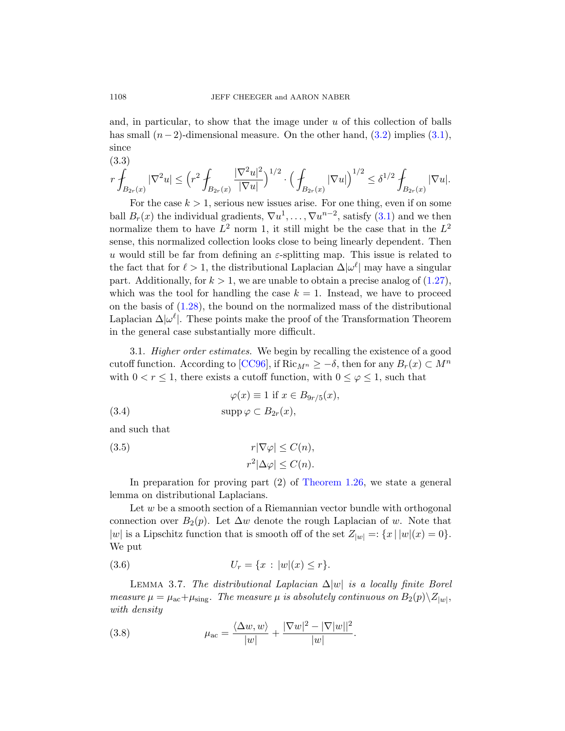and, in particular, to show that the image under  $u$  of this collection of balls has small  $(n-2)$ -dimensional measur[e. O](#page-14-1)n the other hand,  $(3.2)$  implies  $(3.1)$ , since

$$
(3.3) \t r \int_{B_{2r}(x)} |\nabla^2 u| \le \left( r^2 \int_{B_{2r}(x)} \frac{|\nabla^2 u|^2}{|\nabla u|} \right)^{1/2} \cdot \left( \int_{B_{2r}(x)} |\nabla u| \right)^{1/2} \le \delta^{1/2} \int_{B_{2r}(x)} |\nabla u|.
$$

<span id="page-15-0"></span>For the case  $k > 1$ , serious new issues arise. [For on](#page-8-2)e thing, even if on some ball  $B_r(x)$  the individual gradients,  $\nabla u^1, \ldots, \nabla u^{n-2}$ , satisfy  $(3.1)$  and we then normalize them to have  $L^2$  norm 1, it still might be the case that in the  $L^2$ sense, this normalized collection looks close to being linearly dependent. Then u would still be far from defining an  $\varepsilon$ -splitting map. This issue is related to the fact that for  $\ell > 1$ , the distributional Laplacian  $\Delta |\omega^{\ell}|$  may have a singular part. [Additio](#page-70-4)nally, for  $k > 1$ , we are unable to obtain a precise analog of  $(1.27)$ , which was the tool for handling the case  $k = 1$ . Instead, we have to proceed on the basis of  $(1.28)$ , the bound on the normalized mass of the distributional Laplacian  $\Delta |\omega^{\ell}|$ . These points make the proof of the Transformation Theorem in the general case substantially more difficult.

<span id="page-15-3"></span><span id="page-15-2"></span>3.1. Higher order estimates. We begin by recalling the existence of a good cutoff function. According to [CC96], if Ric $_{M^n} \geq -\delta$ , then for any  $B_r(x) \subset M^n$ with  $0 < r \leq 1$ , there exists a cutoff function, with  $0 \leq \varphi \leq 1$ , such that

(3.4) 
$$
\varphi(x) \equiv 1 \text{ if } x \in B_{9r/5}(x),
$$

$$
\text{supp}\,\varphi \subset B_{2r}(x),
$$

and such that

(3.5) 
$$
r|\nabla \varphi| \le C(n),
$$

$$
r^2|\Delta \varphi| \le C(n).
$$

In preparation for proving part (2) of Theorem 1.26, we state a general lemma on distributional Laplacians.

<span id="page-15-1"></span>Let  $w$  be a smooth section of a Riemannian vector bundle with orthogonal connection over  $B_2(p)$ . Let  $\Delta w$  denote the rough Laplacian of w. Note that |w| is a Lipschitz function that is smooth off of the set  $Z_{|w|} =: \{x \mid |w|(x) = 0\}.$ We put

(3.6) 
$$
U_r = \{x : |w|(x) \le r\}.
$$

LEMMA 3.7. The distributional Laplacian  $\Delta |w|$  is a locally finite Borel measure  $\mu = \mu_{\rm ac} + \mu_{\rm sing}$ . The measure  $\mu$  is absolutely continuous on  $B_2(p)\backslash Z_{|w|}$ , with density

(3.8) 
$$
\mu_{ac} = \frac{\langle \Delta w, w \rangle}{|w|} + \frac{|\nabla w|^2 - |\nabla |w||^2}{|w|}.
$$

<span id="page-15-4"></span>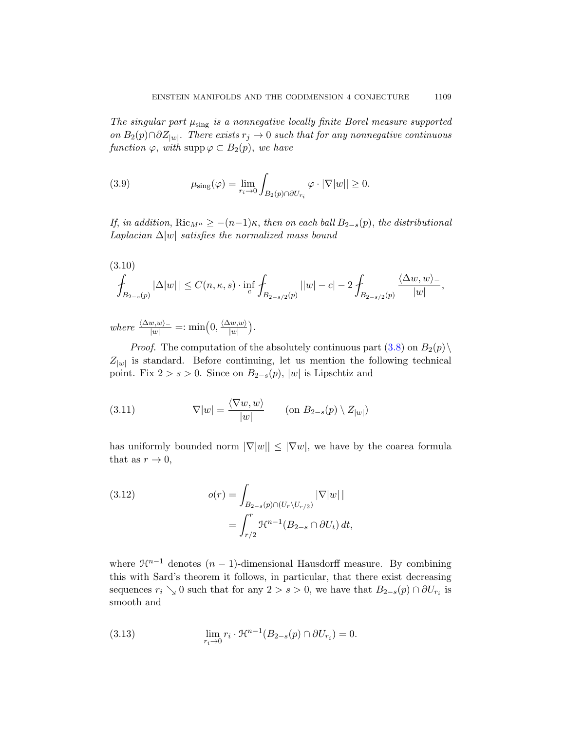The singular part  $\mu_{sing}$  is a nonnegative locally finite Borel measure supported on  $B_2(p) \cap \partial Z_{|w|}$ . There exists  $r_j \to 0$  such that for any nonnegative continuous function  $\varphi$ , with supp  $\varphi \subset B_2(p)$ , we have

(3.9) 
$$
\mu_{\text{sing}}(\varphi) = \lim_{r_i \to 0} \int_{B_2(p) \cap \partial U_{r_i}} \varphi \cdot |\nabla |w|| \ge 0.
$$

If, in addition,  $\text{Ric}_{M^n} \geq -(n-1)\kappa$ , then on each ball  $B_{2-s}(p)$ , the distributional Laplacian  $\Delta |w|$  satisfies the normalized mass bound

$$
(3.10)
$$
  

$$
\int_{B_{2-s}(p)} |\Delta|w| | \leq C(n,\kappa,s) \cdot \inf_{c} \int_{B_{2-s/2}(p)} ||w| - c - 2 \int_{B_{2-s/2}(p)} \frac{\langle \Delta w, w \rangle}{|w|},
$$

where  $\frac{\langle \Delta w, w \rangle_{-}}{|w|}$  =: min $\left(0, \frac{\langle \Delta w, w \rangle_{-}}{|w|}\right)$  $\frac{\langle w,w\rangle}{|w|}\Big).$ 

*Proof.* The computation of the absolutely continuous part  $(3.8)$  on  $B_2(p)\setminus$  $Z_{|w|}$  is standard. Before continuing, let us mention the following technical point. Fix  $2 > s > 0$ . Since on  $B_{2-s}(p)$ , |w| is Lipschtiz and

(3.11) 
$$
\nabla |w| = \frac{\langle \nabla w, w \rangle}{|w|} \quad (\text{on } B_{2-s}(p) \setminus Z_{|w|})
$$

has uniformly bounded norm  $|\nabla |w|| \leq |\nabla w|$ , we have by the coarea formula that as  $r \to 0$ ,

(3.12) 
$$
o(r) = \int_{B_{2-s}(p)\cap (U_r\setminus U_{r/2})} |\nabla|w| |
$$

$$
= \int_{r/2}^r \mathcal{H}^{n-1}(B_{2-s}\cap \partial U_t) dt,
$$

where  $\mathcal{H}^{n-1}$  denotes  $(n-1)$ -dimensional Hausdorff measure. By combining this with Sard's theorem it follows, in particular, that there exist decreasing sequences  $r_i \searrow 0$  such that for any  $2 > s > 0$ , we have that  $B_{2-s}(p) \cap \partial U_{r_i}$  is smooth and

(3.13) 
$$
\lim_{r_i \to 0} r_i \cdot \mathcal{H}^{n-1}(B_{2-s}(p) \cap \partial U_{r_i}) = 0.
$$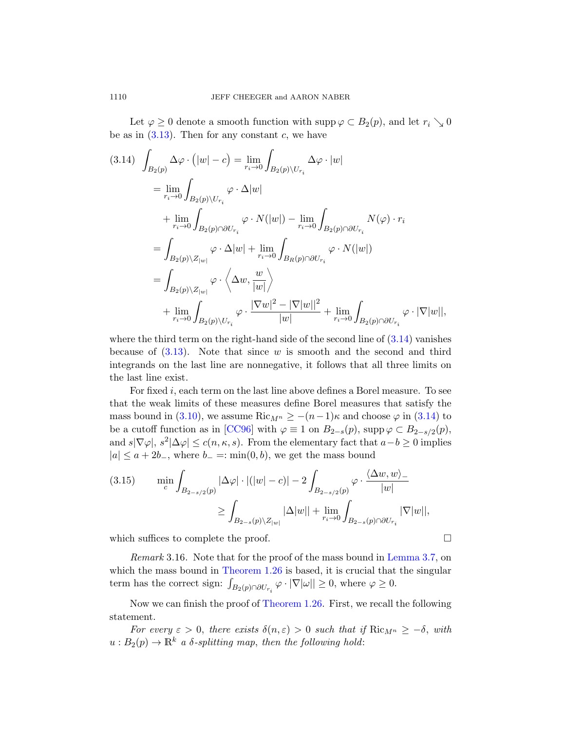Let  $\varphi \geq 0$  denote a smooth function with supp  $\varphi \subset B_2(p)$ , and let  $r_i \searrow 0$ be as in  $(3.13)$ . Then for any constant c, we have

$$
(3.14) \int_{B_2(p)} \Delta \varphi \cdot (|w| - c) = \lim_{r_i \to 0} \int_{B_2(p) \setminus U_{r_i}} \Delta \varphi \cdot |w|
$$
  
\n
$$
= \lim_{r_i \to 0} \int_{B_2(p) \setminus U_{r_i}} \varphi \cdot \Delta |w|
$$
  
\n
$$
+ \lim_{r_i \to 0} \int_{B_2(p) \cap \partial U_{r_i}} \varphi \cdot N(|w|) - \lim_{r_i \to 0} \int_{B_2(p) \cap \partial U_{r_i}} N(\varphi) \cdot r_i
$$
  
\n
$$
= \int_{B_2(p) \setminus Z_{|w|}} \varphi \cdot \Delta |w| + \lim_{r_i \to 0} \int_{B_R(p) \cap \partial U_{r_i}} \varphi \cdot N(|w|)
$$
  
\n
$$
= \int_{B_2(p) \setminus Z_{|w|}} \varphi \cdot \langle \Delta w, \frac{w}{|w|} \rangle
$$
  
\n
$$
+ \lim_{r_i \to 0} \int_{B_2(p) \setminus U_{r_i}} \varphi \cdot \frac{|\nabla w|^2 - |\nabla |w||^2}{|w|} + \lim_{r_i \to 0} \int_{B_2(p) \cap \partial U_{r_i}} \varphi \cdot |\nabla |w|,
$$

wherethe third term on the right-hand side of t[he sec](#page-17-0)ond line of  $(3.14)$  vanishes bec[ause o](#page-70-4)f  $(3.13)$ . Note that since w is smooth and the second and third integrands on the last line are nonnegative, it follows that all three limits on the last line exist.

For fixed i, each term on the last line above defines a Borel measure. To see that the weak limits of these measures define Borel measures that satisfy the mass bound in (3.10), we assume Ric<sub>Mn</sub>  $\geq -(n-1)\kappa$  and choose  $\varphi$  in (3.14) to be a cutoff function as in [CC96] with  $\varphi \equiv 1$  on  $B_{2-s}(p)$ , supp $\varphi \subset B_{2-s/2}(p)$ , and  $s|\nabla\varphi|, s^2|\Delta\varphi|\leq c(n,\kappa,s)$ . From the elementary fact that  $a-b\geq 0$  implies  $|a| \le a + 2b_-,$  where  $b_- =: \min(0, b)$ , we get the mass bound

$$
(3.15) \qquad \min_{c} \int_{B_{2-s/2}(p)} |\Delta \varphi| \cdot |(|w|-c)| - 2 \int_{B_{2-s/2}(p)} \varphi \cdot \frac{\langle \Delta w, w \rangle_{-}}{|w|}
$$

$$
\geq \int_{B_{2-s}(p) \setminus Z_{|w|}} |\Delta |w|| + \lim_{r_i \to 0} \int_{B_{2-s}(p) \cap \partial U_{r_i}} |\nabla |w||,
$$

which suffices to complete the proof.  $\Box$ 

Remark 3.16. Note that for the proof of the mass bound in Lemma 3.7, on which the mass bound in Theorem 1.26 is based, it is crucial that the singular term has the correct sign:  $\int_{B_2(p)\cap \partial U_{r_i}} \varphi \cdot |\nabla |\omega|| \geq 0$ , where  $\varphi \geq 0$ .

Now we can finish the proof of Theorem 1.26. First, we recall the following statement.

For every  $\varepsilon > 0$ , there exists  $\delta(n, \varepsilon) > 0$  such that if  $\text{Ric}_{M^n} \geq -\delta$ , with  $u : B_2(p) \to \mathbb{R}^k$  a  $\delta$ -splitting map, then the following hold:

<span id="page-17-0"></span>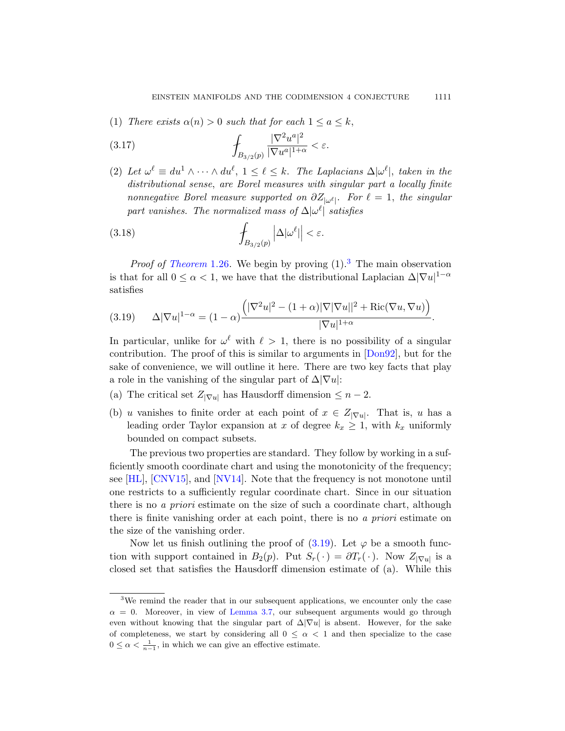(1) There exists  $\alpha(n) > 0$  such that for each  $1 \le a \le k$ ,

<span id="page-18-2"></span>
$$
\int_{B_{3/2}(p)} \frac{|\nabla^2 u^a|^2}{|\nabla u^a|^{1+\alpha}} < \varepsilon.
$$

(2) Let  $\omega^{\ell} \equiv du^1 \wedge \cdots \wedge du^{\ell}, 1 \leq \ell \leq k$ . The Laplacians  $\Delta |\omega^{\ell}|$ , taken in the [d](#page-8-4)istributional sense, are B[or](#page-18-0)el measures with singular part a locally finite nonnegative Borel measure supported on  $\partial Z_{|\omega^{\ell}|}$ . For  $\ell = 1$ , the singular part vanishes. The normalized mass of  $\Delta |\omega^{\ell}|$  satisfies

<span id="page-18-1"></span>(3.18) 
$$
\int_{B_{3/2}(p)} |\Delta| \omega^{\ell}|| < \varepsilon.
$$

*Proof of Theorem* 1.26. We begin by proving  $(1)$ .<sup>3</sup> The main observation isthat for all  $0 \leq \alpha < 1$ , we have t[hat the](#page-71-3) distributional Laplacian  $\Delta |\nabla u|^{1-\alpha}$ satisfies

$$
(3.19) \qquad \Delta |\nabla u|^{1-\alpha} = (1-\alpha) \frac{\left( |\nabla^2 u|^2 - (1+\alpha)|\nabla |\nabla u||^2 + \text{Ric}(\nabla u, \nabla u) \right)}{|\nabla u|^{1+\alpha}}.
$$

In particular, unlike for  $\omega^{\ell}$  with  $\ell > 1$ , there is no possibility of a singular contribution. The proof of this is similar to arguments in [Don92], but for the sake of convenience, we will outline it here. There are two key facts that play a role in the vanishing of the singular part of  $\Delta |\nabla u|$ :

- (a) [The](#page-71-4) critical set  $Z_{|\nabla u|}$  has Hausdorff dimension  $\leq n-2$ .
- (b) u vanishes to finite order at each point of  $x \in Z_{|\nabla u|}$ . That is, u has a leading order Taylor expansion at x of degree  $k_x \geq 1$ , with  $k_x$  uniformly bounded on compact subsets.

The previous two properties are standard. They follow by working in a sufficiently smooth coordi[nate](#page-18-1) chart and using the monotonicity of the frequency; see [HL], [CNV15], and [NV14]. Note that the frequency is not monotone until one restricts to a sufficiently regular coordinate chart. Since in our situation there is no *a priori* estimate on the size of such a coordinate chart, although there is finite vanishing order at each point, there is no a priori estimate on the [size of the](#page-15-1) vanishing order.

<span id="page-18-0"></span>Now let us finish outlining the proof of  $(3.19)$ . Let  $\varphi$  be a smooth function with support contained in  $B_2(p)$ . Put  $S_r(\cdot) = \partial T_r(\cdot)$ . Now  $Z_{|\nabla u|}$  is a closed set that satisfies the Hausdorff dimension estimate of (a). While this

<sup>&</sup>lt;sup>3</sup>We remind the reader that in our subsequent applications, we encounter only the case  $\alpha = 0$ . Moreover, in view of Lemma 3.7, our subsequent arguments would go through even without knowing that the singular part of  $\Delta|\nabla u|$  is absent. However, for the sake of completeness, we start by considering all  $0 \leq \alpha < 1$  and then specialize to the case  $0 \leq \alpha < \frac{1}{n-1}$ , in which we can give an effective estimate.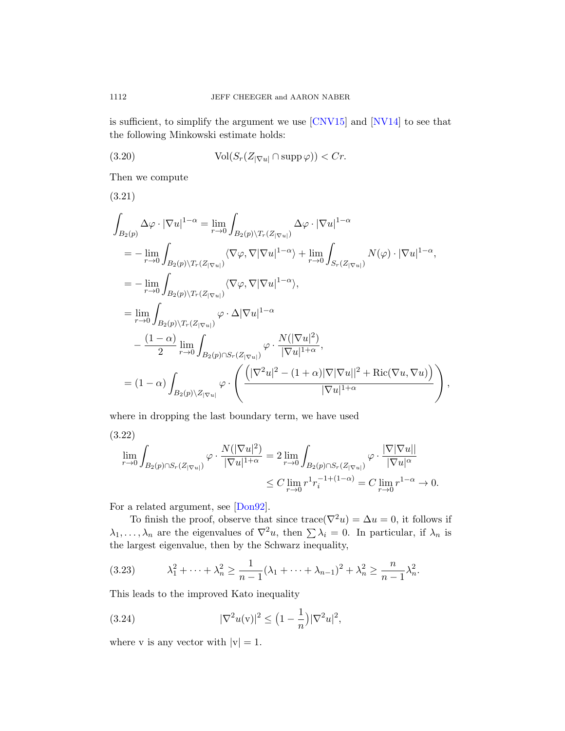is sufficient, to simplify the argument we use [CNV15] and [NV14] to see that the following Minkowski estimate holds:

(3.20) 
$$
\text{Vol}(S_r(Z_{|\nabla u|} \cap \text{supp}\,\varphi)) < Cr.
$$

Then we compute

(3.21)

$$
\int_{B_2(p)} \Delta \varphi \cdot |\nabla u|^{1-\alpha} = \lim_{r \to 0} \int_{B_2(p) \backslash T_r(Z_{|\nabla u|})} \Delta \varphi \cdot |\nabla u|^{1-\alpha}
$$
\n
$$
= -\lim_{r \to 0} \int_{B_2(p) \backslash T_r(Z_{|\nabla u|})} \langle \nabla \varphi, \nabla |\nabla u|^{1-\alpha} \rangle + \lim_{r \to 0} \int_{S_r(Z_{|\nabla u|})} N(\varphi) \cdot |\nabla u|^{1-\alpha},
$$
\n
$$
= -\lim_{r \to 0} \int_{B_2(p) \backslash T_r(Z_{|\nabla u|})} \langle \nabla \varphi, \nabla |\nabla u|^{1-\alpha} \rangle,
$$
\n
$$
= \lim_{r \to 0} \int_{B_2(p) \backslash T_r(Z_{|\nabla u|})} \varphi \cdot \Delta |\nabla u|^{1-\alpha}
$$
\n
$$
- \frac{(1-\alpha)}{2} \lim_{r \to 0} \int_{B_2(p) \cap S_r(Z_{|\nabla u|})} \varphi \cdot \frac{N(|\nabla u|^2)}{|\nabla u|^{1+\alpha}},
$$
\n
$$
= (1-\alpha) \int_{B_2(p) \backslash Z_{|\nabla u|}} \varphi \cdot \left( \frac{(|\nabla^2 u|^2 - (1+\alpha)|\nabla |\nabla u||^2 + \text{Ric}(\nabla u, \nabla u))}{|\nabla u|^{1+\alpha}} \right),
$$

where in dropping the last boundary term, we have used

$$
(3.22)
$$
  
\n
$$
\lim_{r \to 0} \int_{B_2(p) \cap S_r(Z_{|\nabla u|})} \varphi \cdot \frac{N(|\nabla u|^2)}{|\nabla u|^{1+\alpha}} = 2 \lim_{r \to 0} \int_{B_2(p) \cap S_r(Z_{|\nabla u|})} \varphi \cdot \frac{|\nabla |\nabla u||}{|\nabla u|^{\alpha}} \n\leq C \lim_{r \to 0} r^1 r_i^{-1+(1-\alpha)} = C \lim_{r \to 0} r^{1-\alpha} \to 0.
$$

For a related argument, see [Don92].

To finish the proof, observe that since  $trace(\nabla^2 u) = \Delta u = 0$ , it follows if  $\lambda_1, \ldots, \lambda_n$  are the eigenvalues of  $\nabla^2 u$ , then  $\sum \lambda_i = 0$ . In particular, if  $\lambda_n$  is the largest eigenvalue, then by the Schwarz inequality,

(3.23) 
$$
\lambda_1^2 + \dots + \lambda_n^2 \ge \frac{1}{n-1}(\lambda_1 + \dots + \lambda_{n-1})^2 + \lambda_n^2 \ge \frac{n}{n-1}\lambda_n^2.
$$

This leads to the improved Kato inequality

(3.24) 
$$
|\nabla^2 u(v)|^2 \le (1 - \frac{1}{n})|\nabla^2 u|^2,
$$

where v is any vector with  $|v| = 1$ .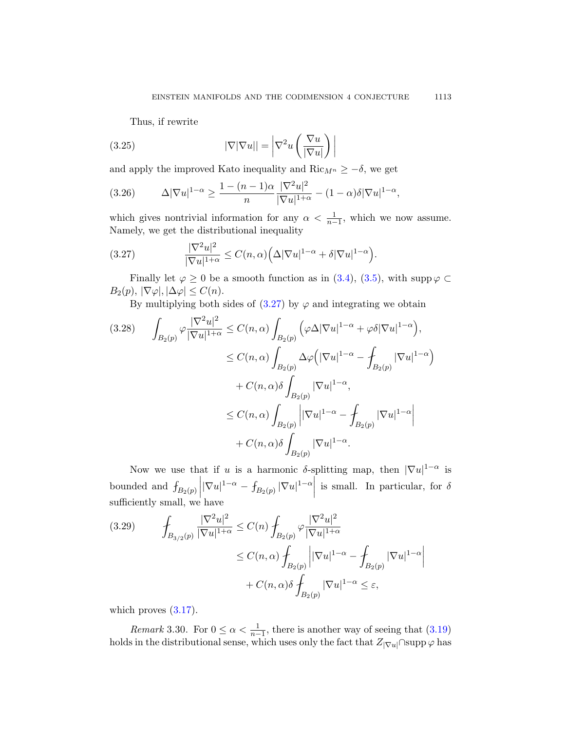Thus, if rewrite

(3.25) 
$$
|\nabla |\nabla u|| = \left|\nabla^2 u\left(\frac{\nabla u}{|\nabla u|}\right)\right|
$$

<span id="page-20-0"></span>and apply the improved Kato inequality and Ric $_{M^n} \geq -\delta$ , we get

(3.26) 
$$
\Delta |\nabla u|^{1-\alpha} \ge \frac{1-(n-1)\alpha}{n} \frac{|\nabla^2 u|^2}{|\nabla u|^{1+\alpha}} - (1-\alpha)\delta |\nabla u|^{1-\alpha},
$$

which gives [nont](#page-20-0)rivial information for any  $\alpha < \frac{1}{n-1}$ , which we now assume. Namely, we get the distributional inequality

(3.27) 
$$
\frac{|\nabla^2 u|^2}{|\nabla u|^{1+\alpha}} \leq C(n,\alpha) \Big( \Delta |\nabla u|^{1-\alpha} + \delta |\nabla u|^{1-\alpha} \Big).
$$

Finally let  $\varphi \geq 0$  be a smooth function as in (3.4), (3.5), with supp  $\varphi \subset$  $B_2(p), |\nabla \varphi|, |\Delta \varphi| \leq C(n).$ 

By multiplying both sides of  $(3.27)$  by  $\varphi$  and integrating we obtain

$$
(3.28) \qquad \int_{B_2(p)} \varphi \frac{|\nabla^2 u|^2}{|\nabla u|^{1+\alpha}} \le C(n,\alpha) \int_{B_2(p)} \left(\varphi \Delta |\nabla u|^{1-\alpha} + \varphi \delta |\nabla u|^{1-\alpha}\right),
$$
  

$$
\le C(n,\alpha) \int_{B_2(p)} \Delta \varphi \left(|\nabla u|^{1-\alpha} - \int_{B_2(p)} |\nabla u|^{1-\alpha}\right)
$$
  

$$
+ C(n,\alpha) \delta \int_{B_2(p)} |\nabla u|^{1-\alpha},
$$
  

$$
\le C(n,\alpha) \int_{B_2(p)} \left|\nabla u|^{1-\alpha} - \int_{B_2(p)} |\nabla u|^{1-\alpha}\right|
$$
  

$$
+ C(n,\alpha) \delta \int_{B_2(p)} |\nabla u|^{1-\alpha}.
$$

Now we use that if u is a harmonic  $\delta$ -splitting map, then  $|\nabla u|^{1-\alpha}$  is bounded and  $f_{B_2(p)}$  $\begin{array}{c} \begin{array}{c} \begin{array}{c} \end{array} \\ \begin{array}{c} \end{array} \end{array} \end{array}$  $|\nabla u|^{1-\alpha} - f_{B_2(p)} |\nabla u|^{1-\alpha}|$ is small. In particular, for  $\delta$ sufficiently small, we have

$$
(3.29) \qquad \int_{B_{3/2}(p)} \frac{|\nabla^2 u|^2}{|\nabla u|^{1+\alpha}} \le C(n) \int_{B_2(p)} \varphi \frac{|\nabla^2 u|^2}{|\nabla u|^{1+\alpha}} \n\le C(n,\alpha) \int_{B_2(p)} \left| |\nabla u|^{1-\alpha} - \int_{B_2(p)} |\nabla u|^{1-\alpha} \right| \n+ C(n,\alpha)\delta \int_{B_2(p)} |\nabla u|^{1-\alpha} \le \varepsilon,
$$

which proves  $(3.17)$ .

*Remark* 3.30. For  $0 \le \alpha < \frac{1}{n-1}$ , there is another way of seeing that (3.19) holds in the distributional sense, which uses only the fact that  $Z_{|\nabla u|} \cap \text{supp } \varphi$  has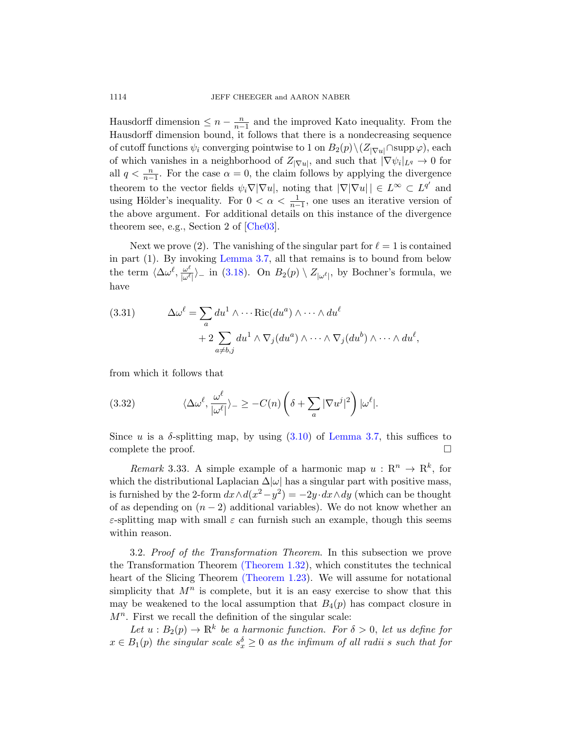Hausdorff dimension  $\leq n - \frac{n}{n-1}$  and the improved Kato inequality. From the Hausdorff dimension bound, it follows that there is a nondecreasing sequence of cuto[ff functio](#page-70-0)ns  $\psi_i$  converging pointwise to 1 on  $B_2(p)\setminus (Z_{|\nabla u|} \cap \text{supp }\varphi)$ , each of which vanishes in a neighborhood of  $Z_{|\nabla u|}$ , and such that  $|\nabla \psi_i|_{L^q} \to 0$  for all  $q < \frac{n}{n-1}$ . For the case  $\alpha = 0$ , the claim follows by applying the divergence t[he](#page-15-1)[orem](#page-18-2) [to th](#page-15-1)e vector fields  $\psi_i \nabla |\nabla u|$ , noting that  $|\nabla |\nabla u| | \in L^{\infty} \subset L^{q'}$  and using Hölder's inequality. For  $0 < \alpha < \frac{1}{n-1}$ , one uses an iterative version of the above argument. For additional details on this instance of the divergence theorem see, e.g., Section 2 of [Che03].

Next we prove (2). The vanishing of the singular part for  $\ell = 1$  is contained in part (1). By invoking Lemma 3.7, all that remains is to bound from below the term  $\langle \Delta \omega^\ell, \frac{\omega^\ell}{\omega^{\ell}} \rangle$  $\frac{\omega^c}{|\omega^c|}$  in (3.18). On  $B_2(p) \setminus Z_{|\omega^c|}$ , by Bochner's formula, we have

(3.31) 
$$
\Delta \omega^{\ell} = \sum_{a} du^{1} \wedge \cdots \text{Ric}(du^{a}) \wedge \cdots \wedge du^{\ell} + 2 \sum_{a \neq b,j} du^{1} \wedge \nabla_{j}(du^{a}) \wedge \cdots \wedge \nabla_{j}(du^{b}) \wedge \cdots \wedge du^{\ell},
$$

from which it follows that

(3.32) 
$$
\langle \Delta \omega^{\ell}, \frac{\omega^{\ell}}{|\omega^{\ell}|} \rangle_{-} \geq -C(n) \left( \delta + \sum_{a} |\nabla u^{j}|^{2} \right) |\omega^{\ell}|.
$$

Since u is a  $\delta$ -splitting map, by using  $(3.10)$  of Lemma 3.7, this suffices to complete the proof.  $\Box$ 

<span id="page-21-0"></span>*Remark* 3.33. A simple example of a harmonic map  $u : \mathbb{R}^n \to \mathbb{R}^k$ , for which [the distribution](#page-8-1)al Laplacian  $\Delta|\omega|$  has a singular part with positive mass, is furn[ished by the 2-fo](#page-7-0)rm  $dx \wedge d(x^2 - y^2) = -2y \cdot dx \wedge dy$  (which can be thought of as depending on  $(n-2)$  additional variables). We do not know whether an  $\varepsilon$ -splitting map with small  $\varepsilon$  can furnish such an example, though this seems within reason.

3.2. Proof of the Transformation Theorem. In this subsection we prove the Transformation Theorem (Theorem 1.32), which constitutes the technical heart of the Slicing Theorem (Theorem 1.23). We will assume for notational simplicity that  $M^n$  is complete, but it is an easy exercise to show that this may be weakened to the local assumption that  $B_4(p)$  has compact closure in  $M<sup>n</sup>$ . First we recall the definition of the singular scale:

Let  $u : B_2(p) \to \mathbb{R}^k$  be a harmonic function. For  $\delta > 0$ , let us define for  $x \in B_1(p)$  the singular scale  $s_x^{\delta} \geq 0$  as the infimum of all radii s such that for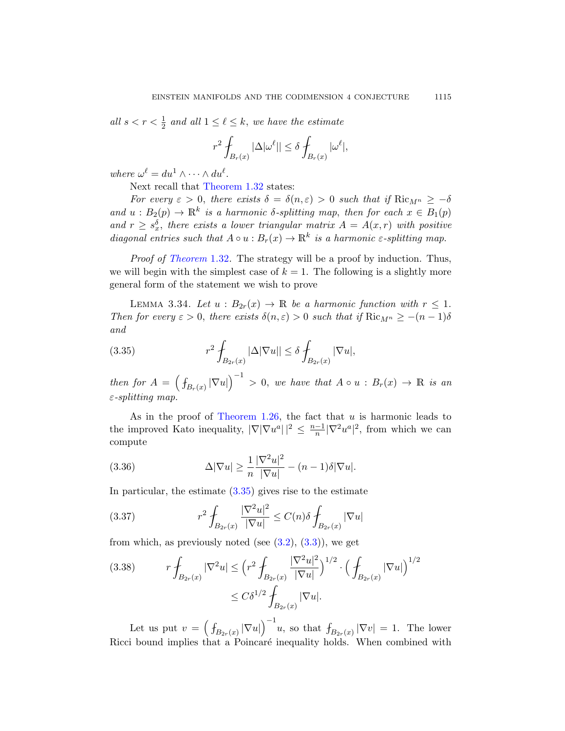all  $s < r < \frac{1}{2}$  and all  $1 \leq \ell \leq k$ , we have the estimate

$$
r^{2} \int_{B_{r}(x)} |\Delta|\omega^{\ell}|| \leq \delta \int_{B_{r}(x)} |\omega^{\ell}|,
$$

[wher](#page-8-1)e  $\omega^{\ell} = du^1 \wedge \cdots \wedge du^{\ell}$ .

Next recall that Theorem 1.32 states:

For every  $\varepsilon > 0$ , there exists  $\delta = \delta(n,\varepsilon) > 0$  such that if  $\text{Ric}_{M^n} \geq -\delta$ and  $u : B_2(p) \to \mathbb{R}^k$  is a harmonic  $\delta$ -splitting map, then for each  $x \in B_1(p)$ and  $r \geq s_x^{\delta}$ , there exists a lower triangular matrix  $A = A(x,r)$  with positive diagonal entries such that  $A \circ u : B_r(x) \to \mathbb{R}^k$  is a harmonic  $\varepsilon$ -splitting map.

<span id="page-22-0"></span>Proof of Theorem 1.32. The strategy will be a proof by induction. Thus, we will begin with the simplest case of  $k = 1$ . The following is a slightly more general form of the statement we wish to prove

LEMMA 3.34. Let  $u : B_{2r}(x) \to \mathbb{R}$  be a harmonic function with  $r \leq 1$ . Then for every  $\varepsilon > 0$ , there exists  $\delta(n, \varepsilon) > 0$  such that if  $\text{Ric}_{M^n} \ge -(n-1)\delta$ a[nd](#page-8-4)

(3.35) 
$$
r^2 \int_{B_{2r}(x)} |\Delta |\nabla u|| \leq \delta \int_{B_{2r}(x)} |\nabla u|,
$$

then for  $A = (\int_{B_r(x)} |\nabla u|)^{-1} > 0$ , we have that  $A \circ u : B_r(x) \to \mathbb{R}$  is an  $\varepsilon$ -splitting map.

[As in](#page-22-0) the proof of Theorem 1.26, the fact that  $u$  is harmonic leads to the improved Kato inequality,  $|\nabla |\nabla u|^a|^2 \leq \frac{n-1}{n}$  $\frac{-1}{n}|\nabla^2 u^a|^2$ , from which we can compute

(3.36) 
$$
\Delta |\nabla u| \geq \frac{1}{n} \frac{|\nabla^2 u|^2}{|\nabla u|} - (n-1)\delta |\nabla u|.
$$

In particular, the estimate  $(3.35)$  gives rise to the estimate

(3.37) 
$$
r^{2} \int_{B_{2r}(x)} \frac{|\nabla^{2} u|^{2}}{|\nabla u|} \leq C(n) \delta \int_{B_{2r}(x)} |\nabla u|
$$

from which, as previously noted (see  $(3.2)$ ,  $(3.3)$ ), we get

$$
(3.38) \t r \int_{B_{2r}(x)} |\nabla^2 u| \le \left(r^2 \int_{B_{2r}(x)} \frac{|\nabla^2 u|^2}{|\nabla u|}\right)^{1/2} \cdot \left(\int_{B_{2r}(x)} |\nabla u|\right)^{1/2} \le C\delta^{1/2} \int_{B_{2r}(x)} |\nabla u|.
$$

Let us put  $v = (\int_{B_{2r}(x)} |\nabla u|)^{-1}u$ , so that  $\int_{B_{2r}(x)} |\nabla v| = 1$ . The lower Ricci bound implies that a Poincaré inequality holds. When combined with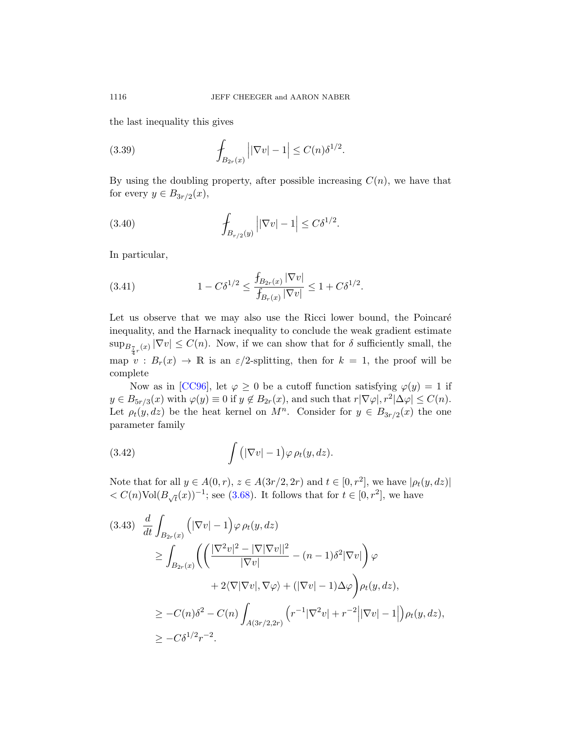the last inequality this gives

(3.39) 
$$
\int_{B_{2r}(x)} \left| |\nabla v| - 1 \right| \leq C(n) \delta^{1/2}.
$$

By using the doubling property, after possible increasing  $C(n)$ , we have that for every  $y \in B_{3r/2}(x)$ ,

(3.40) 
$$
\int_{B_{r/2}(y)} \left| |\nabla v| - 1 \right| \leq C \delta^{1/2}.
$$

In particular,

(3.41) 
$$
1 - C\delta^{1/2} \le \frac{f_{B_{2r}(x)} |\nabla v|}{f_{B_r(x)} |\nabla v|} \le 1 + C\delta^{1/2}.
$$

Let us observe that we may also use the Ricci lower bound, the Poincaré inequality, and the Harnack inequality to conclude the weak gradient estimate  $\sup_{B_{\tau,r}(x)} |\nabla v| \leq C(n)$ . Now, if we can show that for  $\delta$  sufficiently small, the map  $v : B_r(x) \to \mathbb{R}$  is an  $\varepsilon/2$ -splitting, then for  $k = 1$ , the proof will be complete

Now as in [CC96], let  $\varphi \geq 0$  be a cutoff function satisfying  $\varphi(y) = 1$  if  $y \in B_{5r/3}(x)$  with  $\varphi(y) \equiv 0$  if  $y \notin B_{2r}(x)$ , and such that  $r|\nabla \varphi|, r^2|\Delta \varphi| \leq C(n)$ . Let  $\rho_t(y, dz)$  $\rho_t(y, dz)$  $\rho_t(y, dz)$  be the heat kernel on  $M^n$ . Consider for  $y \in B_{3r/2}(x)$  the one parameter family

(3.42) 
$$
\int (|\nabla v| - 1) \varphi \, \rho_t(y, dz).
$$

Note that for all  $y \in A(0,r)$ ,  $z \in A(3r/2, 2r)$  and  $t \in [0, r^2]$ , we have  $|\rho_t(y, dz)|$  $\langle C(n) \text{Vol}(B_{\sqrt{t}}(x))^{-1}$ ; see (3.68). It follows that for  $t \in [0, r^2]$ , we have

$$
(3.43) \frac{d}{dt} \int_{B_{2r}(x)} \left( |\nabla v| - 1 \right) \varphi \, \rho_t(y, dz)
$$
  
\n
$$
\geq \int_{B_{2r}(x)} \left( \left( \frac{|\nabla^2 v|^2 - |\nabla |\nabla v||^2}{|\nabla v|} - (n - 1)\delta^2 |\nabla v| \right) \varphi + 2 \langle \nabla |\nabla v|, \nabla \varphi \rangle + (|\nabla v| - 1) \Delta \varphi \right) \rho_t(y, dz),
$$
  
\n
$$
\geq -C(n)\delta^2 - C(n) \int_{A(3r/2, 2r)} \left( r^{-1} |\nabla^2 v| + r^{-2} \left| |\nabla v| - 1 \right| \right) \rho_t(y, dz),
$$
  
\n
$$
\geq -C \delta^{1/2} r^{-2}.
$$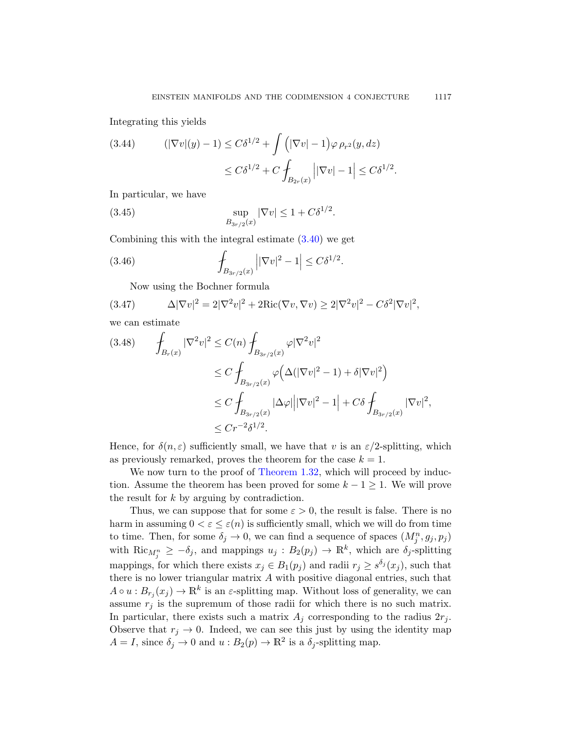Integrating this yields

(3.44) 
$$
(|\nabla v|(y) - 1) \le C\delta^{1/2} + \int (|\nabla v| - 1) \varphi \, \rho_{r^2}(y, dz) \le C\delta^{1/2} + C \int_{B_{2r}(x)} ||\nabla v| - 1| \le C\delta^{1/2}.
$$

In particular, we have

(3.45) 
$$
\sup_{B_{3r/2}(x)} |\nabla v| \le 1 + C\delta^{1/2}.
$$

Combining this with the integral estimate (3.40) we get

(3.46) 
$$
\int_{B_{3r/2}(x)} \left| |\nabla v|^2 - 1 \right| \leq C \delta^{1/2}.
$$

Now using the Bochner formula

(3.47) 
$$
\Delta |\nabla v|^2 = 2|\nabla^2 v|^2 + 2\text{Ric}(\nabla v, \nabla v) \ge 2|\nabla^2 v|^2 - C\delta^2 |\nabla v|^2,
$$

we can estimate

$$
(3.48) \qquad \int_{B_r(x)} |\nabla^2 v|^2 \le C(n) \int_{B_{3r/2}(x)} \varphi |\nabla^2 v|^2
$$
  

$$
\le C \int_{B_{3r/2}(x)} \varphi \Big( \Delta (|\nabla v|^2 - 1) + \delta |\nabla v|^2 \Big)
$$
  

$$
\le C \int_{B_{3r/2}(x)} |\Delta \varphi| \big| |\nabla v|^2 - 1 \big| + C \delta \int_{B_{3r/2}(x)} |\nabla v|^2,
$$
  

$$
\le C r^{-2} \delta^{1/2}.
$$

Hence, for  $\delta(n,\varepsilon)$  sufficiently small, we have that v is an  $\varepsilon/2$ -splitting, which as previously remarked, proves the theorem for the case  $k = 1$ .

We now turn to the proof of Theorem 1.32, which will proceed by induction. Assume the theorem has been proved for some  $k - 1 \geq 1$ . We will prove the result for k by arguing by contradiction.

Thus, we can suppose that for some  $\varepsilon > 0$ , the result is false. There is no harm in assuming  $0 < \varepsilon \leq \varepsilon(n)$  is sufficiently small, which we will do from time to time. Then, for some  $\delta_j \to 0$ , we can find a sequence of spaces  $(M_j^n, g_j, p_j)$ with  $\text{Ric}_{M_j^n} \geq -\delta_j$ , and mappings  $u_j : B_2(p_j) \to \mathbb{R}^k$ , which are  $\delta_j$ -splitting mappings, for which there exists  $x_j \in B_1(p_j)$  and radii  $r_j \geq s^{\delta_j}(x_j)$ , such that there is no lower triangular matrix A with positive diagonal entries, such that  $A \circ u : B_{r_j}(x_j) \to \mathbb{R}^k$  is an  $\varepsilon$ -splitting map. Without loss of generality, we can assume  $r_j$  is the supremum of those radii for which there is no such matrix. In particular, there exists such a matrix  $A_j$  corresponding to the radius  $2r_j$ . Observe that  $r_i \to 0$ . Indeed, we can see this just by using the identity map  $A = I$ , since  $\delta_j \to 0$  and  $u : B_2(p) \to \mathbb{R}^2$  is a  $\delta_j$ -splitting map.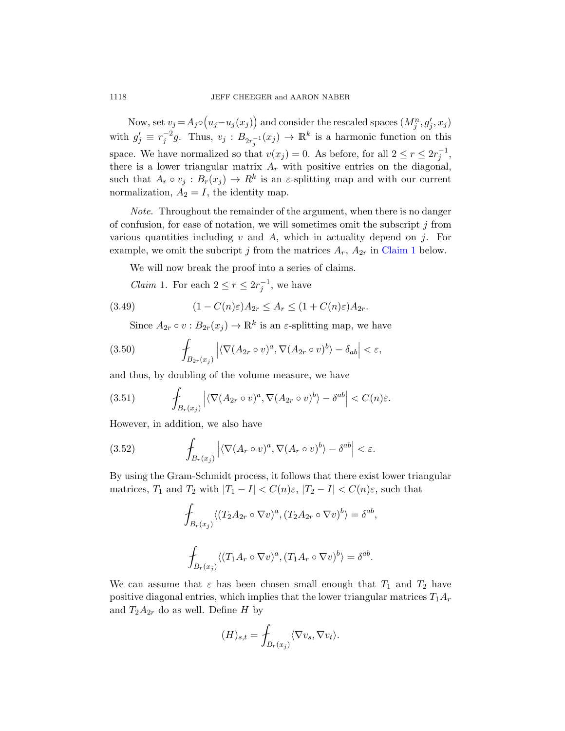Now, set  $v_j = A_j \circ (u_j - u_j(x_j))$  and consider the rescaled spaces  $(M_j^n, g'_j, x_j)$ with  $g'_j \equiv r_j^{-2}g$ . Thus,  $v_j : B_{2r_j^{-1}}(x_j) \to \mathbb{R}^k$  is a harmonic function on this space. We have normalized so that  $v(x_j) = 0$ . As before, for all  $2 \le r \le 2r_j^{-1}$ , there is a lower triangular matrix  $A_r$  [with po](#page-25-0)sitive entries on the diagonal, such that  $A_r \circ v_j : B_r(x_j) \to R^k$  is an  $\varepsilon$ -splitting map and with our current normalization,  $A_2 = I$ , the identity map.

<span id="page-25-0"></span>Note. Throughout the remainder of the argument, when there is no danger of confusion, for ease of notation, we will sometimes omit the subscript  $j$  from various quantities including  $v$  and  $A$ , which in actuality depend on  $j$ . For example, we omit the subcript j from the matrices  $A_r$ ,  $A_{2r}$  in Claim 1 below.

We will now break the proof into a series of claims.

*Claim* 1. For each  $2 \le r \le 2r_j^{-1}$ , we have

(3.49) 
$$
(1 - C(n)\varepsilon)A_{2r} \le A_r \le (1 + C(n)\varepsilon)A_{2r}.
$$

Since  $A_{2r} \circ v : B_{2r}(x_j) \to \mathbb{R}^k$  is an  $\varepsilon$ -splitting map, we have

(3.50) 
$$
\int_{B_{2r}(x_j)} \left| \langle \nabla (A_{2r} \circ v)^a, \nabla (A_{2r} \circ v)^b \rangle - \delta_{ab} \right| < \varepsilon,
$$

and thus, by doubling of the volume measure, we have

(3.51) 
$$
\int_{B_r(x_j)} \left| \langle \nabla (A_{2r} \circ v)^a, \nabla (A_{2r} \circ v)^b \rangle - \delta^{ab} \right| < C(n)\varepsilon.
$$

However, in addition, we also have

(3.52) 
$$
\int_{B_r(x_j)} \left| \langle \nabla (A_r \circ v)^a, \nabla (A_r \circ v)^b \rangle - \delta^{ab} \right| < \varepsilon.
$$

By using the Gram-Schmidt process, it follows that there exist lower triangular matrices,  $T_1$  and  $T_2$  with  $|T_1 - I| < C(n)\varepsilon$ ,  $|T_2 - I| < C(n)\varepsilon$ , such that

$$
\oint_{B_r(x_j)} \langle (T_2 A_{2r} \circ \nabla v)^a, (T_2 A_{2r} \circ \nabla v)^b \rangle = \delta^{ab},
$$
  

$$
\oint_{B_r(x_j)} \langle (T_1 A_r \circ \nabla v)^a, (T_1 A_r \circ \nabla v)^b \rangle = \delta^{ab}.
$$

We can assume that  $\varepsilon$  has been chosen small enough that  $T_1$  and  $T_2$  have positive diagonal entries, which implies that the lower triangular matrices  $T_1A_r$ and  $T_2A_{2r}$  do as well. Define H by

$$
(H)_{s,t} = \int_{B_r(x_j)} \langle \nabla v_s, \nabla v_t \rangle.
$$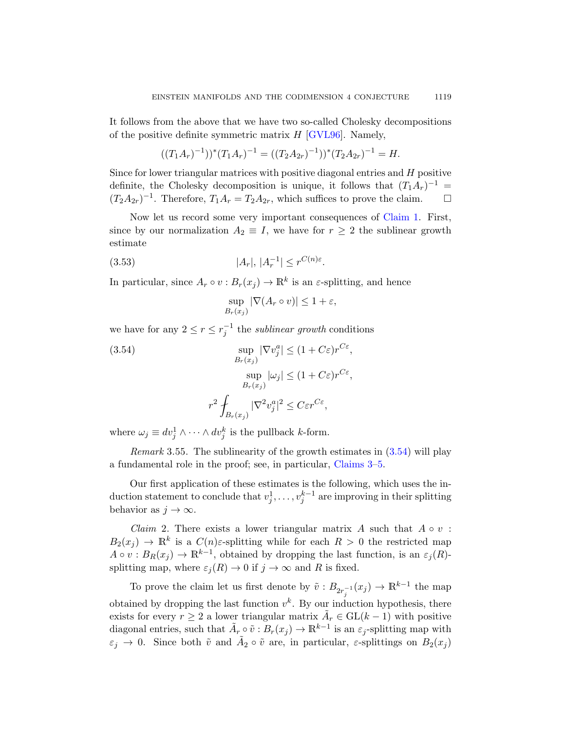It follows from the above that we have two so-called Cholesky decompositions of the positive definite symmetric matrix  $H$  [\[GV](#page-25-0)L96]. Namely,

$$
((T_1A_r)^{-1}))^*(T_1A_r)^{-1} = ((T_2A_{2r})^{-1}))^*(T_2A_{2r})^{-1} = H.
$$

Since for lower triangular matrices with positive diagonal entries and  $H$  positive definite, the Cholesky decomposition is unique, it follows that  $(T_1A_r)^{-1}$  =  $(T_2A_{2r})^{-1}$ . Therefore,  $T_1A_r = T_2A_{2r}$ , which suffices to prove the claim.  $\square$ 

Now let us record some very important consequences of Claim 1. First, since by our normalization  $A_2 \equiv I$ , we have for  $r \geq 2$  the sublinear growth estimate

<span id="page-26-0"></span>
$$
(3.53) \t\t |A_r|, |A_r^{-1}| \le r^{C(n)\varepsilon}.
$$

In particular, since  $A_r \circ v : B_r(x_j) \to \mathbb{R}^k$  is an  $\varepsilon$ -splitting, and hence

$$
\sup_{B_r(x_j)} |\nabla (A_r \circ v)| \le 1 + \varepsilon,
$$

we have for any  $2 \le r \le r_j^{-1}$  the *sublinear growth* conditions

(3.54)  
\n
$$
\sup_{B_r(x_j)} |\nabla v_j^a| \le (1 + C\varepsilon)r^{C\varepsilon},
$$
\n
$$
\sup_{B_r(x_j)} |\omega_j| \le (1 + C\varepsilon)r^{C\varepsilon},
$$
\n
$$
r^2 \int_{B_r(x_j)} |\nabla^2 v_j^a|^2 \le C\varepsilon r^{C\varepsilon},
$$

<span id="page-26-1"></span>where  $\omega_j \equiv dv_j^1 \wedge \cdots \wedge dv_j^k$  is the pullback k-form.

*Remark* 3.55. The sublinearity of the growth estimates in  $(3.54)$  will play a fundamental role in the proof; see, in particular, Claims 3–5.

Our first application of these estimates is the following, which uses the induction statement to conclude that  $v_j^1, \ldots, v_j^{k-1}$  are improving in their splitting behavior as  $j \to \infty$ .

*Claim* 2. There exists a lower triangular matrix A such that  $A \circ v$ :  $B_2(x_j) \to \mathbb{R}^k$  is a  $C(n)\varepsilon$ -splitting while for each  $R > 0$  the restricted map  $A \circ v : B_R(x_j) \to \mathbb{R}^{k-1}$ , obtained by dropping the last function, is an  $\varepsilon_j(R)$ splitting map, where  $\varepsilon_j(R) \to 0$  if  $j \to \infty$  and R is fixed.

To prove the claim let us first denote by  $\tilde{v}: B_{2r_j^{-1}}(x_j) \to \mathbb{R}^{k-1}$  the map obtained by dropping the last function  $v^k$ . By our induction hypothesis, there exists for every  $r \geq 2$  a lower triangular matrix  $\tilde{A}_r \in GL(k-1)$  with positive diagonal entries, such that  $\tilde{A}_r \circ \tilde{v} : B_r(x_j) \to \mathbb{R}^{k-1}$  is an  $\varepsilon_j$ -splitting map with  $\varepsilon_j \to 0$ . Since both  $\tilde{v}$  and  $\tilde{A}_2 \circ \tilde{v}$  are, in particular,  $\varepsilon$ -splittings on  $B_2(x_j)$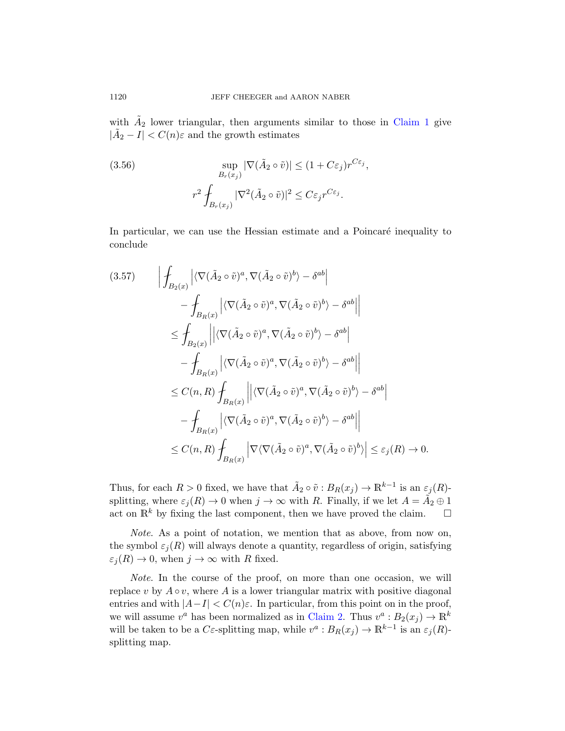with  $\tilde{A}_2$  lower triangular, then arguments similar to those in Claim 1 give  $|\tilde{A}_2 - I| < C(n)\varepsilon$  and the growth estimates

(3.56) 
$$
\sup_{B_r(x_j)} |\nabla (\tilde{A}_2 \circ \tilde{v})| \le (1 + C\varepsilon_j) r^{C\varepsilon_j},
$$

$$
r^2 \int_{B_r(x_j)} |\nabla^2 (\tilde{A}_2 \circ \tilde{v})|^2 \le C\varepsilon_j r^{C\varepsilon_j}.
$$

In particular, we can use the Hessian estimate and a Poincaré inequality to conclude

$$
(3.57) \qquad \left| \oint_{B_2(x)} \left| \langle \nabla (\tilde{A}_2 \circ \tilde{v})^a, \nabla (\tilde{A}_2 \circ \tilde{v})^b \rangle - \delta^{ab} \right| \right|
$$
  

$$
- \oint_{B_R(x)} \left| \langle \nabla (\tilde{A}_2 \circ \tilde{v})^a, \nabla (\tilde{A}_2 \circ \tilde{v})^b \rangle - \delta^{ab} \right|
$$
  

$$
\leq \oint_{B_2(x)} \left| \left| \langle \nabla (\tilde{A}_2 \circ \tilde{v})^a, \nabla (\tilde{A}_2 \circ \tilde{v})^b \rangle - \delta^{ab} \right|
$$
  

$$
- \oint_{B_R(x)} \left| \langle \nabla (\tilde{A}_2 \circ \tilde{v})^a, \nabla (\tilde{A}_2 \circ \tilde{v})^b \rangle - \delta^{ab} \right|
$$
  

$$
\leq C(n, R) \oint_{B_R(x)} \left| \left| \langle \nabla (\tilde{A}_2 \circ \tilde{v})^a, \nabla (\tilde{A}_2 \circ \tilde{v})^b \rangle - \delta^{ab} \right|
$$
  

$$
- \oint_{B_R(x)} \left| \langle \nabla (\tilde{A}_2 \circ \tilde{v})^a, \nabla (\tilde{A}_2 \circ \tilde{v})^b \rangle - \delta^{ab} \right|
$$
  

$$
\leq C(n, R) \oint_{B_R(x)} \left| \nabla \langle \nabla (\tilde{A}_2 \circ \tilde{v})^a, \nabla (\tilde{A}_2 \circ \tilde{v})^b \rangle \right| \leq \varepsilon_j(R) \to 0.
$$

Thus, for each  $R > 0$  fixed, we have that  $\tilde{A}_2 \circ \tilde{v} : B_R(x_j) \to \mathbb{R}^{k-1}$  is an  $\varepsilon_j(R)$ splitting, where  $\varepsilon_j(R) \to 0$  when  $j \to \infty$  with R. Finally, if we let  $A = \tilde{A_2} \oplus 1$ act on  $\mathbb{R}^k$  by fixing the last component, then we have proved the claim.  $\square$ 

Note. As a poin[t of nota](#page-26-1)tion, we mention that as above, from now on, the symbol  $\varepsilon_i(R)$  will always denote a quantity, regardless of origin, satisfying  $\varepsilon_j(R) \to 0$ , when  $j \to \infty$  with R fixed.

Note. In the course of the proof, on more than one occasion, we will replace v by  $A \circ v$ , where A is a lower triangular matrix with positive diagonal entries and with  $|A-I| < C(n)\varepsilon$ . In particular, from this point on in the proof, we will assume  $v^a$  has been normalized as in Claim 2. Thus  $v^a : B_2(x_j) \to \mathbb{R}^k$ will be taken to be a C $\varepsilon$ -splitting map, while  $v^a : B_R(x_j) \to \mathbb{R}^{k-1}$  is an  $\varepsilon_j(R)$ splitting map.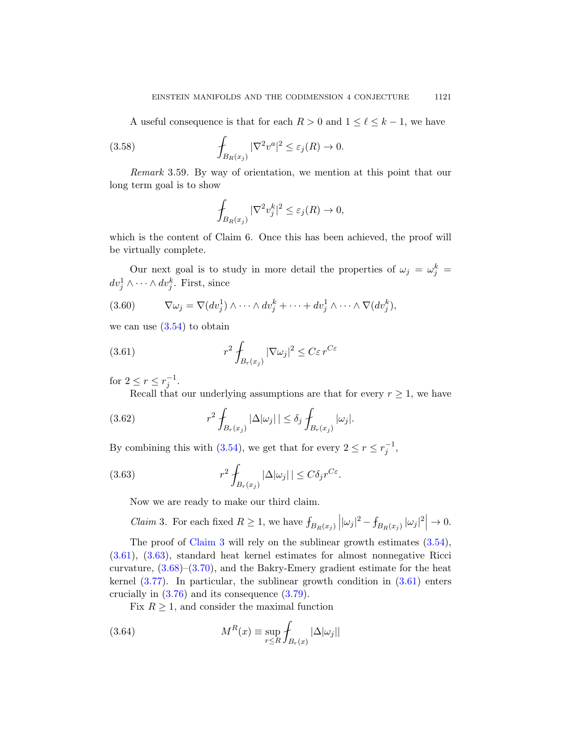A useful consequence is that for each  $R > 0$  and  $1 \leq \ell \leq k - 1$ , we have

<span id="page-28-3"></span>(3.58) 
$$
\int_{B_R(x_j)} |\nabla^2 v^a|^2 \leq \varepsilon_j(R) \to 0.
$$

Remark 3.59. By way of orientation, we mention at this point that our long term goal is to show

$$
\oint_{B_R(x_j)} |\nabla^2 v_j^k|^2 \le \varepsilon_j(R) \to 0,
$$

which is the content of Claim 6. Once this has been achieved, the proof will be virtually complete.

<span id="page-28-1"></span>Our next goal is to study in more detail the properties of  $\omega_j = \omega_j^k =$  $dv_j^1 \wedge \cdots \wedge dv_j^k$ . First, since

(3.60) 
$$
\nabla \omega_j = \nabla (dv_j^1) \wedge \cdots \wedge dv_j^k + \cdots + dv_j^1 \wedge \cdots \wedge \nabla (dv_j^k),
$$

we can use  $(3.54)$  to obtain

(3.61) 
$$
r^2 \int_{B_r(x_j)} |\nabla \omega_j|^2 \leq C \varepsilon r^{C \varepsilon}
$$

<span id="page-28-2"></span>for  $2 \leq r \leq r_j^{-1}$ .

Recall that our underlying assumptions are that for every  $r \geq 1$ , we have

(3.62) 
$$
r^2 \int_{B_r(x_j)} |\Delta|\omega_j| \leq \delta_j \int_{B_r(x_j)} |\omega_j|.
$$

<span id="page-28-0"></span>By combining this with (3.54), we get that for every  $2 \le r \le r_j^{-1}$ ,

(3.63) 
$$
r^2 \int_{B_r(x_j)} |\Delta |\omega_j| \le C \delta_j r^{C\varepsilon}.
$$

Now we are ready to make our third [claim](#page-28-1).

*Claim* 3. F[or eac](#page-32-0)h fixed  $R \geq 1$ , we have  $\int_{B_R(x_j)}$  $\left| |\omega_j|^2 - f_{B_R(x_j)} |\omega_j|^2 \right| \to 0.$ 

The proof of Claim 3 will rely on the sublinear growth estimates (3.54), (3.61), (3.63), standard heat kernel estimates for almost nonnegative Ricci curvature,  $(3.68)$ – $(3.70)$ , and the Bakry-Emery gradient estimate for the heat kernel (3.77). In particular, the sublinear growth condition in (3.61) enters crucially in (3.76) and its consequence (3.79).

Fix  $R \geq 1$ , and consider the maximal function

(3.64) 
$$
M^{R}(x) \equiv \sup_{r \leq R} \int_{B_{r}(x)} |\Delta|\omega_{j}|
$$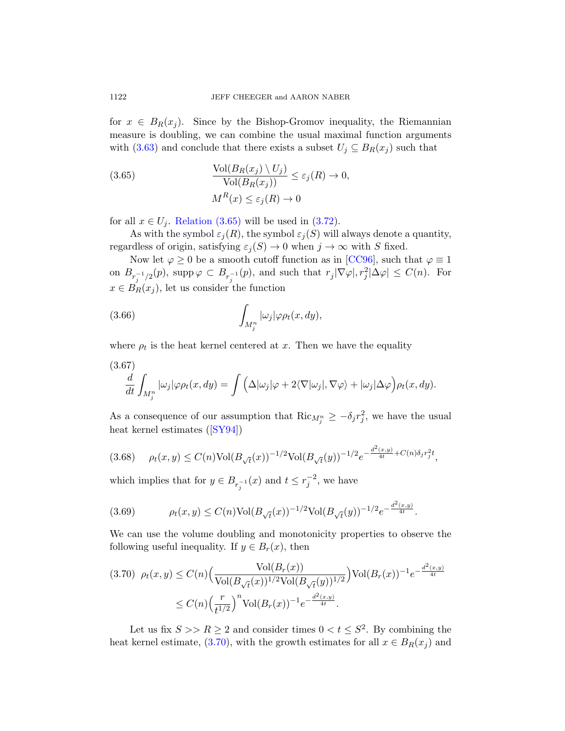<span id="page-29-1"></span>for  $x \in B_R(x_i)$ . Since by the Bishop-Gromov inequality, the Riemannian [measure](#page-29-1) is doubling, w[e can](#page-30-0) combine the usual maximal function arguments with (3.63) and conclude that there exists a subset  $U_j \subseteq B_R(x_j)$  such that

(3.65) 
$$
\frac{\text{Vol}(B_R(x_j) \setminus U_j)}{\text{Vol}(B_R(x_j))} \le \varepsilon_j(R) \to 0,
$$

$$
M^R(x) \le \varepsilon_j(R) \to 0
$$

for all  $x \in U_j$ . Relation (3.65) will be used in (3.72).

As with the symbol  $\varepsilon_j(R)$ , the symbol  $\varepsilon_j(S)$  will always denote a quantity, regardless of origin, satisfying  $\varepsilon_i(S) \to 0$  when  $j \to \infty$  with S fixed.

<span id="page-29-2"></span>Now let  $\varphi \geq 0$  be a smooth cutoff function as in [CC96], such that  $\varphi \equiv 1$ on  $B_{r_j^{-1}/2}(p)$ , supp  $\varphi \subset B_{r_j^{-1}}(p)$ , and such that  $r_j|\nabla \varphi|, r_j^2|\Delta \varphi| \leq C(n)$ . For  $x \in B_R(x_i)$ , let us consider the function

(3.66) 
$$
\int_{M_j^n} |\omega_j| \varphi \rho_t(x, dy),
$$

[where](#page-71-5)  $\rho_t$  is the heat kernel centered at x. Then we have the equality

<span id="page-29-0"></span>(3.67)  
\n
$$
\frac{d}{dt} \int_{M_j^n} |\omega_j| \varphi \rho_t(x, dy) = \int \left( \Delta |\omega_j| \varphi + 2 \langle \nabla |\omega_j|, \nabla \varphi \rangle + |\omega_j| \Delta \varphi \right) \rho_t(x, dy).
$$

As a consequence of our assumption that  $\text{Ric}_{M_j^n} \geq -\delta_j r_j^2$ , we have the usual heat kernel estimates ([SY94])

$$
(3.68) \quad \rho_t(x,y) \le C(n) \text{Vol}(B_{\sqrt{t}}(x))^{-1/2} \text{Vol}(B_{\sqrt{t}}(y))^{-1/2} e^{-\frac{d^2(x,y)}{4t} + C(n)\delta_j r_j^2 t},
$$

which implies that for  $y \in B_{r_j^{-1}}(x)$  and  $t \leq r_j^{-2}$ , we have

$$
(3.69) \qquad \rho_t(x,y) \le C(n) \text{Vol}(B_{\sqrt{t}}(x))^{-1/2} \text{Vol}(B_{\sqrt{t}}(y))^{-1/2} e^{-\frac{d^2(x,y)}{4t}}.
$$

We can use the volume doubling and monotonicity properties to observe the following useful inequality. If  $y \in B_r(x)$ , then

$$
(3.70) \ \rho_t(x,y) \le C(n) \Big( \frac{\text{Vol}(B_r(x))}{\text{Vol}(B_{\sqrt{t}}(x))^{1/2} \text{Vol}(B_{\sqrt{t}}(y))^{1/2}} \Big) \text{Vol}(B_r(x))^{-1} e^{-\frac{d^2(x,y)}{4t}}
$$

$$
\le C(n) \Big( \frac{r}{t^{1/2}} \Big)^n \text{Vol}(B_r(x))^{-1} e^{-\frac{d^2(x,y)}{4t}}.
$$

Let us fix  $S \ge R \ge 2$  and consider times  $0 < t \le S^2$ . By combining the heat kernel estimate, (3.70), with the growth estimates for all  $x \in B_R(x_j)$  and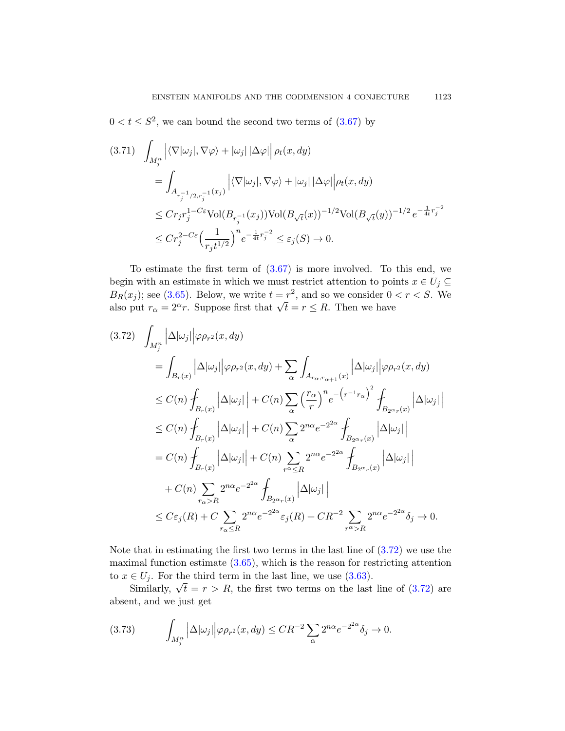$0 < t \leq S^2$ , we can bound the second two terms of  $(3.67)$  by

$$
(3.71) \quad \int_{M_j^n} \left| \langle \nabla |\omega_j|, \nabla \varphi \rangle + |\omega_j| |\Delta \varphi| \right| \rho_t(x, dy)
$$
  
\n
$$
= \int_{A_{r_j^{-1}/2, r_j^{-1}}(x_j)} \left| \langle \nabla |\omega_j|, \nabla \varphi \rangle + |\omega_j| |\Delta \varphi| \right| \rho_t(x, dy)
$$
  
\n
$$
\leq C r_j r_j^{1-C\varepsilon} \text{Vol}(B_{r_j^{-1}}(x_j)) \text{Vol}(B_{\sqrt{t}}(x))^{-1/2} \text{Vol}(B_{\sqrt{t}}(y))^{-1/2} e^{-\frac{1}{4t} r_j^{-2}}
$$
  
\n
$$
\leq C r_j^{2-C\varepsilon} \Big( \frac{1}{r_j t^{1/2}} \Big)^n e^{-\frac{1}{4t} r_j^{-2}} \leq \varepsilon_j(S) \to 0.
$$

<span id="page-30-0"></span>To estimate the first term of  $(3.67)$  is more involved. To this end, we begin with an estimate in which we must restrict attention to points  $x \in U_i \subseteq$  $B_R(x_j)$ ; see (3.65). Below, we write  $t = r^2$ , and so we consider  $0 < r < S$ . We  $BR(x_j)$ ; see (5.05). Below, we write  $t = r$ , and so we consider 0 also put  $r_{\alpha} = 2^{\alpha}r$ . Suppose first that  $\sqrt{t} = r \leq R$ . Then we have

$$
(3.72) \int_{M_j^n} \left| \Delta |\omega_j| \right| \varphi \rho_{r^2}(x, dy)
$$
  
\n
$$
= \int_{B_r(x)} \left| \Delta |\omega_j| \right| \varphi \rho_{r^2}(x, dy) + \sum_{\alpha} \int_{A_{r_{\alpha}, r_{\alpha+1}}(x)} \left| \Delta |\omega_j| \right| \varphi \rho_{r^2}(x, dy)
$$
  
\n
$$
\leq C(n) \int_{B_r(x)} \left| \Delta |\omega_j| \right| + C(n) \sum_{\alpha} \left( \frac{r_{\alpha}}{r} \right)^n e^{-\left( r^{-1} r_{\alpha} \right)^2} \int_{B_{2\alpha_r}(x)} \left| \Delta |\omega_j| \right|
$$
  
\n
$$
\leq C(n) \int_{B_r(x)} \left| \Delta |\omega_j| \right| + C(n) \sum_{\alpha} 2^{n\alpha} e^{-2^{2\alpha}} \int_{B_{2\alpha_r}(x)} \left| \Delta |\omega_j| \right|
$$
  
\n
$$
= C(n) \int_{B_r(x)} \left| \Delta |\omega_j| \right| + C(n) \sum_{r^{\alpha} \leq R} 2^{n\alpha} e^{-2^{2\alpha}} \int_{B_{2\alpha_r}(x)} \left| \Delta |\omega_j| \right|
$$
  
\n
$$
+ C(n) \sum_{r_{\alpha} > R} 2^{n\alpha} e^{-2^{2\alpha}} \int_{B_{2\alpha_r}(x)} \left| \Delta |\omega_j| \right|
$$
  
\n
$$
\leq C \varepsilon_j(R) + C \sum_{r_{\alpha} \leq R} 2^{n\alpha} e^{-2^{2\alpha}} \varepsilon_j(R) + C R^{-2} \sum_{r^{\alpha} > R} 2^{n\alpha} e^{-2^{2\alpha}} \delta_j \to 0.
$$

Note that in estimating the first two terms in the last line of  $(3.72)$  we use the maximal function estimate (3.65), which is the reason for restricting attention to  $x \in U_i$ . For the third term in the last line, we use (3.63).

 $\in U_j$ . For the time term in the last line, we use (3.03).<br>Similarly,  $\sqrt{t} = r > R$ , the first two terms on the last line of (3.72) are absent, and we just get

$$
(3.73) \qquad \int_{M_j^n} \left| \Delta |\omega_j| \right| \varphi \rho_{r^2}(x, dy) \leq C R^{-2} \sum_{\alpha} 2^{n\alpha} e^{-2^{2\alpha}} \delta_j \to 0.
$$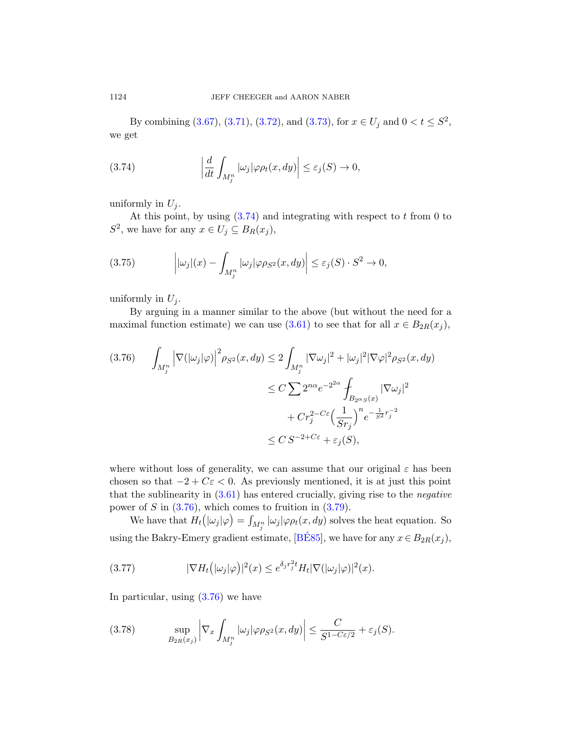By combining  $(3.67), (3.71), (3.72),$  and  $(3.73),$  for  $x \in U_j$  and  $0 < t \leq S^2$ , we ge[t](#page-31-0)

(3.74) 
$$
\left|\frac{d}{dt}\int_{M_j^n}|\omega_j|\varphi\rho_t(x,dy)\right|\leq\varepsilon_j(S)\to 0,
$$

uniformly in  $U_j$ .

At this point, by using  $(3.74)$  and integrating with respect to t from 0 to  $S^2$ , we have for any  $x \in U_j \subseteq B_R(x_j)$ ,

<span id="page-31-1"></span>(3.75) 
$$
\left| |\omega_j|(x) - \int_{M_j^n} |\omega_j| \varphi \rho_{S^2}(x, dy) \right| \leq \varepsilon_j(S) \cdot S^2 \to 0,
$$

uniformly in  $U_j$ .

By arguing in a manner similar to the above (but without the need for a maximal function estimate) we can use  $(3.61)$  to see that for all  $x \in B_{2R}(x_i)$ ,

$$
(3.76) \qquad \int_{M_j^n} \left| \nabla (|\omega_j| \varphi) \right|^2 \rho_{S^2}(x, dy) \le 2 \int_{M_j^n} |\nabla \omega_j|^2 + |\omega_j|^2 |\nabla \varphi|^2 \rho_{S^2}(x, dy)
$$

$$
\le C \sum 2^{n\alpha} e^{-2^{2\alpha}} \int_{B_{2\alpha S}(x)} |\nabla \omega_j|^2
$$

$$
+ Cr_j^{2-C\varepsilon} \Big(\frac{1}{Sr_j}\Big)^n e^{-\frac{1}{S^2}r_j^{-2}}
$$

$$
\le C S^{-2+C\varepsilon} + \varepsilon_j(S),
$$

where without loss of generality, we can assume that our original  $\varepsilon$  has been chosen so that  $-2 + C\varepsilon < 0$ . As previously mentioned, it is at just this point that the sublinearity in  $(3.61)$  has entered crucially, giving rise to the *negative* [po](#page-31-1)wer of S in  $(3.76)$ , which comes to fruition in  $(3.79)$ .

We have that  $H_t(|\omega_j|\varphi) = \int_{M_j^n} |\omega_j|\varphi \rho_t(x, dy)$  solves the heat equation. So using the Bakry-Emery gradient estimate, [BÉ85], we have for any  $x \in B_{2R}(x_j),$ 

(3.77) 
$$
|\nabla H_t(|\omega_j|\varphi)|^2(x) \leq e^{\delta_j r_j^2 t} H_t |\nabla (|\omega_j|\varphi)|^2(x).
$$

In particular, using  $(3.76)$  we have

(3.78) 
$$
\sup_{B_{2R}(x_j)} \left| \nabla_x \int_{M_j^n} |\omega_j| \varphi \rho_{S^2}(x, dy) \right| \leq \frac{C}{S^{1-C\varepsilon/2}} + \varepsilon_j(S).
$$

<span id="page-31-0"></span>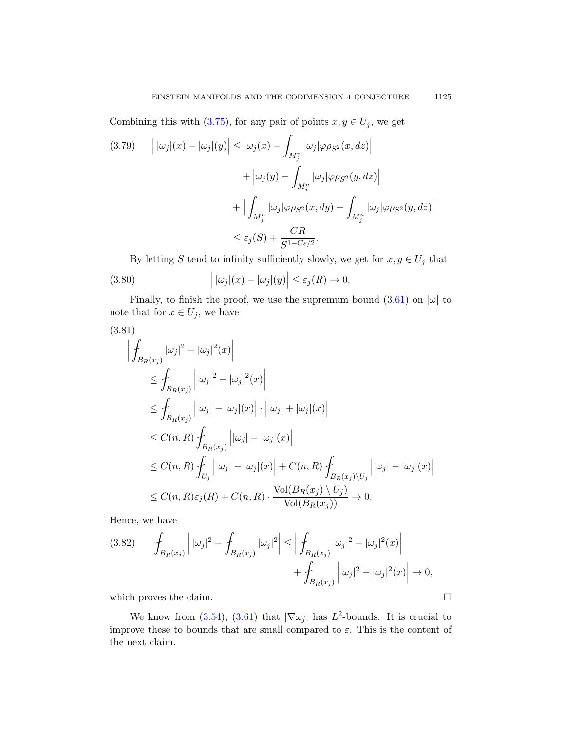<span id="page-32-0"></span>Combining this with (3.75), for any pair of points  $x, y \in U_j$ , we get

$$
(3.79) \qquad \left| \left| \omega_j \right| (x) - \left| \omega_j \right| (y) \right| \le \left| \omega_j (x) - \int_{M_j^n} |\omega_j| \varphi \rho_{S^2}(x, dz) \right|
$$

$$
+ \left| \omega_j (y) - \int_{M_j^n} |\omega_j| \varphi \rho_{S^2}(y, dz) \right|
$$

$$
+ \left| \int_{M_j^n} |\omega_j| \varphi \rho_{S^2}(x, dy) - \int_{M_j^n} |\omega_j| \varphi \rho_{S^2}(y, dz) \right|
$$

$$
\le \varepsilon_j (S) + \frac{CR}{S^{1 - C\varepsilon/2}}.
$$

By letting  $S$  tend to infinity sufficiently slowly, we get for  $x,y\in U_j$  that (3.80)  $|\omega_j|(x) - |\omega_j|(y)| \leq \varepsilon_j(R) \to 0.$ 

Finally, to finish the proof, we use the supremum bound  $(3.61)$  on  $|\omega|$  to note that for  $x \in U_j$ , we have

$$
(3.81)
$$
\n
$$
\left| \oint_{B_R(x_j)} |\omega_j|^2 - |\omega_j|^2(x) \right|
$$
\n
$$
\leq \oint_{B_R(x_j)} \left| |\omega_j|^2 - |\omega_j|^2(x) \right|
$$
\n
$$
\leq \oint_{B_R(x_j)} \left| |\omega_j| - |\omega_j|(x) \right| \cdot \left| |\omega_j| + |\omega_j|(x) \right|
$$
\n
$$
\leq C(n, R) \oint_{B_R(x_j)} \left| |\omega_j| - |\omega_j|(x) \right|
$$
\n
$$
\leq C(n, R) \oint_{U_j} \left| |\omega_j| - |\omega_j|(x) \right| + C(n, R) \oint_{B_R(x_j) \setminus U_j} \left| |\omega_j| - |\omega_j|(x) \right|
$$
\n
$$
\leq C(n, R) \varepsilon_j(R) + C(n, R) \cdot \frac{\text{Vol}(B_R(x_j) \setminus U_j)}{\text{Vol}(B_R(x_j))} \to 0.
$$

Hence, we have

$$
(3.82) \qquad \int_{B_R(x_j)} \left| |\omega_j|^2 - \int_{B_R(x_j)} |\omega_j|^2 \right| \le \left| \int_{B_R(x_j)} |\omega_j|^2 - |\omega_j|^2(x) \right| + \int_{B_R(x_j)} |\omega_j|^2 - |\omega_j|^2(x) \right| \to 0,
$$

which proves the claim.  $\Box$ 

We know from (3.54), (3.61) that  $|\nabla \omega_j|$  has  $L^2$ -bounds. It is crucial to improve these to bounds that are small compared to  $\varepsilon$ . This is the content of the next claim.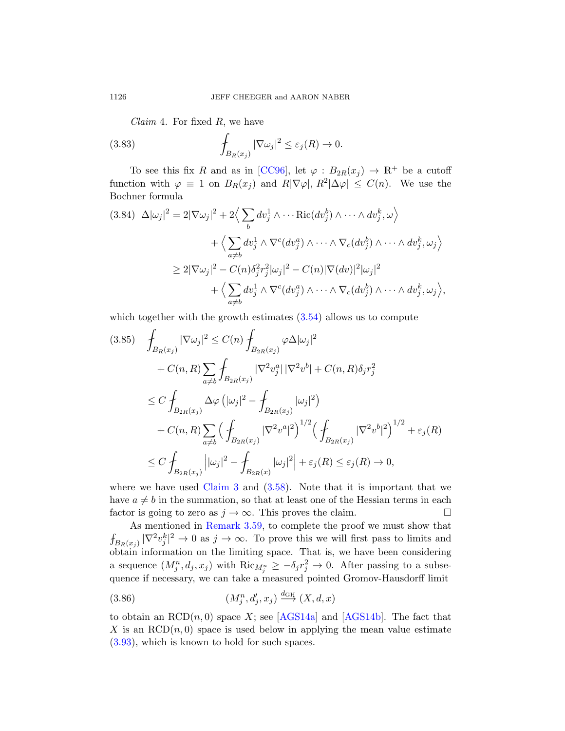*Claim* 4. For fixed  $R$ , we have

(3.83) 
$$
\int_{B_R(x_j)} |\nabla \omega_j|^2 \leq \varepsilon_j(R) \to 0.
$$

To see this fix R and as in [CC96], let  $\varphi : B_{2R}(x_j) \to \mathbb{R}^+$  be a cutoff function with  $\varphi \equiv 1$  on  $B_R(x_j)$  and  $R|\nabla \varphi|, R^2|\Delta \varphi| \leq C(n)$ . We use the Bochner formula

$$
(3.84) \quad \Delta |\omega_j|^2 = 2|\nabla \omega_j|^2 + 2\Big\langle \sum_b dv_j^1 \wedge \cdots \text{Ric}(dv_j^b) \wedge \cdots \wedge dv_j^k, \omega \Big\rangle
$$

$$
+ \Big\langle \sum_{a \neq b} dv_j^1 \wedge \nabla^c (dv_j^a) \wedge \cdots \wedge \nabla_c (dv_j^b) \wedge \cdots \wedge dv_j^k, \omega_j \Big\rangle
$$

$$
\geq 2|\nabla \omega_j|^2 - C(n)\delta_j^2 r_j^2 |\omega_j|^2 - C(n)|\nabla (dv_j^a)|^2 |\omega_j|^2
$$

$$
+ \Big\langle \sum_{a \neq b} dv_j^1 \wedge \nabla^c (dv_j^a) \wedge \cdots \wedge \nabla_c (dv_j^b) \wedge \cdots \wedge dv_j^k, \omega_j \Big\rangle,
$$

which together with the growth estimates  $(3.54)$  allows us to compute

$$
(3.85) \quad \int_{B_R(x_j)} |\nabla \omega_j|^2 \le C(n) \int_{B_{2R}(x_j)} \varphi \Delta |\omega_j|^2 \n+ C(n, R) \sum_{a \neq b} \int_{B_{2R}(x_j)} |\nabla^2 v_j^a| |\nabla^2 v^b| + C(n, R) \delta_j r_j^2 \n\le C \int_{B_{2R}(x_j)} \Delta \varphi (|\omega_j|^2 - \int_{B_{2R}(x_j)} |\omega_j|^2) \n+ C(n, R) \sum_{a \neq b} (\int_{B_{2R}(x_j)} |\nabla^2 v^a|^2)^{1/2} (\int_{B_{2R}(x_j)} |\nabla^2 v^b|^2)^{1/2} + \varepsilon_j(R) \n\le C \int_{B_{2R}(x_j)} |\omega_j|^2 - \int_{B_{2R}(x)} |\omega_j|^2 + \varepsilon_j(R) \le \varepsilon_j(R) \to 0,
$$

where we have used Claim  $3$  and  $(3.58)$ . Note that it is important that we have  $a \neq b$  in the summation, so that at least one of the Hessian terms in each factor is going to zero as  $j \to \infty$ . This proves the claim.

As mentioned in Remark 3.59, to complete the proof we must show that  $\int_{B_R(x_j)} |\nabla^2 v_j^k|^2 \to 0$  as  $j \to \infty$ [. To pro](#page-69-3)ve this we will first pass to limits and obtain information on the limiting space. That is, we have been considering a sequence  $(M_j^n, d_j, x_j)$  with  $\text{Ric}_{M_j^n} \geq -\delta_j r_j^2 \to 0$ . After passing to a subsequence if necessary, we can take a measured pointed Gromov-Hausdorff limit

$$
(3.86) \t\t\t\t(M_j^n, d_j', x_j) \xrightarrow{d_{\text{GH}}} (X, d, x)
$$

to obtain an  $RCD(n, 0)$  space X; see [AGS14a] and [AGS14b]. The fact that X is an  $RCD(n, 0)$  space is used below in applying the mean value estimate (3.93), which is known to hold for such spaces.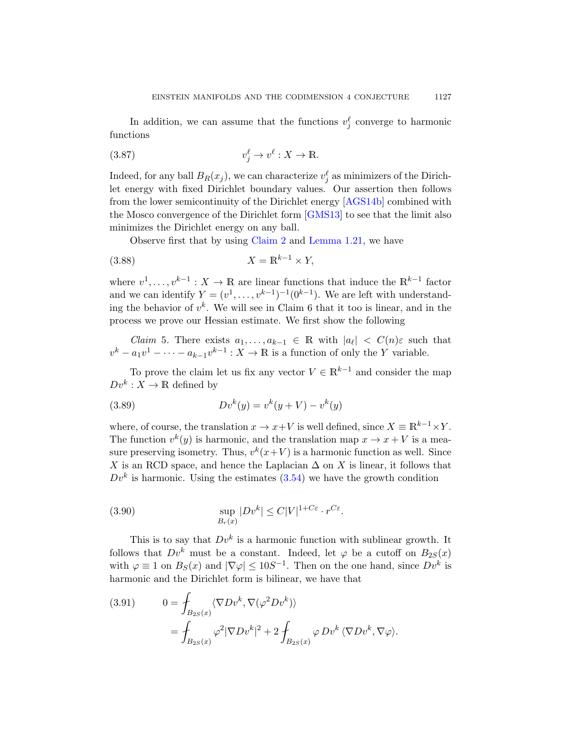In addition, we can assu[me that t](#page-69-3)he functions  $v_j^{\ell}$  converge to harmonic functions

$$
(3.87) \t v_j^{\ell} \to v^{\ell} : X \to \mathbb{R}.
$$

Indeed, for any ball  $B_R(x_j)$ , we can characterize  $v_j^{\ell}$  as minimizers of the Dirichlet energy with fixed Dirichlet boundary values. Our assertion then follows from the lower semicontinuity of the Dirichlet energy [AGS14b] combined with the Mosco convergence of the Dirichlet form [GMS13] to see that the limit also minimizes the Dirichlet energy on any ball.

Observe first that by using Claim 2 and Lemma 1.21, we have

<span id="page-34-0"></span>
$$
(3.88)\t\t\t X = \mathbb{R}^{k-1} \times Y,
$$

where  $v^1, \ldots, v^{k-1}: X \to \mathbb{R}$  are linear functions that induce the  $\mathbb{R}^{k-1}$  factor and we can identify  $Y = (v^1, \ldots, v^{k-1})^{-1} (0^{k-1})$ . We are left with understanding the behavior of  $v^k$ . We will see in Claim 6 that it too is linear, and in the process we prove our Hessian estimate. We first show the following

*Claim* 5. There exists  $a_1, \ldots, a_{k-1} \in \mathbb{R}$  with  $|a_{\ell}| < C(n)\varepsilon$  such that  $v^k - a_1v^1 - \cdots - a_{k-1}v^{k-1}$  :  $X \to \mathbb{R}$  is a function of only the Y variable.

To prove the claim let us fix any vector  $V \in \mathbb{R}^{k-1}$  and consider the map  $Dv^k: X \to \mathbb{R}$  defined by

(3.89) 
$$
Dv^{k}(y) = v^{k}(y + V) - v^{k}(y)
$$

where, of course, the translation  $x \to x+V$  is well defined, since  $X \equiv \mathbb{R}^{k-1} \times Y$ . The function  $v^k(y)$  is harmonic, and the translation map  $x \to x + V$  is a measure preserving isometry. Thus,  $v^k(x+V)$  is a harmonic function as well. Since X is an RCD space, and hence the Laplacian  $\Delta$  on X is linear, it follows that  $Dv<sup>k</sup>$  is harmonic. Using the estimates  $(3.54)$  we have the growth condition

(3.90) 
$$
\sup_{B_r(x)} |Dv^k| \leq C|V|^{1+C\varepsilon} \cdot r^{C\varepsilon}.
$$

This is to say that  $Dv^k$  is a harmonic function with sublinear growth. It follows that  $Dv^k$  must be a constant. Indeed, let  $\varphi$  be a cutoff on  $B_{2S}(x)$ with  $\varphi \equiv 1$  on  $B_S(x)$  and  $|\nabla \varphi| \leq 10S^{-1}$ . Then on the one hand, since  $Dv^k$  is harmonic and the Dirichlet form is bilinear, we have that

(3.91) 
$$
0 = \int_{B_{2S}(x)} \langle \nabla Dv^k, \nabla (\varphi^2 Dv^k) \rangle
$$

$$
= \int_{B_{2S}(x)} \varphi^2 |\nabla Dv^k|^2 + 2 \int_{B_{2S}(x)} \varphi Dv^k \langle \nabla Dv^k, \nabla \varphi \rangle.
$$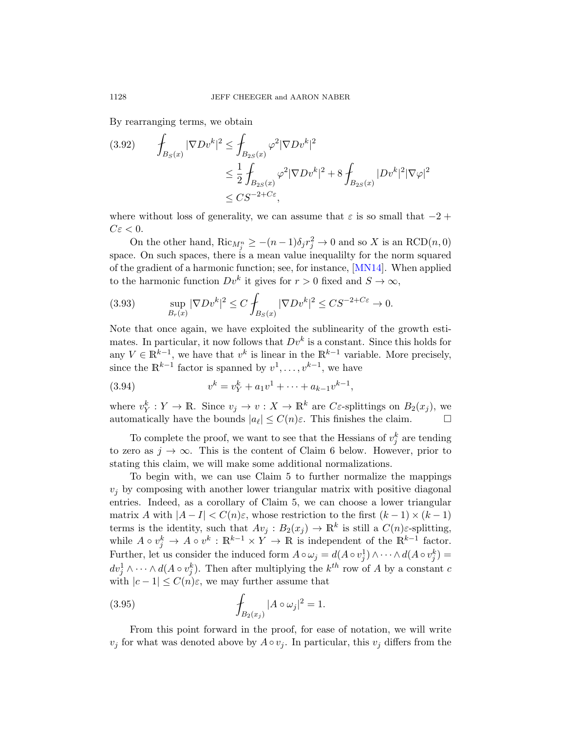By rearranging terms, we obtain

$$
(3.92) \qquad \int_{B_S(x)} |\nabla Dv^k|^2 \le \int_{B_{2S}(x)} \varphi^2 |\nabla Dv^k|^2
$$
  

$$
\le \frac{1}{2} \int_{B_{2S}(x)} \varphi^2 |\nabla Dv^k|^2 + 8 \int_{B_{2S}(x)} |Dv^k|^2 |\nabla \varphi|^2
$$
  

$$
\le CS^{-2+C\varepsilon},
$$

where without loss of generality, we can assume that  $\varepsilon$  is so small that  $-2 +$  $C\varepsilon < 0$ .

On the other hand,  $\text{Ric}_{M_j^n} \ge -(n-1)\delta_j r_j^2 \to 0$  and so X is an  $\text{RCD}(n,0)$ space. On such spaces, there is a mean value inequalilty for the norm squared of the gradient of a harmonic function; see, for instance, [MN14]. When applied to the harmonic function  $Dv^k$  it gives for  $r > 0$  fixed and  $S \to \infty$ ,

(3.93) 
$$
\sup_{B_r(x)} |\nabla Dv^k|^2 \le C \int_{B_S(x)} |\nabla Dv^k|^2 \le CS^{-2+C\epsilon} \to 0.
$$

Note that once again, we have exploited the sublinearity of the growth estimates. In particular, it now follows that  $Dv^k$  is a constant. Since this holds for any  $V \in \mathbb{R}^{k-1}$ , we have that  $v^k$  is linear in the  $\mathbb{R}^{k-1}$  variable. More precisely, since the  $\mathbb{R}^{k-1}$  factor is spanned by  $v^1, \ldots, v^{k-1}$ , we have

(3.94) 
$$
v^k = v_Y^k + a_1 v^1 + \dots + a_{k-1} v^{k-1},
$$

where  $v_Y^k: Y \to \mathbb{R}$ . Since  $v_j \to v: X \to \mathbb{R}^k$  are C $\varepsilon$ -splittings on  $B_2(x_j)$ , we automatically have the bounds  $|a_\ell| \leq C(n)\varepsilon$ . This finishes the claim.

To complete the proof, we want to see that the Hessians of  $v_j^k$  are tending to zero as  $j \to \infty$ . This is the content of Claim 6 below. However, prior to stating this claim, we will make some additional normalizations.

To begin with, we can use Claim 5 to further normalize the mappings  $v_j$  by composing with another lower triangular matrix with positive diagonal entries. Indeed, as a corollary of Claim 5, we can choose a lower triangular matrix A with  $|A - I| < C(n)\varepsilon$ , whose restriction to the first  $(k-1) \times (k-1)$ terms is the identity, such that  $Av_j : B_2(x_j) \to \mathbb{R}^k$  is still a  $C(n)\varepsilon$ -splitting, while  $A \circ v_j^k \to A \circ v^k : \mathbb{R}^{k-1} \times Y \to \mathbb{R}$  is independent of the  $\mathbb{R}^{k-1}$  factor. Further, let us consider the induced form  $A \circ \omega_j = d(A \circ v_j^1) \wedge \cdots \wedge d(A \circ v_j^k) =$  $dv_j^1 \wedge \cdots \wedge d(A \circ v_j^k)$ . Then after multiplying the  $k^{th}$  row of A by a constant c with  $|c-1| \leq C(n)\varepsilon$ , we may further assume that

(3.95) 
$$
\int_{B_2(x_j)} |A \circ \omega_j|^2 = 1.
$$

From this point forward in the proof, for ease of notation, we will write  $v_j$  for what was denoted above by  $A \circ v_j$ . In particular, this  $v_j$  differs from the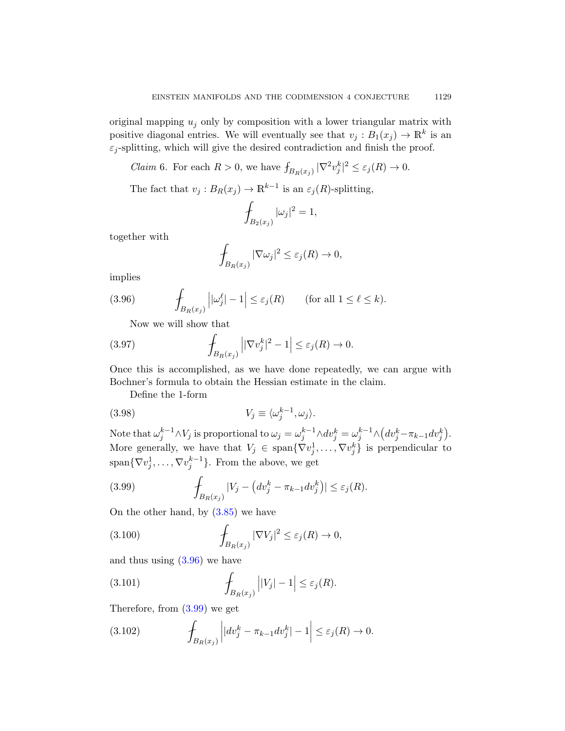original mapping  $u_i$  only by composition with a lower triangular matrix with positive diagonal entries. We will eventually see that  $v_j : B_1(x_j) \to \mathbb{R}^k$  is an  $\varepsilon_j$ -splitting, which will give the desired contradiction and finish the proof.

*Claim* 6. For each  $R > 0$ , we have  $\int_{B_R(x_j)} |\nabla^2 v_j^k|^2 \leq \varepsilon_j(R) \to 0$ .

The fact that  $v_j : B_R(x_j) \to \mathbb{R}^{k-1}$  is an  $\varepsilon_j(R)$ -splitting,

$$
\int_{B_2(x_j)} |\omega_j|^2 = 1,
$$

together with

$$
\oint_{B_R(x_j)} |\nabla \omega_j|^2 \leq \varepsilon_j(R) \to 0,
$$

implies

(3.96) 
$$
\int_{B_R(x_j)} \left| |\omega_j^{\ell}| - 1 \right| \leq \varepsilon_j(R) \quad \text{(for all } 1 \leq \ell \leq k).
$$

Now we will show that

(3.97) 
$$
\int_{B_R(x_j)} \left| |\nabla v_j^k|^2 - 1 \right| \leq \varepsilon_j(R) \to 0.
$$

Once this is accomplished, as we have done repeatedly, we can argue with Bochner's formula to obtain the Hessian estimate in the claim.

Define the 1-form

(3.98) 
$$
V_j \equiv \langle \omega_j^{k-1}, \omega_j \rangle.
$$

[Note t](#page-33-0)hat  $\omega_j^{k-1} \wedge V_j$  is proportional to  $\omega_j = \omega_j^{k-1} \wedge dv_j^k = \omega_j^{k-1} \wedge \left(dv_j^k - \pi_{k-1}dv_j^k\right)$ . More generally, we have that  $V_j \in \text{span}\{\nabla v_j^1, \dots, \nabla v_j^k\}$  is perpendicular to  $\text{span}\{\nabla v_j^1, \ldots, \nabla v_j^{k-1}\}.$  From the above, we get

(3.99) 
$$
\int_{B_R(x_j)} |V_j - (dv_j^k - \pi_{k-1} dv_j^k)| \leq \varepsilon_j(R).
$$

On the other hand, by  $(3.85)$  we have

<span id="page-36-0"></span>(3.100) 
$$
\int_{B_R(x_j)} |\nabla V_j|^2 \leq \varepsilon_j(R) \to 0,
$$

and thus using (3.96) we have

(3.101) 
$$
\int_{B_R(x_j)}\left|V_j\right|-1\right|\leq\varepsilon_j(R).
$$

Therefore, from (3.99) we get

(3.102) 
$$
\int_{B_R(x_j)} \left| |dv_j^k - \pi_{k-1} dv_j^k| - 1 \right| \leq \varepsilon_j(R) \to 0.
$$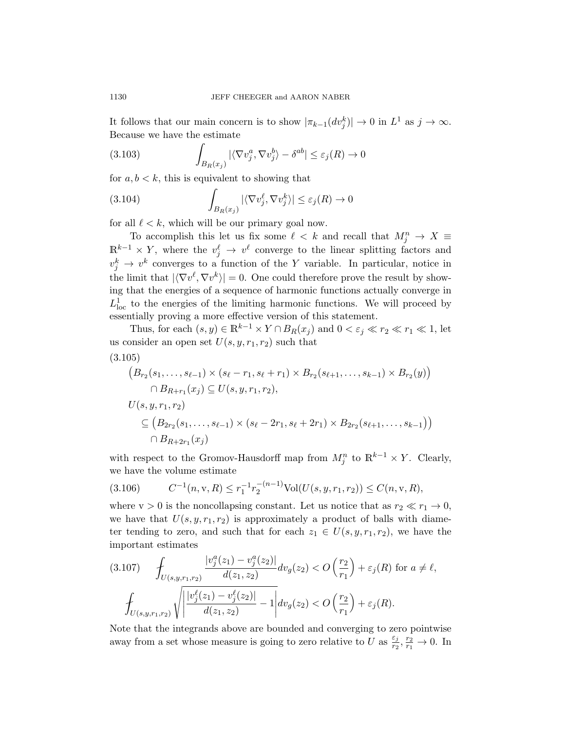It follows that our main concern is to show  $|\pi_{k-1}(dv_j^k)| \to 0$  in  $L^1$  as  $j \to \infty$ . Because we have the estimate

<span id="page-37-1"></span>(3.103) 
$$
\int_{B_R(x_j)} |\langle \nabla v_j^a, \nabla v_j^b \rangle - \delta^{ab}| \leq \varepsilon_j(R) \to 0
$$

for  $a, b < k$ , this is equivalent to showing that

<span id="page-37-0"></span>(3.104) 
$$
\int_{B_R(x_j)} |\langle \nabla v_j^{\ell}, \nabla v_j^{k} \rangle| \leq \varepsilon_j(R) \to 0
$$

for all  $\ell < k$ , which will be our primary goal now.

To accomplish this let us fix some  $\ell \leq k$  and recall that  $M_j^n \to X \equiv$  $\mathbb{R}^{k-1} \times Y$ , where the  $v_j^{\ell} \to v^{\ell}$  converge to the linear splitting factors and  $v_j^k \to v^k$  converges to a function of the Y variable. In particular, notice in the limit that  $|\langle \nabla v^{\ell}, \nabla v^k \rangle| = 0$ . One could therefore prove the result by showing that the energies of a sequence of harmonic functions actually converge in  $L^1_{\text{loc}}$  to the energies of the limiting harmonic functions. We will proceed by essentially proving a more effective version of this statement.

Thus, for each  $(s, y) \in \mathbb{R}^{k-1} \times Y \cap B_R(x_j)$  and  $0 < \varepsilon_j \ll r_2 \ll r_1 \ll 1$ , let us consider an open set  $U(s, y, r_1, r_2)$  such that

$$
(3.105)
$$

$$
(B_{r_2}(s_1, \ldots, s_{\ell-1}) \times (s_{\ell} - r_1, s_{\ell} + r_1) \times B_{r_2}(s_{\ell+1}, \ldots, s_{k-1}) \times B_{r_2}(y))
$$
  
\n
$$
\cap B_{R+r_1}(x_j) \subseteq U(s, y, r_1, r_2),
$$
  
\n
$$
U(s, y, r_1, r_2)
$$
  
\n
$$
\subseteq (B_{2r_2}(s_1, \ldots, s_{\ell-1}) \times (s_{\ell} - 2r_1, s_{\ell} + 2r_1) \times B_{2r_2}(s_{\ell+1}, \ldots, s_{k-1}))
$$
  
\n
$$
\cap B_{R+2r_1}(x_j)
$$

with respect to the Gromov-Hausdorff map from  $M_j^n$  to  $\mathbb{R}^{k-1} \times Y$ . Clearly, we have the volume estimate

$$
(3.106) \t C-1(n, v, R) \le r1-1r2-(n-1) Vol(U(s, y, r1, r2)) \le C(n, v, R),
$$

where  $v > 0$  is the noncollapsing constant. Let us notice that as  $r_2 \ll r_1 \to 0$ , we have that  $U(s, y, r_1, r_2)$  is approximately a product of balls with diameter tending to zero, and such that for each  $z_1 \in U(s, y, r_1, r_2)$ , we have the important estimates

$$
(3.107) \qquad \int_{U(s,y,r_1,r_2)} \frac{|v_j^a(z_1) - v_j^a(z_2)|}{d(z_1,z_2)} dv_g(z_2) < O\left(\frac{r_2}{r_1}\right) + \varepsilon_j(R) \text{ for } a \neq \ell,
$$
\n
$$
\int_{U(s,y,r_1,r_2)} \sqrt{\left|\frac{|v_j^{\ell}(z_1) - v_j^{\ell}(z_2)|}{d(z_1,z_2)} - 1\right|} dv_g(z_2) < O\left(\frac{r_2}{r_1}\right) + \varepsilon_j(R).
$$

Note that the integrands above are bounded and converging to zero pointwise away from a set whose measure is going to zero relative to U as  $\frac{\varepsilon_j}{n}$  $\frac{\varepsilon_j}{r_2}, \frac{r_2}{r_1} \to 0$ . In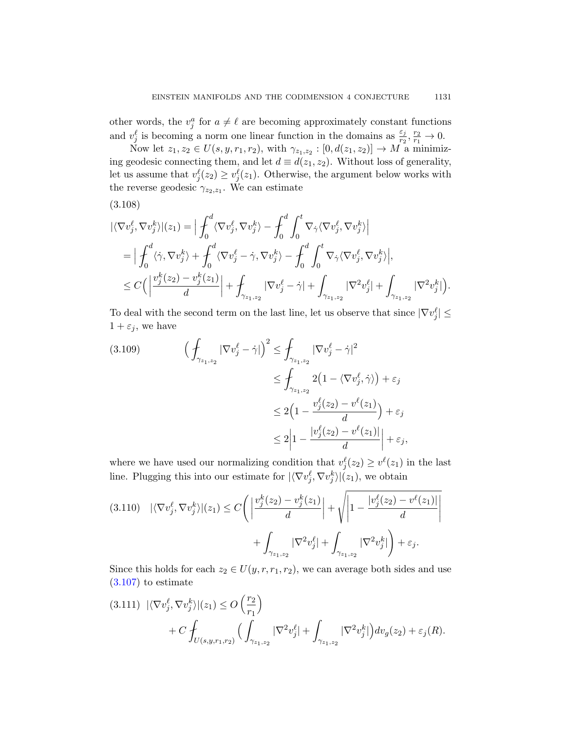other words, the  $v_j^a$  for  $a \neq \ell$  are becoming approximately constant functions and  $v_j^{\ell}$  is becoming a norm one linear function in the domains as  $\frac{\varepsilon_j}{r_2}, \frac{r_2}{r_1} \to 0$ .

Now let  $z_1, z_2 \in U(s, y, r_1, r_2)$ , with  $\gamma_{z_1, z_2} : [0, d(z_1, z_2)] \to M$  a minimizing geodesic connecting them, and let  $d \equiv d(z_1, z_2)$ . Without loss of generality, let us assume that  $v_j^{\ell}(z_2) \geq v_j^{\ell}(z_1)$ . Otherwise, the argument below works with the reverse geodesic  $\gamma_{z_2,z_1}$ . We can estimate

(3.108)

$$
\begin{split}\n&|\langle \nabla v_j^{\ell}, \nabla v_j^{k}\rangle|(z_1) = \Big| \int_0^d \langle \nabla v_j^{\ell}, \nabla v_j^{k}\rangle - \int_0^d \int_0^t \nabla_{\dot{\gamma}} \langle \nabla v_j^{\ell}, \nabla v_j^{k}\rangle \Big| \\
&= \Big| \int_0^d \langle \dot{\gamma}, \nabla v_j^{k}\rangle + \int_0^d \langle \nabla v_j^{\ell} - \dot{\gamma}, \nabla v_j^{k}\rangle - \int_0^d \int_0^t \nabla_{\dot{\gamma}} \langle \nabla v_j^{\ell}, \nabla v_j^{k}\rangle \Big|, \\
&\leq C\Big( \Big| \frac{v_j^{k}(z_2) - v_j^{k}(z_1)}{d} \Big| + \int_{\gamma_{z_1, z_2}} |\nabla v_j^{\ell} - \dot{\gamma}| + \int_{\gamma_{z_1, z_2}} |\nabla^2 v_j^{\ell}| + \int_{\gamma_{z_1, z_2}} |\nabla^2 v_j^{k}| \Big). \n\end{split}
$$

To deal with the second term on the last line, let us observe that since  $|\nabla v_j^{\ell}| \leq$  $1 + \varepsilon_j$ , we have

$$
(3.109) \qquad \left(\begin{aligned} \int_{\gamma_{z_1,z_2}} |\nabla v_j^{\ell} - \dot{\gamma}| \right)^2 &\leq \int_{\gamma_{z_1,z_2}} |\nabla v_j^{\ell} - \dot{\gamma}|^2 \\ &\leq \int_{\gamma_{z_1,z_2}} 2\big(1 - \langle \nabla v_j^{\ell}, \dot{\gamma} \rangle \big) + \varepsilon_j \\ &\leq 2\Big(1 - \frac{v_j^{\ell}(z_2) - v^{\ell}(z_1)}{d}\Big) + \varepsilon_j \\ &\leq 2\Big|1 - \frac{|v_j^{\ell}(z_2) - v^{\ell}(z_1)|}{d}\Big| + \varepsilon_j, \end{aligned}
$$

where we have used our normalizing condition that  $v_j^{\ell}(z_2) \geq v^{\ell}(z_1)$  in the last line. Plugging this into our estimate for  $|\langle \nabla v_j^{\ell}, \nabla v_j^k \rangle |(z_1)$ , we obtain

$$
(3.110) \quad |\langle \nabla v_j^{\ell}, \nabla v_j^{k} \rangle|(z_1) \le C \Bigg( \left| \frac{v_j^{k}(z_2) - v_j^{k}(z_1)}{d} \right| + \sqrt{\left| 1 - \frac{|v_j^{\ell}(z_2) - v^{\ell}(z_1)|}{d} \right|} + \int_{\gamma_{z_1, z_2}} |\nabla^2 v_j^{\ell}| + \int_{\gamma_{z_1, z_2}} |\nabla^2 v_j^{k}| \Bigg) + \varepsilon_j.
$$

Since this holds for each  $z_2 \in U(y, r, r_1, r_2)$ , we can average both sides and use  $(3.107)$  to estimate

$$
(3.111) \ |\langle \nabla v_j^{\ell}, \nabla v_j^{k} \rangle|(z_1) \le O\left(\frac{r_2}{r_1}\right) + C \int_{U(s,y,r_1,r_2)} \Big( \int_{\gamma_{z_1,z_2}} |\nabla^2 v_j^{\ell}| + \int_{\gamma_{z_1,z_2}} |\nabla^2 v_j^{k}| \Big) dv_g(z_2) + \varepsilon_j(R).
$$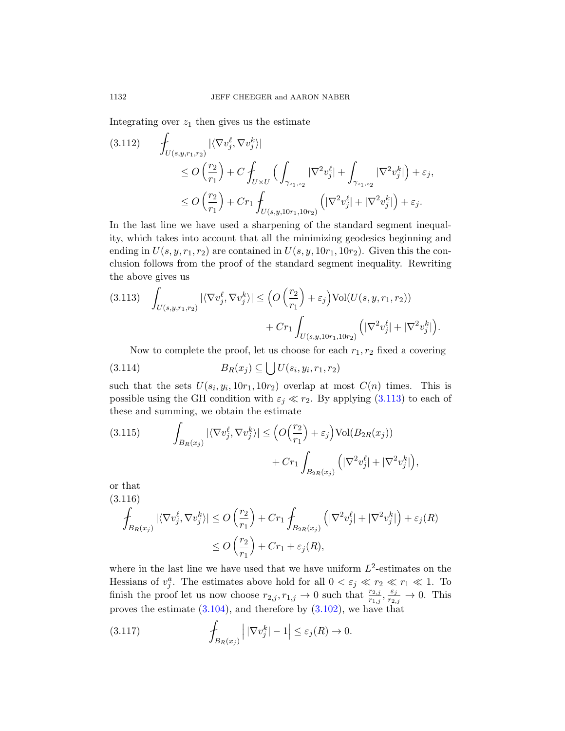Integrating over  $z_1$  then gives us the estimate

$$
(3.112) \qquad \int_{U(s,y,r_1,r_2)} |\langle \nabla v_j^{\ell}, \nabla v_j^k \rangle|
$$
  
\n
$$
\leq O\left(\frac{r_2}{r_1}\right) + C \int_{U \times U} \left(\int_{\gamma_{z_1,z_2}} |\nabla^2 v_j^{\ell}| + \int_{\gamma_{z_1,z_2}} |\nabla^2 v_j^k| \right) + \varepsilon_j,
$$
  
\n
$$
\leq O\left(\frac{r_2}{r_1}\right) + C r_1 \int_{U(s,y,10r_1,10r_2)} \left(|\nabla^2 v_j^{\ell}| + |\nabla^2 v_j^k| \right) + \varepsilon_j.
$$

<span id="page-39-0"></span>In the last line we have used a sharpening of the standard segment inequality, which takes into account that all the minimizing geodesics beginning and ending in  $U(s, y, r_1, r_2)$  are contained in  $U(s, y, 10r_1, 10r_2)$ . Given this the conclusion follows from the proof of the standard segment inequality. Rewriting the above gives us

$$
(3.113) \quad \int_{U(s,y,r_1,r_2)} |\langle \nabla v_j^{\ell}, \nabla v_j^k \rangle| \le \left( O\left(\frac{r_2}{r_1}\right) + \varepsilon_j \right) \text{Vol}(U(s,y,r_1,r_2)) + Cr_1 \int_{U(s,y,10r_1,10r_2)} \left( |\nabla^2 v_j^{\ell}| + |\nabla^2 v_j^k| \right).
$$

Now to complete the proof, let us choose for each  $r_1, r_2$  fixed a covering

$$
(3.114) \t\t BR(xj) \subseteq \bigcup U(si, yi, r1, r2)
$$

such that the sets  $U(s_i, y_i, 10r_1, 10r_2)$  overlap at most  $C(n)$  times. This is possible using the GH condition with  $\varepsilon_j \ll r_2$ . By applying (3.113) to each of these and summing, we obtain the estimate

(3.115) 
$$
\int_{B_R(x_j)} |\langle \nabla v_j^{\ell}, \nabla v_j^k \rangle| \leq \left( O\left(\frac{r_2}{r_1}\right) + \varepsilon_j \right) \text{Vol}(B_{2R}(x_j)) + Cr_1 \int_{B_{2R}(x_j)} \left( |\nabla^2 v_j^{\ell}| + |\nabla^2 v_j^k| \right),
$$

or that  
\n(3.116)  
\n
$$
\oint_{B_R(x_j)} |\langle \nabla v_j^{\ell}, \nabla v_j^k \rangle| \le O\left(\frac{r_2}{r_1}\right) + Cr_1 \oint_{B_{2R}(x_j)} \left( |\nabla^2 v_j^{\ell}| + |\nabla^2 v_j^k| \right) + \varepsilon_j(R)
$$
\n
$$
\le O\left(\frac{r_2}{r_1}\right) + Cr_1 + \varepsilon_j(R),
$$

where in the last line we have used that we have uniform  $L^2$ -estimates on the Hessians of  $v_j^a$ . The estimates above hold for all  $0 < \varepsilon_j \ll r_2 \ll r_1 \ll 1$ . To finish the proof let us now choose  $r_{2,j}, r_{1,j} \to 0$  such that  $\frac{r_{2,j}}{r_{1,j}}, \frac{\varepsilon_j}{r_{2,j}}$  $\frac{\varepsilon_j}{r_{2,j}} \to 0$ . This proves the estimate  $(3.104)$ , and therefore by  $(3.102)$ , we have that

(3.117) 
$$
\int_{B_R(x_j)} \left| |\nabla v_j^k| - 1 \right| \leq \varepsilon_j(R) \to 0.
$$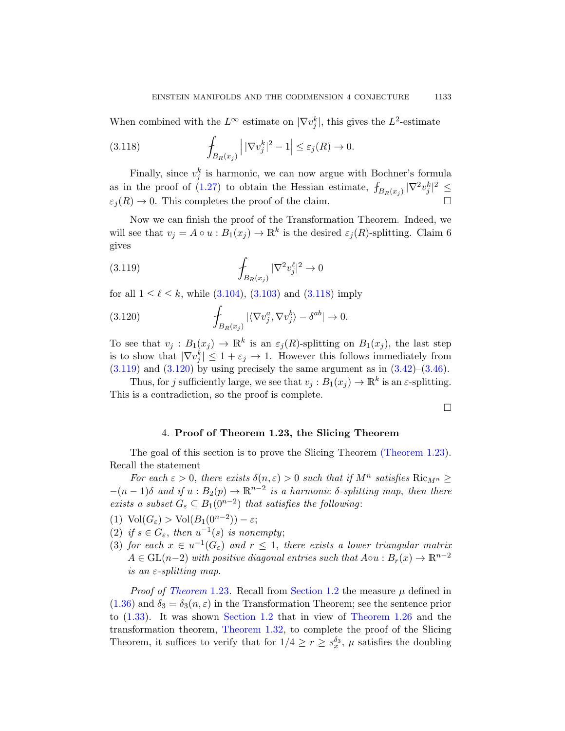<span id="page-40-0"></span>When combined with the  $L^{\infty}$  estimate on  $|\nabla v_j^k|$ , this gives the  $L^2$ -estimate

(3.118) 
$$
\int_{B_R(x_j)} \left| |\nabla v_j^k|^2 - 1 \right| \leq \varepsilon_j(R) \to 0.
$$

Finally, since  $v_j^k$  is harmonic, we can now argue with Bochner's formula as in the proof of (1.27) to obtain the Hessian estimate,  $\int_{B_R(x_j)} |\nabla^2 v_j^k|^2 \leq$  $\varepsilon_j(R) \to 0$ . This completes the proof of the claim.

[No](#page-37-0)w [we ca](#page-37-1)n finis[h the](#page-40-0) proof of the Transformation Theorem. Indeed, we will see that  $v_j = A \circ u : B_1(x_j) \to \mathbb{R}^k$  is the desired  $\varepsilon_j(R)$ -splitting. Claim 6 gives

$$
(3.119)\qquad \qquad \int_{B_R(x_j)} |\nabla^2 v_j^{\ell}|^2 \to 0
$$

for all  $1 \leq \ell \leq k$ , while (3.104), (3.103) a[nd \(3](#page-23-0).1[18\) im](#page-24-0)ply

(3.120) 
$$
\int_{B_R(x_j)} |\langle \nabla v_j^a, \nabla v_j^b \rangle - \delta^{ab}| \to 0.
$$

<span id="page-40-1"></span>To see that  $v_j : B_1(x_j) \to \mathbb{R}^k$  is an  $\varepsilon_j(R)$ -splitting on  $B_1(x_j)$ , the last step is to show that  $|\nabla v_j^k| \leq 1 + \varepsilon_j \to 1$ . However this follows immediately from  $(3.119)$  and  $(3.120)$  by using precisely [the same argum](#page-7-0)ent as in  $(3.42)$ – $(3.46)$ .

Thus, for j sufficiently large, we see that  $v_j : B_1(x_j) \to \mathbb{R}^k$  is an  $\varepsilon$ -splitting. This is a contradiction, so the proof is complete.

 $\Box$ 

#### 4. Proof of Theorem 1.23, the Slicing Theorem

The goal of this section is to prove the Slicing Theorem (Theorem 1.23). Recall the statement

For each  $\varepsilon > 0$ , there exists  $\delta(n, \varepsilon) > 0$  such that if  $M^n$  satisfies  $\text{Ric}_{M^n} \geq$  $-(n-1)\delta$  and if  $u : B_2(p) \to \mathbb{R}^{n-2}$  is a harmonic  $\delta$ -splitting map, then there [exist](#page-7-0)s a subset  $G_{\varepsilon} \subseteq B_1(0^{n-2})$  $G_{\varepsilon} \subseteq B_1(0^{n-2})$  $G_{\varepsilon} \subseteq B_1(0^{n-2})$  that satisfies the following:

- (1)  $\text{Vol}(G_{\varepsilon}) > \text{Vol}(B_1(0^{n-2})) \varepsilon;$
- (2) if  $s \in G_{\varepsilon}$ , then  $u^{-1}(s)$  is n[onempty](#page-8-1);
- (3) [for each](#page-8-2)  $x \in u^{-1}(G_{\varepsilon})$  and  $r \leq 1$ , there exists a lower triangular matrix  $A \in GL(n-2)$  with positive diagonal entries such that  $A \circ u : B_r(x) \to \mathbb{R}^{n-2}$ is an  $\varepsilon$ -splitting map.

*Proof of Theorem* 1.23. Recall from Section 1.2 the measure  $\mu$  defined in  $(1.36)$  and  $\delta_3 = \delta_3(n,\varepsilon)$  in the Transformation Theorem; see the sentence prior to (1.33). It was shown Section 1.2 that in view of Theorem 1.26 and the transformation theorem, Theorem 1.32, to complete the proof of the Slicing Theorem, it suffices to verify that for  $1/4 \ge r \ge s_x^{\delta_3}$ ,  $\mu$  satisfies the doubling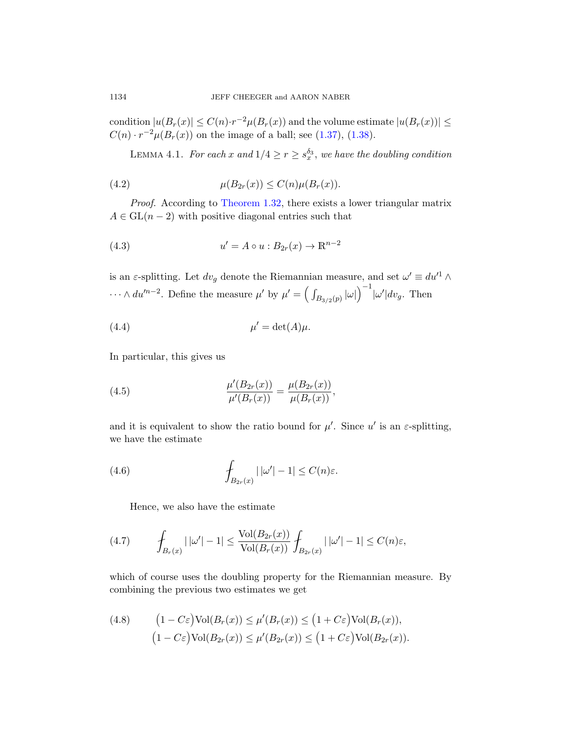c[ondition](#page-8-2)  $|u(B_r(x)| \leq C(n) \cdot r^{-2} \mu(B_r(x))$  and the volume estimate  $|u(B_r(x))| \leq C(n) \cdot r^{-2} \mu(B_r(x))$  $C(n) \cdot r^{-2} \mu(B_r(x))$  on the image of a ball; see (1.37), (1.38).

LEMMA 4.1. For each x and  $1/4 \geq r \geq s_x^{\delta_3}$ , we have the doubling condition

<span id="page-41-1"></span>(4.2) 
$$
\mu(B_{2r}(x)) \le C(n)\mu(B_r(x)).
$$

Proof. According to Theorem 1.32, there exists a lower triangular matrix  $A \in GL(n-2)$  with positive diagonal entries such that

(4.3) 
$$
u' = A \circ u : B_{2r}(x) \to \mathbb{R}^{n-2}
$$

is an  $\varepsilon$ -splitting. Let  $dv_g$  denote the Riemannian measure, and set  $\omega' \equiv du'^1 \wedge$  $\cdots \wedge du^{n-2}$ . Define the measure  $\mu'$  by  $\mu' = \left(\int_{B_{3/2}(p)} |\omega|\right)^{-1} |\omega'| dv_g$ . Then

(4.4) 
$$
\mu' = \det(A)\mu.
$$

In particular, this gives us

(4.5) 
$$
\frac{\mu'(B_{2r}(x))}{\mu'(B_r(x))} = \frac{\mu(B_{2r}(x))}{\mu(B_r(x))},
$$

and it is equivalent to show the ratio bound for  $\mu'$ . Since  $u'$  is an  $\varepsilon$ -splitting, we have the estimate

(4.6) 
$$
\int_{B_{2r}(x)} |\omega'| - 1| \leq C(n)\varepsilon.
$$

Hence, we also have the estimate

(4.7) 
$$
\int_{B_r(x)} | |\omega'| - 1 | \leq \frac{\text{Vol}(B_{2r}(x))}{\text{Vol}(B_r(x))} \int_{B_{2r}(x)} | |\omega'| - 1 | \leq C(n)\varepsilon,
$$

which of course uses the doubling property for the Riemannian measure. By combining the previous two estimates we get

(4.8) 
$$
(1 - C\varepsilon) \text{Vol}(B_r(x)) \le \mu'(B_r(x)) \le (1 + C\varepsilon) \text{Vol}(B_r(x)),
$$

$$
(1 - C\varepsilon) \text{Vol}(B_{2r}(x)) \le \mu'(B_{2r}(x)) \le (1 + C\varepsilon) \text{Vol}(B_{2r}(x)).
$$

<span id="page-41-0"></span>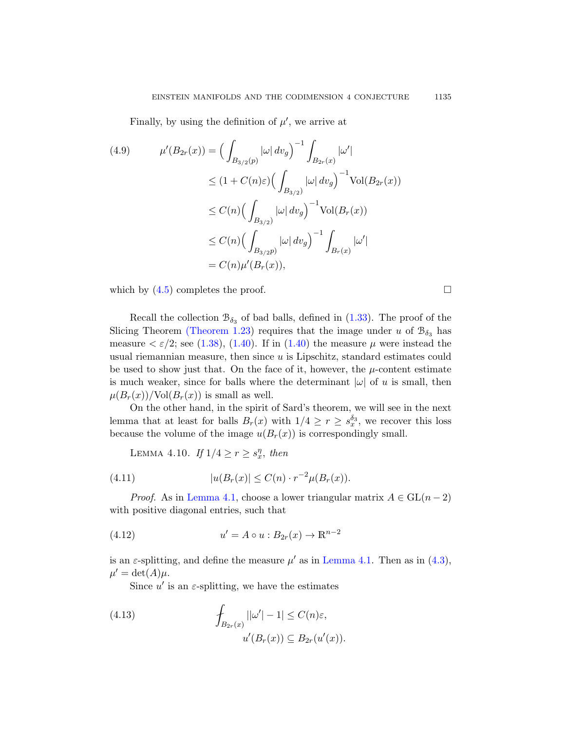Finally, by using the definition of  $\mu'$ , we arrive at

(4.9) 
$$
\mu'(B_{2r}(x)) = \Big(\int_{B_{3/2}(p)} |\omega| \, dv_g\Big)^{-1} \int_{B_{2r}(x)} |\omega'|
$$

$$
\leq (1 + C(n)\varepsilon) \Big(\int_{B_{3/2}} |\omega| \, dv_g\Big)^{-1} \text{Vol}(B_{2r}(x))
$$

$$
\leq C(n) \Big(\int_{B_{3/2}} |\omega| \, dv_g\Big)^{-1} \text{Vol}(B_r(x))
$$

$$
\leq C(n) \Big(\int_{B_{3/2}p} |\omega| \, dv_g\Big)^{-1} \int_{B_r(x)} |\omega'|
$$

$$
= C(n)\mu'(B_r(x)),
$$

which by  $(4.5)$  completes the proof.

Recall the collection  $\mathcal{B}_{\delta_3}$  of bad balls, defined in  $(1.33)$ . The proof of the Slicing Theorem (Theorem 1.23) requires that the image under u of  $\mathcal{B}_{\delta_3}$  has measure  $\langle \varepsilon/2$ ; see (1.38), (1.40). If in (1.40) the measure  $\mu$  were instead the usual riemannian measure, then since  $u$  is Lipschitz, standard estimates could be used to show just that. On the face of it, however, the  $\mu$ -content estimate is much weaker, since for balls where the determinant  $|\omega|$  of u is small, then  $\mu(B_r(x))/\text{Vol}(B_r(x))$  is small as well.

<span id="page-42-2"></span><span id="page-42-1"></span>On the other hand, in the spirit of Sard's theorem, we will see in the next [lemma](#page-41-0) that at least for balls  $B_r(x)$  with  $1/4 \geq r \geq s_x^{\delta_3}$ , we recover this loss because the volume of the image  $u(B_r(x))$  is correspondingly small.

LEMMA 4.10. If  $1/4 \ge r \ge s_x^{\eta}$ , then

(4.11) 
$$
|u(B_r(x)| \le C(n) \cdot r^{-2} \mu(B_r(x)).
$$

*Proof.* As in Lemma 4.1, choose a lower triangular matrix  $A \in GL(n-2)$ with positive diagonal entries, such that

<span id="page-42-0"></span>(4.12) 
$$
u' = A \circ u : B_{2r}(x) \to \mathbb{R}^{n-2}
$$

is an  $\varepsilon$ -splitting, and define the measure  $\mu'$  as in Lemma 4.1. Then as in (4.3),  $\mu' = \det(A)\mu.$ 

Since  $u'$  is an  $\varepsilon$ -splitting, we have the estimates

(4.13) 
$$
\int_{B_{2r}(x)} ||\omega'| - 1| \leq C(n)\varepsilon,
$$

$$
u'(B_r(x)) \subseteq B_{2r}(u'(x)).
$$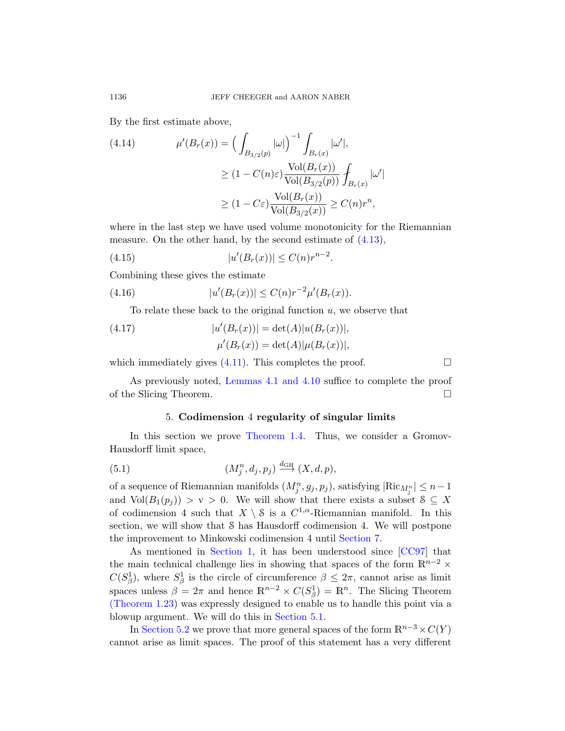By the first estimate above,

(4.14) 
$$
\mu'(B_r(x)) = \left(\int_{B_{3/2}(p)} |\omega|\right)^{-1} \int_{B_r(x)} |\omega'|,
$$

$$
\geq (1 - C(n)\varepsilon) \frac{\text{Vol}(B_r(x))}{\text{Vol}(B_{3/2}(p))} \int_{B_r(x)} |\omega'|
$$

$$
\geq (1 - C\varepsilon) \frac{\text{Vol}(B_r(x))}{\text{Vol}(B_{3/2}(x))} \geq C(n)r^n,
$$

where in the last step we have used volume monotonicity for the Riemannian measure. On the other hand, by the second estimate of  $(4.13)$ ,

(4.15) 
$$
|u'(B_r(x))| \le C(n)r^{n-2}.
$$

C[ombin](#page-42-1)ing these gives the estimate

(4.16) 
$$
|u'(B_r(x))| \leq C(n)r^{-2}\mu'(B_r(x)).
$$

[To relate t](#page-41-0)[hese back](#page-42-2) to the original function  $u$ , we observe that

(4.17) 
$$
|u'(B_r(x))| = \det(A)|u(B_r(x))|,
$$

$$
\mu'(B_r(x)) = \det(A)|\mu(B_r(x))|,
$$

whichi[mmediately gi](#page-2-0)ves  $(4.11)$ . This completes the proof.

As previously noted, Lemmas 4.1 and 4.10 suffice to complete the proof of the Slicing Theorem.

# 5. Codimension 4 regularity of singular limits

In this section we prove Theorem 1.4. Thus, we consider a Gromov-Hausdorff limit space,

(5.1) 
$$
(M_j^n, d_j, p_j) \stackrel{d_{\text{GH}}}{\longrightarrow} (X, d, p),
$$

of a sequence of Riemannian manifolds  $(M_j^n, g_j, p_j)$ , satisfying  $|\text{Ric}_{M_j^n}| \leq n-1$ and  $Vol(B_1(p_i)) > v > 0$ . We will show that there exists a subset  $S \subseteq X$ of codimension 4 such that  $X \setminus \mathcal{S}$  is a  $C^{1,\alpha}$ -Riemannian manifold. In this section, we will show that S has Hausdorff codimension 4. We will postpone the improvem[ent to Minko](#page-44-0)wski codimension 4 until Section 7.

As mentioned in Section 1, it has been understood since [CC97] that the main technical challenge lies in showing that spaces of the form  $\mathbb{R}^{n-2}$  ×  $C(S^1_\beta)$ , where  $S^1_\beta$  is the circle of circumference  $\beta \leq 2\pi$ , cannot arise as limit spaces unless  $\beta = 2\pi$  and hence  $\mathbb{R}^{n-2} \times C(S^1_\beta) = \mathbb{R}^n$ . The Slicing Theorem (Theorem 1.23) was expressly designed to enable us to handle this point via a blowup argument. We will do this in Section 5.1.

In Section 5.2 we prove that more general spaces of the form  $\mathbb{R}^{n-3} \times C(Y)$ cannot arise as limit spaces. The proof of this statement has a very different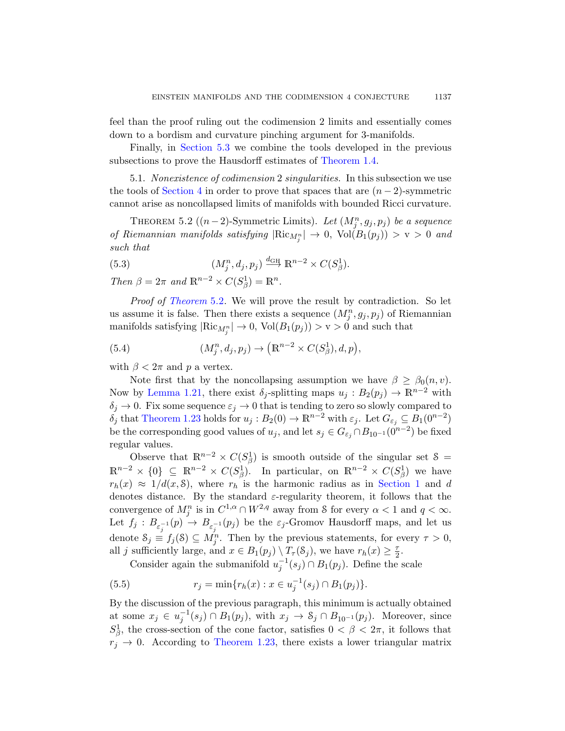<span id="page-44-0"></span>feel than the proof ruling out the codimension 2 limits and essentially comes down to a bordism and curvature pinching argument for 3-manifolds.

Finally, in Section 5.3 we combine the tools developed in the previous subsections to prove the Hausdorff estimates of Theorem 1.4.

5.1. Nonexistence of codimension 2 singularities. In this subsection we use the tools of Section 4 in order to prove that spaces that are  $(n-2)$ -symmetric cannot arise as noncollapsed limits of manifolds with bounded Ricci curvature.

THEOREM 5.2 ( $(n-2)$ -Symmetric Limits). Let  $(M_j^n, g_j, p_j)$  be a sequence of Riemannian manifolds satisfying  $|\text{Ric}_{M_j^n}| \to 0$ ,  $\text{Vol}(B_1(p_j)) > v > 0$  and such that

(5.3) 
$$
(M_j^n, d_j, p_j) \xrightarrow{d_{\text{GH}}} \mathbb{R}^{n-2} \times C(S_\beta^1).
$$

Then  $\beta = 2\pi$  and  $\mathbb{R}^{n-2} \times C(S^1_\beta) = \mathbb{R}^n$ .

Proof of Theorem 5.2. We will prove the result by contradiction. So let us assume it is false. Then there exists a sequence  $(M_j^n, g_j, p_j)$  of Riemannian manifolds satisfying  $|\text{Ric}_{M_j^n}| \to 0$ ,  $\text{Vol}(B_1(p_j)) > v > 0$  and such that

(5.4) 
$$
(M_j^n, d_j, p_j) \to \left(\mathbb{R}^{n-2} \times C(S_\beta^1), d, p\right),
$$

with  $\beta < 2\pi$  and p a vertex.

Note first that by the noncollapsing assumption we have  $\beta \geq \beta_0(n, v)$ . Now by Lemma 1.21, there exist  $\delta_j$ -splitting maps  $u_j : B_2(p_j) \to \mathbb{R}^{n-2}$  with  $\delta_j \to 0$ . Fix some sequence  $\varepsilon_j \to 0$  tha[t is tending](#page-1-0) to zero so slowly compared to  $\delta_j$  that Theorem 1.23 holds for  $u_j : B_2(0) \to \mathbb{R}^{n-2}$  with  $\varepsilon_j$ . Let  $G_{\varepsilon_j} \subseteq B_1(0^{n-2})$ be the corresponding good values of  $u_j$ , and let  $s_j \in G_{\varepsilon_j} \cap B_{10^{-1}}(0^{n-2})$  be fixed regular values.

Observe that  $\mathbb{R}^{n-2} \times C(S^1_\beta)$  is smooth outside of the singular set  $\delta =$  $\mathbb{R}^{n-2} \times \{0\} \subseteq \mathbb{R}^{n-2} \times C(S_{\beta}^1)$ . In particular, on  $\mathbb{R}^{n-2} \times C(S_{\beta}^1)$  we have  $r_h(x) \approx 1/d(x, \mathcal{S})$ , where  $r_h$  is the harmonic radius as in Section 1 and d denotes distance. By the standard  $\varepsilon$ -regularity theorem, it follows that the convergence of  $M_j^n$  is in  $C^{1,\alpha} \cap W^{2,q}$  away from S for every  $\alpha < 1$  and  $q < \infty$ . Let  $f_j: B_{\varepsilon_j^{-1}}(p) \to B_{\varepsilon_j^{-1}}(p_j)$  be the  $\varepsilon_j$ -Gromov Hausdorff maps, and let us denote  $S_j \equiv f_j(\mathcal{S}) \subseteq M_j^n$ . Then by the previous statements, for every  $\tau > 0$ , all j sufficiently large, and  $x \in B_1(p_j) \setminus T_\tau(\mathcal{S}_j)$ , we have  $r_h(x) \geq \frac{\tau}{2}$  $\frac{\tau}{2}$ .

[Consider a](#page-7-0)gain the submanifold  $u_j^{-1}(s_j) \cap B_1(p_j)$ . Define the scale

(5.5) 
$$
r_j = \min\{r_h(x) : x \in u_j^{-1}(s_j) \cap B_1(p_j)\}.
$$

By the discussion of the previous paragraph, this minimum is actually obtained at some  $x_j \in u_j^{-1}(s_j) \cap B_1(p_j)$ , with  $x_j \to S_j \cap B_{10^{-1}}(p_j)$ . Moreover, since  $S^1_\beta$ , the cross-section of the cone factor, satisfies  $0 < \beta < 2\pi$ , it follows that  $r_j \rightarrow 0$ . According to Theorem 1.23, there exists a lower triangular matrix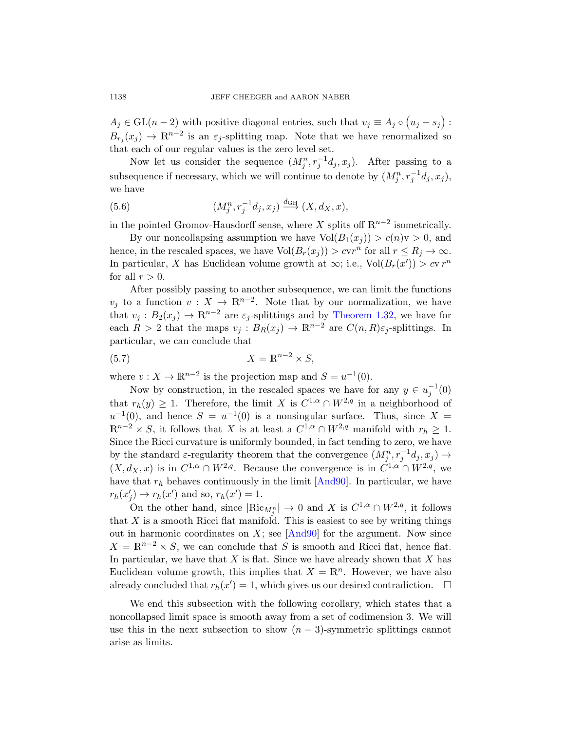$A_j \in GL(n-2)$  with positive diagonal entries, such that  $v_j \equiv A_j \circ (u_j - s_j)$ :  $B_{r_j}(x_j) \to \mathbb{R}^{n-2}$  is an  $\varepsilon_j$ -splitting map. Note that we have renormalized so that each of our regular values is the zero level set.

Now let us consider the sequence  $(M_j^n, r_j^{-1}d_j, x_j)$ . After passing to a subsequence if necessary, which we will continue to denote by  $(M_j^n, r_j^{-1}d_j, x_j)$ , we have

(5.6) 
$$
(M_j^n, r_j^{-1}d_j, x_j) \stackrel{d_{\text{GH}}}{\longrightarrow} (X, d_X, x),
$$

in the pointed Gromov-Hausdorff sense, where X splits off  $\mathbb{R}^{n-2}$  isometrically.

By our noncollapsing [assumption we](#page-8-2) have  $Vol(B_1(x_i)) > c(n)v > 0$ , and hence, in the rescaled spaces, we have  $Vol(B_r(x_j)) > cvr^n$  for all  $r \le R_j \to \infty$ . In particular, X has Euclidean volume growth at  $\infty$ ; i.e., Vol $(B_r(x')) > cvr^n$ for all  $r > 0$ .

After possibly passing to another subsequence, we can limit the functions  $v_j$  to a function  $v: X \to \mathbb{R}^{n-2}$ . Note that by our normalization, we have that  $v_j : B_2(x_j) \to \mathbb{R}^{n-2}$  are  $\varepsilon_j$ -splittings and by Theorem 1.32, we have for each  $R > 2$  that the maps  $v_j : B_R(x_j) \to \mathbb{R}^{n-2}$  are  $C(n, R)\varepsilon_j$ -splittings. In particular, we can conclude that

$$
(5.7) \t\t X = \mathbb{R}^{n-2} \times S,
$$

where  $v: X \to \mathbb{R}^{n-2}$  is the projection map and  $S = u^{-1}(0)$ .

Now by construction, in the rescaled spaces we have for any  $y \in u_j^{-1}(0)$ that  $r_h(y) \geq 1$ . Theref[ore, the](#page-70-0) limit X is  $C^{1,\alpha} \cap W^{2,q}$  in a neighborhood of  $u^{-1}(0)$ , and hence  $S = u^{-1}(0)$  is a nonsingular surface. Thus, since  $X =$  $\mathbb{R}^{n-2} \times S$ , it follows that X is at least a  $C^{1,\alpha} \cap W^{2,q}$  manifold with  $r_h \geq 1$ . Since the Ricci curvature is uniformly bounded, in fact tending to zero, we have by the standard  $\varepsilon$ [-regula](#page-70-0)rity theorem that the convergence  $(M_j^n, r_j^{-1}d_j, x_j) \to$  $(X, d_X, x)$  is in  $C^{1,\alpha} \cap W^{2,q}$ . Because the convergence is in  $C^{1,\alpha} \cap W^{2,q}$ , we have that  $r_h$  behaves continuously in the limit  $[And90]$ . In particular, we have  $r_h(x'_j) \to r_h(x')$  and so,  $r_h(x') = 1$ .

On the other hand, since  $|\text{Ric}_{M_{j}^{n}}| \to 0$  and X is  $C^{1,\alpha} \cap W^{2,q}$ , it follows that  $X$  is a smooth Ricci flat manifold. This is easiest to see by writing things out in harmonic coordinates on  $X$ ; see [And90] for the argument. Now since  $X = \mathbb{R}^{n-2} \times S$ , we can conclude that S is smooth and Ricci flat, hence flat. In particular, we have that  $X$  is flat. Since we have already shown that  $X$  has Euclidean volume growth, this implies that  $X = \mathbb{R}^n$ . However, we have also already concluded that  $r_h(x') = 1$ , which gives us our desired contradiction.  $\Box$ 

We end this subsection with the following corollary, which states that a noncollapsed limit space is smooth away from a set of codimension 3. We will use this in the next subsection to show  $(n-3)$ -symmetric splittings cannot arise as limits.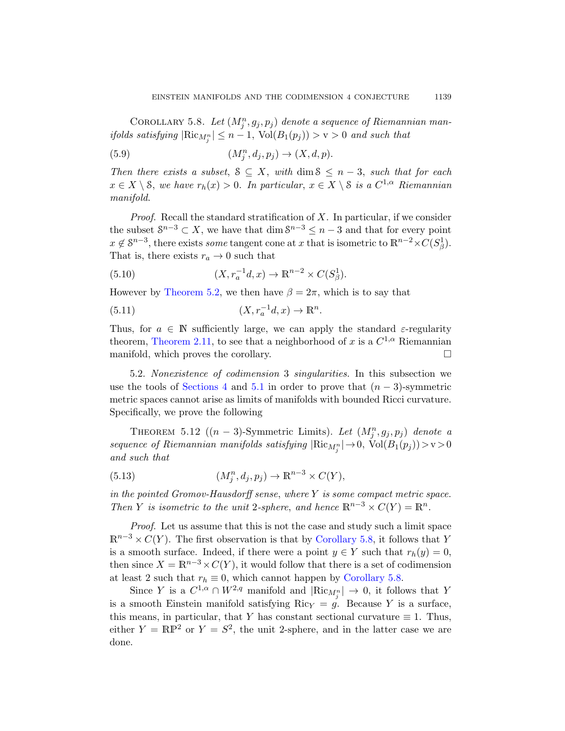<span id="page-46-0"></span>COROLLARY 5.8. Let  $(M_j^n, g_j, p_j)$  denote a sequence of Riemannian man*ifolds satisfying*  $|\text{Ric}_{M_j^n}| \leq n - 1$ ,  $\text{Vol}(B_1(p_j)) > v > 0$  and such that

(5.9) 
$$
(M_j^n, d_j, p_j) \rightarrow (X, d, p).
$$

Then there exists a subset,  $S \subseteq X$ , with dim  $S \leq n-3$ , such that for each  $x \in X \setminus \mathcal{S}$ , we have  $r_h(x) > 0$ . In particular,  $x \in X \setminus \mathcal{S}$  is a  $C^{1,\alpha}$  Riemannian manifold.

*Proof.* Recall the standard stratification of  $X$ . In particular, if we consider the subset  $S^{n-3} \subset X$ , we have that dim  $S^{n-3} \leq n-3$  and that for every point  $x \notin \mathbb{S}^{n-3}$ , there exists some tangent cone at x that is isometric to  $\mathbb{R}^{n-2} \times C(S^1_\beta)$ . [T](#page-12-0)hat is, there exists  $r_a \rightarrow 0$  such that

(5.10) 
$$
(X, r_a^{-1}d, x) \to \mathbb{R}^{n-2} \times C(S^1_\beta).
$$

However by Theorem 5.2, we then have  $\beta = 2\pi$ , which is to say that

(5.11) 
$$
(X, r_a^{-1}d, x) \to \mathbb{R}^n
$$
.

<span id="page-46-1"></span>Thus, for  $a \in \mathbb{N}$  sufficiently large, we can apply the standard  $\varepsilon$ -regularity theorem, Theorem 2.11, to see that a neighborhood of x is a  $C^{1,\alpha}$  Riemannian manifold, which proves the corollary.

5.2. Nonexistence of codimension 3 singularities. In this subsection we use the tools of Sections 4 and 5.1 in order to prove that  $(n-3)$ -symmetric metric spaces cannot arise as limits of manifolds with bounded Ricci curvature. Specifically, we prove the following

THEOREM 5.12 ( $(n-3)$ -Symmetric Limits). Let  $(M_j^n, g_j, p_j)$  denote a sequence of Riemannian manifolds satisfying  $|\text{Ric}_{M_j^n}| \to 0$ ,  $\text{Vol}(B_1(p_j)) > v > 0$ and such that

(5.13) 
$$
(M_j^n, d_j, p_j) \to \mathbb{R}^{n-3} \times C(Y),
$$

in the pointed Gromov-Hausdo[rff sense](#page-46-0), where  $Y$  is some compact metric space. Then Y is isometric to the unit 2-sphere, and hence  $\mathbb{R}^{n-3} \times C(Y) = \mathbb{R}^n$ .

Proof. Let us assume that this is not the case and study such a limit space  $\mathbb{R}^{n-3} \times C(Y)$ . The first observation is that by Corollary 5.8, it follows that Y is a smooth surface. Indeed, if there were a point  $y \in Y$  such that  $r_h(y) = 0$ , then since  $X = \mathbb{R}^{n-3} \times C(Y)$ , it would follow that there is a set of codimension at least 2 such that  $r_h \equiv 0$ , which cannot happen by Corollary 5.8.

Since Y is a  $C^{1,\alpha} \cap W^{2,q}$  manifold and  $|\text{Ric}_{M_j^n}| \to 0$ , it follows that Y is a smooth Einstein manifold satisfying  $Ric_Y = g$ . Because Y is a surface, this means, in particular, that Y has constant sectional curvature  $\equiv 1$ . Thus, either  $Y = \mathbb{RP}^2$  or  $Y = S^2$ , the unit 2-sphere, and in the latter case we are done.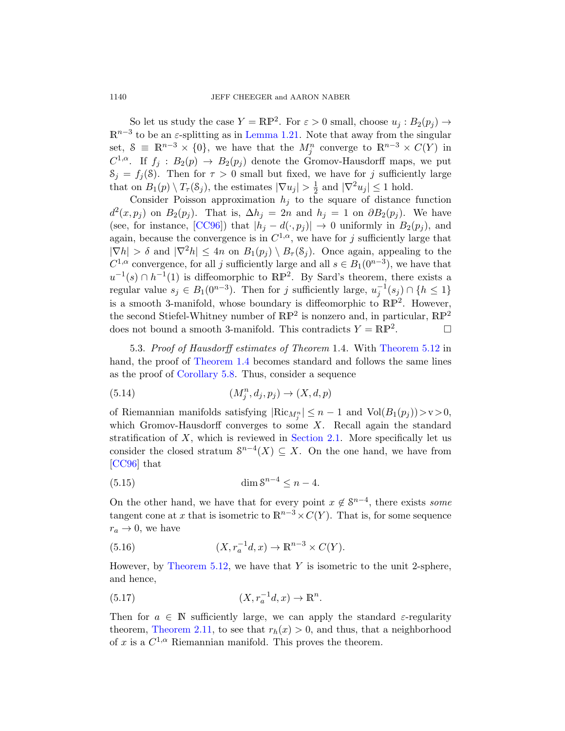So let us study the case  $Y = \mathbb{RP}^2$ . For  $\varepsilon > 0$  small, choose  $u_j : B_2(p_j) \to$  $\mathbb{R}^{n-3}$  to be an  $\varepsilon$ -splitting as in Lemma 1.21. Note that away from the singular [set](#page-70-1),  $S \equiv \mathbb{R}^{n-3} \times \{0\}$ , we have that the  $M_j^n$  converge to  $\mathbb{R}^{n-3} \times C(Y)$  in  $C^{1,\alpha}$ . If  $f_j : B_2(p) \to B_2(p_j)$  denote the Gromov-Hausdorff maps, we put  $S_j = f_j(\mathcal{S})$ . Then for  $\tau > 0$  small but fixed, we have for j sufficiently large that on  $B_1(p) \setminus T_\tau(\mathcal{S}_j)$ , the estimates  $|\nabla u_j| > \frac{1}{2}$  $\frac{1}{2}$  and  $|\nabla^2 u_j| \le 1$  hold.

Consider Poisson approximation  $h_i$  to the square of distance function  $d^2(x, p_j)$  on  $B_2(p_j)$ . That is,  $\Delta h_j = 2n$  and  $h_j = 1$  on  $\partial B_2(p_j)$ . We have (see, for instance, [CC96]) that  $|h_i - d(\cdot, p_i)| \to 0$  uniformly in  $B_2(p_i)$ , and again, because the convergence is in  $C^{1,\alpha}$ , we have for j sufficiently large that  $|\nabla h| > \delta$  and  $|\nabla^2 h| \leq 4n$  on  $B_1(p_i) \setminus B_\tau(\mathcal{S}_i)$ . Once again, appealing to the  $C^{1,\alpha}$  convergence, for all j sufficiently [large and all](#page-46-1)  $s \in B_1(0^{n-3})$ , we have that  $u^{-1}(s) \cap h^{-1}(1)$  is diffeomorphic to  $\mathbb{RP}^2$ . By Sard's theorem, there exists a [regula](#page-46-0)[r v](#page-2-0)alue  $s_j \in B_1(0^{n-3})$ . Then for j sufficiently large,  $u_j^{-1}(s_j) \cap \{h \leq 1\}$ is a smooth 3-manifold, whose boundary is diffeomorphic to  $\mathbb{RP}^2$ . However, the second Stiefel-Whitney number of  $\mathbb{RP}^2$  is nonzero and, in particular,  $\mathbb{RP}^2$ does not bound a smooth 3-manifold. This contradicts  $Y = \mathbb{RP}^2$ .  $\Box$ 

5.3. Proof of Hausdorff estimates of Theorem 1.4. With Theorem 5.12 in hand, the proof of [Theorem 1](#page-10-0).4 becomes standard and follows the same lines as the proof of Corollary 5.8. Thus, consider a sequence

(5.14) 
$$
(M_j^n, d_j, p_j) \to (X, d, p)
$$

of Riemannian manifolds satisfying  $|\text{Ric}_{M_j^n}| \leq n-1$  and  $\text{Vol}(B_1(p_j)) > v > 0$ , which Gromov-Hausdorff converges to some  $X$ . Recall again the standard stratification of  $X$ , which is reviewed in Section 2.1. More specifically let us consider the closed stratum  $S^{n-4}(X) \subseteq X$ . On the one hand, we have from [CC96] that

$$
(5.15) \qquad \dim \mathcal{S}^{n-4} \le n-4.
$$

On the other hand, we have that for every point  $x \notin \mathbb{S}^{n-4}$ , there exists some tangent cone at x that is isometric to  $\mathbb{R}^{n-3} \times C(Y)$ . That is, for some sequence  $r_a \rightarrow 0$ , we have

(5.16) 
$$
(X, r_a^{-1}d, x) \to \mathbb{R}^{n-3} \times C(Y).
$$

However, by Theorem 5.12, we have that  $Y$  is isometric to the unit 2-sphere, and hence,

$$
(5.17) \t\t (X, r_a^{-1}d, x) \to \mathbb{R}^n.
$$

Then for  $a \in \mathbb{N}$  sufficiently large, we can apply the standard  $\varepsilon$ -regularity theorem, Theorem 2.11, to see that  $r_h(x) > 0$ , and thus, that a neighborhood of x is a  $C^{1,\alpha}$  Riemannian manifold. This proves the theorem.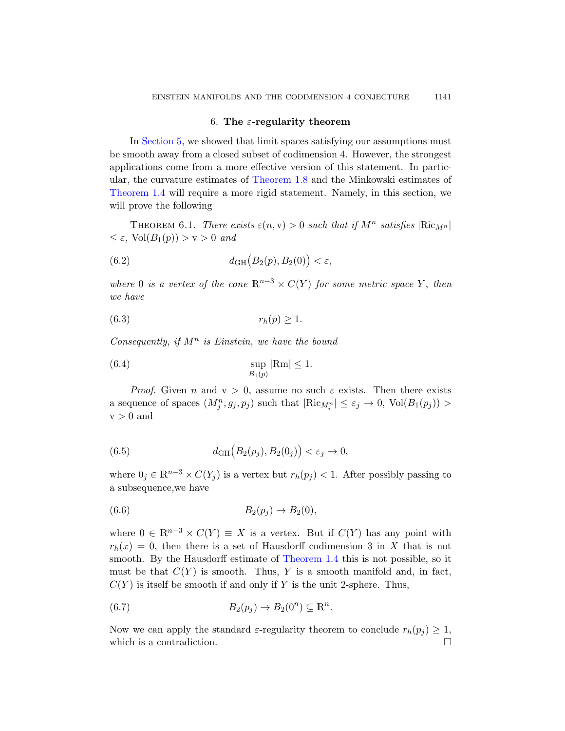## 6. The  $\varepsilon$ -regularity theorem

<span id="page-48-0"></span>In Section 5, we showed that limit spaces satisfying our assumptions must be smooth away from a closed subset of codimension 4. However, the strongest applications come from a more effective version of this statement. In particular, the curvature estimates of Theorem 1.8 and the Minkowski estimates of Theorem 1.4 will require a more rigid statement. Namely, in this section, we will prove the following

THEOREM 6.1. There exists  $\varepsilon(n, v) > 0$  such that if  $M^n$  satisfies  $|\text{Ric}_{M^n}|$  $\leq \varepsilon$ , Vol $(B_1(p)) > v > 0$  and

(6.2) 
$$
d_{GH}(B_2(p), B_2(0)) < \varepsilon,
$$

where 0 is a vertex of the cone  $\mathbb{R}^{n-3} \times C(Y)$  for some metric space Y, then we have

$$
(6.3) \t\t\t r_h(p) \ge 1.
$$

Consequently, if  $M^n$  is Einstein, we have the bound

(6.4) 
$$
\sup_{B_1(p)} |\text{Rm}| \le 1.
$$

*Proof.* Given n and  $v > 0$ , assume no such  $\varepsilon$  exists. Then there exists a sequence of spaces  $(M_j^n, g_j, p_j)$  such that  $|\text{Ric}_{M_i^n}| \leq \varepsilon_j \to 0$ ,  $\text{Vol}(B_1(p_j)) >$  $v > 0$  and

(6.5) 
$$
d_{GH}(B_2(p_j), B_2(0_j)) < \varepsilon_j \to 0,
$$

where  $0_j \in \mathbb{R}^{n-3} \times C(Y_j)$  is a vertex but  $r_h(p_j) < 1$ . After possibly passing to a subsequence,we have

(6.6) 
$$
B_2(p_j) \to B_2(0),
$$

where  $0 \in \mathbb{R}^{n-3} \times C(Y) \equiv X$  is a vertex. But if  $C(Y)$  has any point with  $r_h(x) = 0$ , then there is a set of Hausdorff codimension 3 in X that is not smooth. By the Hausdorff estimate of Theorem 1.4 this is not possible, so it must be that  $C(Y)$  is smooth. Thus, Y is a smooth manifold and, in fact,  $C(Y)$  is itself be smooth if and only if Y is the unit 2-sphere. Thus,

(6.7) 
$$
B_2(p_j) \to B_2(0^n) \subseteq \mathbb{R}^n.
$$

Now we can apply the standard  $\varepsilon$ -regularity theorem to conclude  $r_h(p_i) \geq 1$ , which is a contradiction.  $\Box$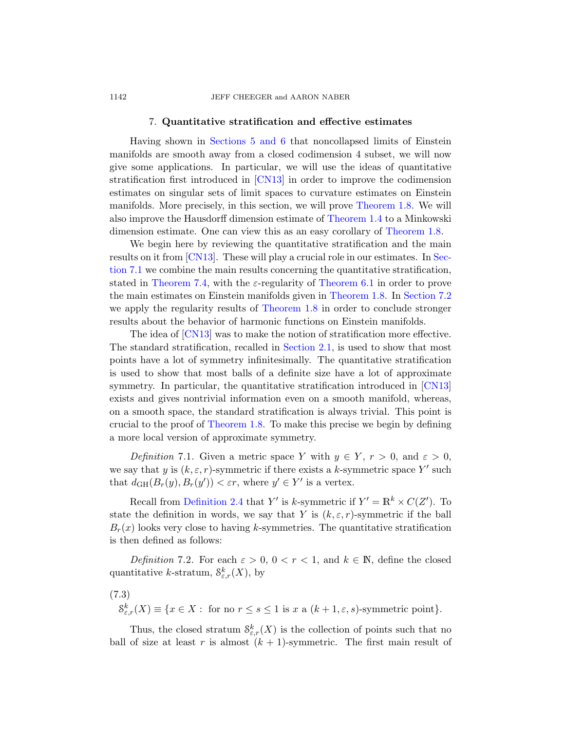#### <span id="page-49-0"></span>1142 **JEFF CHEEGER** and AARON NABER

# 7. Quantitative strat[ification and](#page-3-0) effective estimates

Having shown in Sec[tions 5](#page-2-0) and 6 that noncollapsed limits of Einstein manifolds are smooth away from a clo[sed codimensi](#page-3-0)on 4 subset, we will now give some applications. In particular, we will use the ideas of quantitative [s](#page-71-1)tratification first introduced in [CN13] in order [to im](#page-50-0)prove the codimension estimates on singular sets of limit spaces to curvature estimates on Einstein manifolds. More precise[ly, in this sect](#page-48-0)ion, we will prove Theorem 1.8. We will also improve the Hausdorff [dimension es](#page-3-0)timate of [Theor](#page-52-0)em 1.4 to a Minkowski dimension [estimate. One](#page-3-0) can view this as an easy corollary of Theorem 1.8.

We begin here by reviewing the quantitative stratification and the main results on it from [CN13]. These will play a crucial role in our estimates. In Section 7.1 we com[bine the mai](#page-10-0)n results concerning the quantitative stratification, stated in Theorem 7.4, with the  $\varepsilon$ -regularity of Theorem 6.1 in order to prove the main estimates on Einstein manifolds given in Theorem 1.8. In Section 7.2 we apply the regularity results of Theorem 1.8 [in ord](#page-71-1)er to conclude stronger results about the behavior of harmonic functions on Einstein manifolds.

The idea of [CN13] was to make the notion of stratification more effective. [The standar](#page-3-0)d stratification, recalled in Section 2.1, is used to show that most points have a lot of symmetry infinitesimally. The quantitative stratification is used to show that most balls of a definite size have a lot of approximate symmetry. In particular, the quantitative stratification introduced in [CN13] exists and gives nontrivial information even on a smooth manifold, whereas, on a smooth space, the standard stratification is always trivial. This point is [crucial t](#page-11-0)o the proof of Theorem 1.8. To make this precise we begin by defining a more local version of approximate symmetry.

Definition 7.1. Given a metric space Y with  $y \in Y$ ,  $r > 0$ , and  $\varepsilon > 0$ , we say that y is  $(k, \varepsilon, r)$ -symmetric if there exists a k-symmetric space Y' such that  $d_{GH}(B_r(y), B_r(y')) < \varepsilon r$ , where  $y' \in Y'$  is a vertex.

Recall from Definition 2.4 that Y' is k-symmetric if  $Y' = \mathbb{R}^k \times C(Z')$ . To state the definition in words, we say that Y is  $(k, \varepsilon, r)$ -symmetric if the ball  $B_r(x)$  looks very close to having k-symmetries. The quantitative stratification is then defined as follows:

Definition 7.2. For each  $\varepsilon > 0$ ,  $0 < r < 1$ , and  $k \in \mathbb{N}$ , define the closed quantitative k-stratum,  $S_{\varepsilon,r}^k(X)$ , by

(7.3)

 $S_{\varepsilon,r}^k(X) \equiv \{x \in X : \text{ for no } r \le s \le 1 \text{ is } x \text{ a } (k+1,\varepsilon,s) \text{-symmetric point} \}.$ 

Thus, the closed stratum  $S_{\varepsilon,r}^k(X)$  is the collection of points such that no ball of size at least r is almost  $(k + 1)$ -symmetric. The first main result of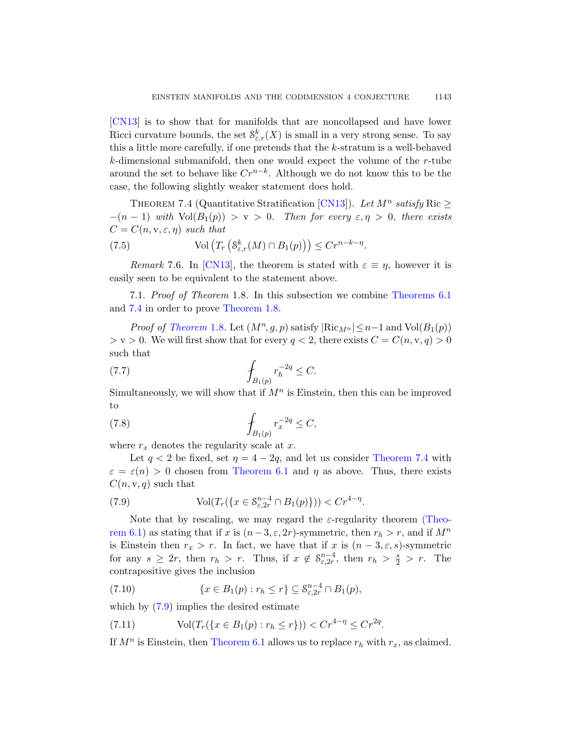<span id="page-50-1"></span>[CN13] is to show that [for ma](#page-71-1)nifolds that are noncollapsed and have lower Ricci curvature bounds, the set  $S_{\varepsilon,r}^k(X)$  is small in a very strong sense. To say this a little more carefully, if one pretends that the k-stratum is a well-behaved k-dimensional submanifold, then one would expect the volume of the r-tube around the set to behave like  $Cr^{n-k}$ . Although we do not know this to be the [case,](#page-71-1) the following slightly weaker statement does hold.

<span id="page-50-0"></span>THEOREM 7.4 (Quantitative Stratification [CN13]). Let  $M^n$  satisfy Ric  $\geq$  $-(n-1)$  with  $Vol(B_1(p)) > v > 0$ . [Then for every](#page-48-0)  $\varepsilon, \eta > 0$ , there exists  $C = C(n, \mathbf{v}, \varepsilon, \eta)$  such that

(7.5) Vol 
$$
(T_r(S_{\varepsilon,r}^k(M) \cap B_1(p))) \le Cr^{n-k-\eta}
$$
.

Remark 7.6. In [CN13], the theorem is stated with  $\varepsilon \equiv \eta$ , however it is easily seen to be equivalent to the statement above.

7.1. Proof of Theorem 1.8. In this subsection we combine Theorems 6.1 and 7.4 in order to prove Theorem 1.8.

*Proof of Theorem* 1.8. Let  $(M^n, g, p)$  satisfy  $|\text{Ric}_{M^n}| \leq n-1$  and  $\text{Vol}(B_1(p))$  $>$  v  $>$  0. We will first show that for every  $q < 2$ , there exists  $C = C(n, v, q) > 0$ such that

(7.7) 
$$
\int_{B_1(p)} r_h^{-2q} \leq C.
$$

Sim[ultaneously, we](#page-48-0) will show that if  $M<sup>n</sup>$  is Einstein, then this can be improved to

(7.8) 
$$
\qquad \qquad \int_{B_1(p)} r_x^{-2q} \le C,
$$

where  $r_x$  denotes the regularity scale at  $x$ .

Let  $q < 2$  be fixed, set  $\eta = 4 - 2q$ , and let us consider Theorem 7.4 with  $\varepsilon = \varepsilon(n) > 0$  chosen from Theorem 6.1 and  $\eta$  as above. Thus, there exists  $C(n, v, q)$  such that

(7.9) 
$$
\text{Vol}(T_r(\lbrace x \in \mathcal{S}_{\varepsilon,2r}^{n-4} \cap B_1(p)\rbrace)) < Cr^{4-\eta}.
$$

Note that by rescaling, we may regard the  $\varepsilon$ -regularity theorem (Theorem 6.1) as stating that if x is  $(n-3, \varepsilon, 2r)$ -symmetric, then  $r_h > r$ , and if  $M^n$ is Einstein then  $r_x > r$ . In fact, we have that if x is  $(n-3,\epsilon,s)$ -symmetric [for any](#page-48-0)  $s \geq 2r$ , then  $r_h > r$ . Thus, if  $x \notin \mathcal{S}_{\varepsilon, 2r}^{n-4}$ , then  $r_h > \frac{s}{2} > r$ . The contrapositive gives the inclusion

(7.10) 
$$
\{x \in B_1(p) : r_h \le r\} \subseteq \mathcal{S}_{\varepsilon,2r}^{n-4} \cap B_1(p),
$$

which by  $(7.9)$  implies the desired estimate

(7.11) 
$$
Vol(T_r({x \in B_1(p) : r_h \leq r})) < Cr^{4-\eta} \leq Cr^{2q}.
$$

If  $M^n$  is Einstein, then Theorem 6.1 allows us to replace  $r_h$  with  $r_x$ , as claimed.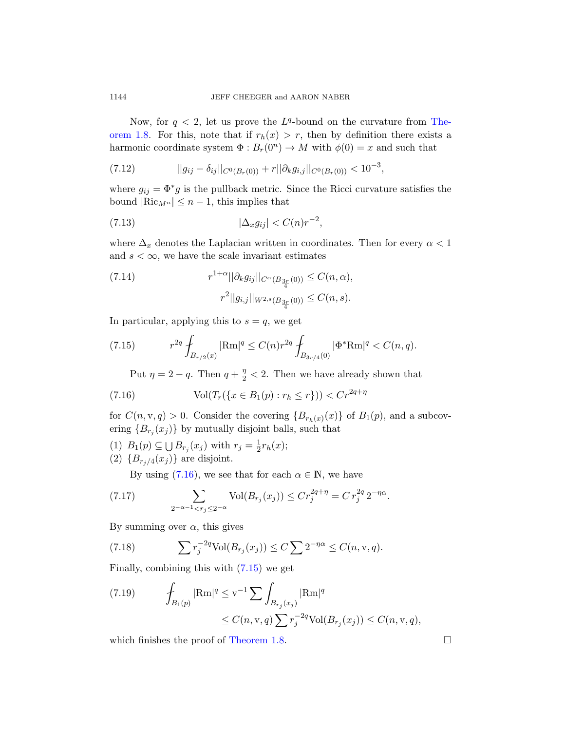Now, for  $q < 2$ , let us prove the  $L^q$ -bound on the curvature from Theorem 1.8. For this, note that if  $r_h(x) > r$ , then by definition there exists a harmonic coordinate system  $\Phi: B_r(0^n) \to M$  with  $\phi(0) = x$  and such that

(7.12) 
$$
||g_{ij} - \delta_{ij}||_{C^0(B_r(0))} + r||\partial_k g_{i,j}||_{C^0(B_r(0))} < 10^{-3},
$$

where  $g_{ij} = \Phi^* g$  is the pullback metric. Since the Ricci curvature satisfies the bound  $|\text{Ric}_{M^n}| \leq n-1$ , this implies that

$$
(7.13)\qquad \qquad |\Delta_x g_{ij}| < C(n)r^{-2},
$$

where  $\Delta_x$  denotes the Laplacian written in coordinates. Then for every  $\alpha < 1$ and  $s < \infty$ , we have the scale invariant estimates

(7.14) 
$$
r^{1+\alpha} ||\partial_k g_{ij}||_{C^{\alpha}(B_{\frac{3r}{4}}(0))} \leq C(n,\alpha),
$$

$$
r^2 ||g_{i,j}||_{W^{2,s}(B_{\frac{3r}{4}}(0))} \leq C(n,s).
$$

In particular, applying this to  $s = q$ , we get

(7.15) 
$$
r^{2q} \int_{B_{r/2}(x)} |\text{Rm}|^q \leq C(n) r^{2q} \int_{B_{3r/4}(0)} |\Phi^* \text{Rm}|^q < C(n, q).
$$

Put  $\eta = 2 - q$ . Then  $q + \frac{\eta}{2} < 2$ . Then we have already shown that

(7.16) 
$$
\text{Vol}(T_r(\{x \in B_1(p) : r_h \le r\})) < Cr^{2q + \eta}
$$

for  $C(n, v, q) > 0$ . Consider the covering  ${B_{r_h(x)}(x)}$  of  $B_1(p)$ , and a subcovering  ${B_{r_j}(x_j)}$  by mutually disjoint balls, such that

- (1)  $B_1(p) \subseteq \bigcup B_{r_j}(x_j)$  with  $r_j = \frac{1}{2}$  $\frac{1}{2}r_h(x);$
- (2)  ${B_{r_j/4}(x_j)}$  are disjoint.

By using  $(7.16)$ , we see that for each  $\alpha \in \mathbb{N}$ , we have

(7.17) 
$$
\sum_{2^{-\alpha-1} < r_j \le 2^{-\alpha}} \text{Vol}(B_{r_j}(x_j)) \le Cr_j^{2q+\eta} = Cr_j^{2q} 2^{-\eta \alpha}.
$$

By summing over  $\alpha$ , this gives

(7.18) 
$$
\sum r_j^{-2q} \text{Vol}(B_{r_j}(x_j)) \leq C \sum 2^{-\eta \alpha} \leq C(n, \mathbf{v}, q).
$$

Fin[ally, combinin](#page-3-0)g this with (7.15) we get

(7.19) 
$$
\int_{B_1(p)} |\text{Rm}|^q \leq v^{-1} \sum \int_{B_{r_j}(x_j)} |\text{Rm}|^q
$$
  
 
$$
\leq C(n, v, q) \sum r_j^{-2q} \text{Vol}(B_{r_j}(x_j)) \leq C(n, v, q),
$$

which finishes the proof of Theorem 1.8.  $\Box$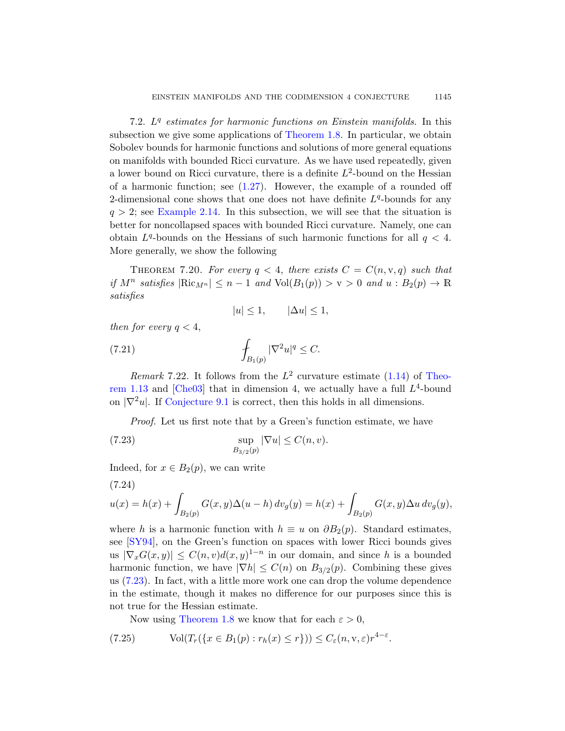<span id="page-52-0"></span>7.2.  $L<sup>q</sup>$  estimates for harmonic functions on Einstein manifolds. In this [su](#page-13-0)bsection we give some applications of Theorem 1.8. In particular, we obtain Sobolev bounds for harmonic functions and solutions of more general equations on manifolds with bounded Ricci curvature. As we have used repeatedly, given a lower bound on Ricci curvature, there is a definite  $L^2$ -bound on the Hessian of a harmonic function; see  $(1.27)$ . However, the example of a rounded off 2-dimensional cone shows that one does not have definite  $L<sup>q</sup>$ -bounds for any  $q > 2$ ; see Example 2.14. In this subsection, we will see that the situation is better for noncollapsed spaces with bounded Ricci curvature. Namely, one can obtain  $L^q$ -bounds on the Hessians of such harmonic functions for all  $q < 4$ . More generally, we show the following

THEOREM 7.20. For every  $q < 4$ , there exists  $C = C(n, v, q)$  such that if  $M^n$  satisfies  $|\text{Ric}_{M^n}| \leq n-1$  and  $\text{Vol}(B_1(p)) > v > 0$  and  $u : B_2(p) \to \mathbb{R}$ satisfies

$$
|u| \le 1, \qquad |\Delta u| \le 1,
$$

[then](#page-69-0) for every  $q < 4$ ,

(7.21) 
$$
\int_{B_1(p)} |\nabla^2 u|^q \leq C.
$$

Remark 7.22. It follows from the  $L^2$  curvature estimate (1.14) of Theorem 1.13 and  $[Che03]$  that in dimension 4, we actually have a full  $L<sup>4</sup>$ -bound on  $|\nabla^2 u|$ . If Conjecture 9.1 is correct, then this holds in all dimensions.

Proof. Let us first note that by a Green's function estimate, we have

(7.23) 
$$
\sup_{B_{3/2}(p)} |\nabla u| \leq C(n, v).
$$

Indeed, for  $x \in B_2(p)$ , we can write

$$
(7.24)
$$

$$
u(x) = h(x) + \int_{B_2(p)} G(x, y) \Delta(u - h) dv_g(y) = h(x) + \int_{B_2(p)} G(x, y) \Delta u dv_g(y),
$$

<span id="page-52-1"></span>where h is a harmonic function with  $h \equiv u$  on  $\partial B_2(p)$ . Standard estimates, [see \[S](#page-3-0)Y94], on the Green's function on spaces with lower Ricci bounds gives us  $|\nabla_x G(x, y)| \leq C(n, v) d(x, y)^{1-n}$  in our domain, and since h is a bounded harmonic function, we have  $|\nabla h| \leq C(n)$  on  $B_{3/2}(p)$ . Combining these gives us (7.23). In fact, with a little more work one can drop the volume dependence in the estimate, though it makes no difference for our purposes since this is not true for the Hessian estimate.

Now using Theorem 1.8 we know that for each  $\varepsilon > 0$ ,

(7.25) 
$$
\text{Vol}(T_r(\{x \in B_1(p) : r_h(x) \le r\})) \le C_{\varepsilon}(n, \mathbf{v}, \varepsilon)r^{4-\varepsilon}.
$$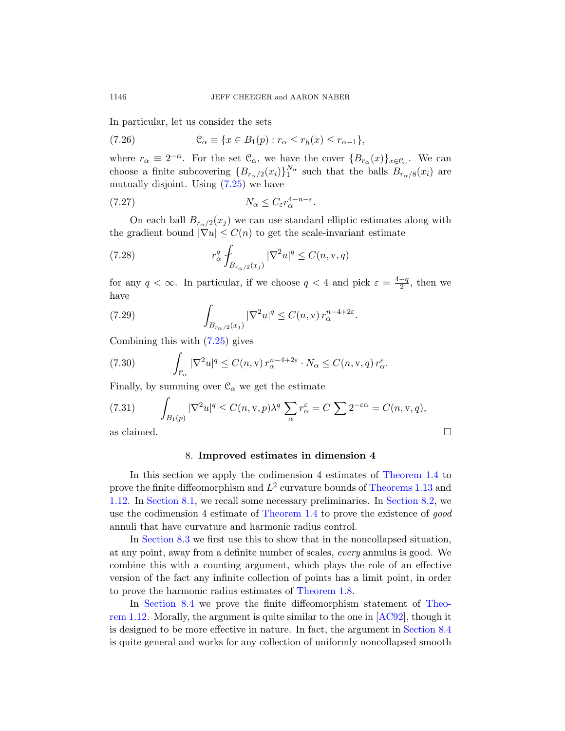In particular, let us consider the sets

(7.26) 
$$
\mathcal{C}_{\alpha} \equiv \{x \in B_1(p) : r_{\alpha} \leq r_h(x) \leq r_{\alpha-1}\},\
$$

where  $r_{\alpha} \equiv 2^{-\alpha}$ . For the set  $\mathcal{C}_{\alpha}$ , we have the cover  $\{B_{r_{\alpha}}(x)\}_{x \in \mathcal{C}_{\alpha}}$ . We can choose a finite subcovering  ${B_{r_\alpha/2}(x_i)}_1^{\mathbb{N}_\alpha}$  such that the balls  $B_{r_\alpha/8}(x_i)$  are mutually disjoint. Using  $(7.25)$  we have

$$
(7.27) \t\t N_{\alpha} \le C_{\varepsilon} r_{\alpha}^{4-n-\varepsilon}.
$$

On each ball  $B_{r_{\alpha}/2}(x_j)$  we can use standard elliptic estimates along with the gradient bound  $|\nabla u| \leq C(n)$  to get the scale-invariant estimate

(7.28) 
$$
r_{\alpha}^{q} \int_{B_{r_{\alpha}/2}(x_j)} |\nabla^{2} u|^{q} \leq C(n, \mathbf{v}, q)
$$

for any  $q < \infty$ . In particular, if we choose  $q < 4$  and pick  $\varepsilon = \frac{4-q}{2}$  $\frac{-q}{2}$ , then we have

(7.29) 
$$
\int_{B_{r_{\alpha}/2}(x_j)} |\nabla^2 u|^q \leq C(n, v) r_{\alpha}^{n-4+2\varepsilon}.
$$

Combining this with (7.25) gives

(7.30) 
$$
\int_{\mathcal{C}_{\alpha}} |\nabla^2 u|^q \le C(n, v) r_{\alpha}^{n-4+2\varepsilon} \cdot N_{\alpha} \le C(n, v, q) r_{\alpha}^{\varepsilon}.
$$

Finally, by summing over  $\mathcal{C}_{\alpha}$  we get th[e estimate](#page-2-0)

(7.31) 
$$
\int_{B_1(p)} |\nabla^2 u|^q \le C(n, v, p) \lambda^q \sum_{\alpha} r_{\alpha}^{\varepsilon} = C \sum 2^{-\varepsilon \alpha} = C(n, v, q),
$$
  
as claimed.

# 8. Improved estimates in dimension 4

In this section we apply the codimension 4 estimates of Theorem 1.4 to prove the finite diffeomorphism and  $L^2$  curvature bounds of Theorems 1.13 and 1.12. In Section 8.1, we recall some necessary preliminaries. In Section 8.2, we use the codimensio[n 4 estimate o](#page-3-0)f Theorem 1.4 to prove the existence of good annuli that have curvature and harmonic radius [contro](#page-3-2)l.

In Section 8.3 we first use this to [show t](#page-70-2)hat in the noncollapsed situation, at any point, away from a definite numbero[f scales,](#page-60-0) every annulus is good. We combine this with a counting argument, which plays the role of an effective version of the fact any infinite collection of points has a limit point, in order to prove the harmonic radius estimates of Theorem 1.8.

In Section 8.4 we prove the finite diffeomorphism statement of Theorem 1.12. Morally, the argument is quite similar to the one in [AC92], though it is designed to be more effective in nature. In fact, the argument in Section 8.4 is quite general and works for any collection of uniformly noncollapsed smooth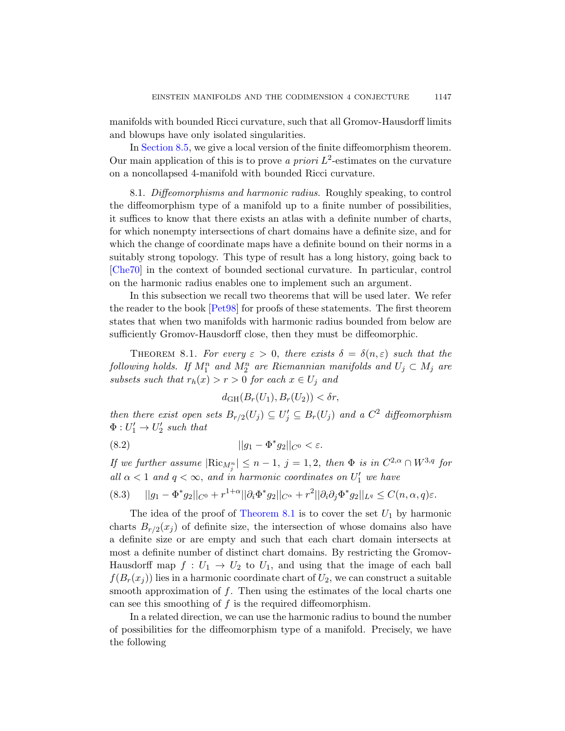manifolds with bounded Ricci curvature, such that all Gromov-Hausdorff limits and blowups have only isolated singularities.

In Section 8.5, we give a local version of the finite diffeomorphism theorem. Our main application of this is to prove a priori  $L^2$ -estimates on the curvature on a noncollapsed 4-manifold with bounded Ricci curvature.

8.1. Diffeomorphisms and harmonic radius. Roughly speaking, to control the diffeomorphism type of a manifold up to a finite number of possibilities, it suffices to know that there exists an atlas with a definite number of charts, [for wh](#page-71-2)ich nonempty intersections of chart domains have a definite size, and for which the change of coordinate maps have a definite bound on their norms in a suitably strong topology. This type of result has a long history, going back to [Che70] in the context of bounded sectional curvature. In particular, control on the harmonic radius enables one to implement such an argument.

<span id="page-54-0"></span>In this subsection we recall two theorems that will be used later. We refer the reader to the book [Pet98] for proofs of these statements. The first theorem states that when two manifolds with harmonic radius bounded from below are sufficiently Gromov-Hausdorff close, then they must be diffeomorphic.

THEOREM 8.1. For every  $\varepsilon > 0$ , there exists  $\delta = \delta(n, \varepsilon)$  such that the  $\emph{following holds. If $M^n_1$ and $M^n_2$ are Riemannian manifolds and $U_j\subset M_j$ are}$ subsets such that  $r_h(x) > r > 0$  for each  $x \in U_j$  and

$$
d_{GH}(B_r(U_1), B_r(U_2)) < \delta r,
$$

then there exist open sets  $B_{r/2}(U_j) \subseteq U'_j \subseteq B_r(U_j)$  and a  $C^2$  diffeomorphism  $\Phi: U'_1 \to U'_2$  [such th](#page-54-0)at

(8.2) 
$$
||g_1 - \Phi^* g_2||_{C^0} < \varepsilon.
$$

If we further assume  $|\text{Ric}_{M_j^n}| \leq n-1$ ,  $j=1,2$ , then  $\Phi$  is in  $C^{2,\alpha} \cap W^{3,q}$  for all  $\alpha$  < 1 and  $q < \infty$ , and in harmonic coordinates on  $U'_1$  we have

$$
(8.3) \qquad ||g_1 - \Phi^* g_2||_{C^0} + r^{1+\alpha} ||\partial_i \Phi^* g_2||_{C^\alpha} + r^2 ||\partial_i \partial_j \Phi^* g_2||_{L^q} \le C(n, \alpha, q)\varepsilon.
$$

The idea of the proof of Theorem 8.1 is to cover the set  $U_1$  by harmonic charts  $B_{r/2}(x_j)$  of definite size, the intersection of whose domains also have a definite size or are empty and such that each chart domain intersects at most a definite number of distinct chart domains. By restricting the Gromov-Hausdorff map  $f: U_1 \to U_2$  to  $U_1$ , and using that the image of each ball  $f(B_r(x_i))$  lies in a harmonic coordinate chart of  $U_2$ , we can construct a suitable smooth approximation of  $f$ . Then using the estimates of the local charts one can see this smoothing of  $f$  is the required diffeomorphism.

In a related direction, we can use the harmonic radius to bound the number of possibilities for the diffeomorphism type of a manifold. Precisely, we have the following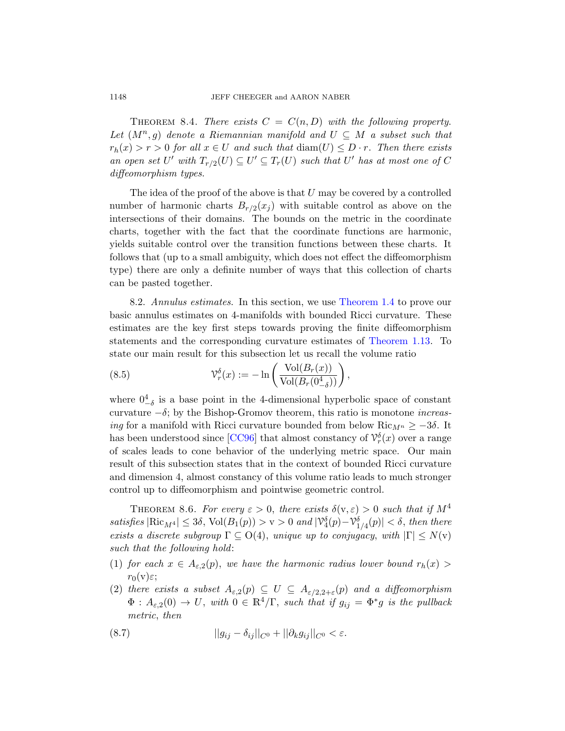THEOREM 8.4. There exists  $C = C(n, D)$  with the following property. Let  $(M^n, g)$  denote a Riemannian manifold and  $U \subseteq M$  a subset such that  $r_h(x) > r > 0$  for all  $x \in U$  and such that  $\text{diam}(U) \leq D \cdot r$ . Then there exists an open set U' with  $T_{r/2}(U) \subseteq U' \subseteq T_r(U)$  such that U' has at most one of C diffeomorphism types.

<span id="page-55-0"></span>The idea of the proof of the above is that  $U$  may be covered by a controlled number of harmonic charts  $B_{r/2}(x_j)$  with suitable control as above on the intersections of their domai[ns. The boun](#page-2-0)ds on the metric in the coordinate charts, together with the fact that the coordinate functions are harmonic, yields suitable control over the transition functions between these charts. It follows that (up to a small ambiguit[y, which does n](#page-3-1)ot effect the diffeomorphism type) there are only a definite number of ways that this collection of charts can be pasted together.

8.2. Annulus estimates. In this section, we use Theorem 1.4 to prove our basic annulus estimates on 4-manifolds with bounded Ricci curvature. These estimates are the key first steps towards proving the finite diffeomorphism statements and the corresponding curvature estimates of Theorem 1.13. To stat[e our m](#page-70-1)ain result for this subsection let us recall the volume ratio

(8.5) 
$$
\mathcal{V}_r^{\delta}(x) := -\ln\left(\frac{\text{Vol}(B_r(x))}{\text{Vol}(B_r(0^4_{-\delta}))}\right),
$$

<span id="page-55-1"></span>where  $0^4_{-\delta}$  is a base point in the 4-dimensional hyperbolic space of constant curvature  $-\delta$ ; by the Bishop-Gromov theorem, this ratio is monotone *increas*ing for a manifold with Ricci curvature bounded from below Ric $_{M^n} \geq -3\delta$ . It has been understood since [CC96] that almost constancy of  $\mathcal{V}_r^{\delta}(x)$  over a range of scales leads to cone behavior of the underlying metric space. Our main result of this subsection states that in the context of bounded Ricci curvature and dimension 4, almost constancy of this volume ratio leads to much stronger control up to diffeomorphism and pointwise geometric control.

THEOREM 8.6. For every  $\varepsilon > 0$ , there exists  $\delta(v, \varepsilon) > 0$  such that if  $M^4$ satisfies  $|\text{Ric}_{M^4}| \leq 3\delta$ ,  $\text{Vol}(B_1(p)) > v > 0$  and  $|\mathcal{V}_4^{\delta}(p) - \mathcal{V}_{1/4}^{\delta}(p)| < \delta$ , then there exists a discrete subgroup  $\Gamma \subseteq O(4)$ , unique up to conjugacy, with  $|\Gamma| \leq N(\nu)$ such that the following hold:

- (1) for each  $x \in A_{\varepsilon,2}(p)$ , we have the harmonic radius lower bound  $r_h(x)$  $r_0(v)\varepsilon;$
- (2) there exists a subset  $A_{\varepsilon,2}(p) \subseteq U \subseteq A_{\varepsilon/2,2+\varepsilon}(p)$  and a diffeomorphism  $\Phi: A_{\varepsilon,2}(0) \to U$ , with  $0 \in \mathbb{R}^4/\Gamma$ , such that if  $g_{ij} = \Phi^*g$  is the pullback metric, then

(8.7) 
$$
||g_{ij} - \delta_{ij}||_{C^{0}} + ||\partial_{k}g_{ij}||_{C^{0}} < \varepsilon.
$$

<span id="page-55-2"></span>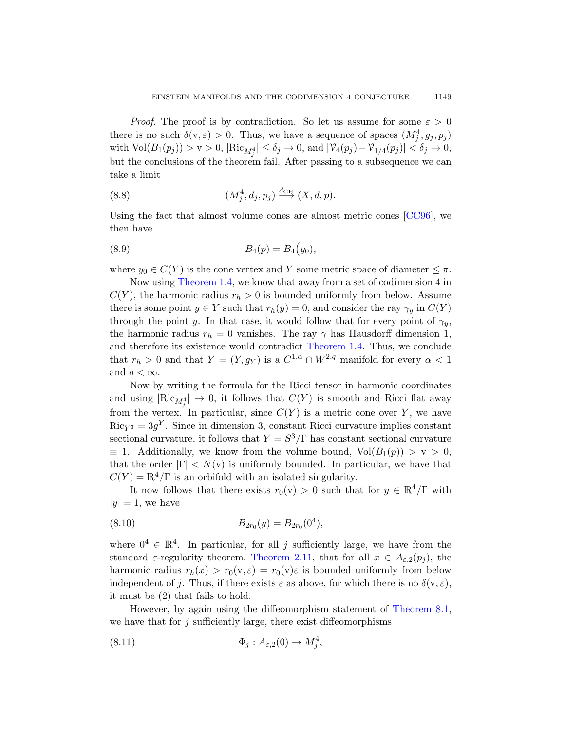*Proof.* The proof is by contradiction. So let us assume for some  $\varepsilon > 0$ there is no such  $\delta(v, \varepsilon) > 0$ . Thus, we hav[e a sequ](#page-70-1)ence of spaces  $(M_j^4, g_j, p_j)$ with  $\text{Vol}(B_1(p_j)) > \text{v} > 0$ ,  $|\text{Ric}_{M_j^4}| \le \delta_j \to 0$ , and  $|\mathcal{V}_4(p_j) - \mathcal{V}_{1/4}(p_j)| < \delta_j \to 0$ , but the conclusions of the theorem fail. After passing to a subsequence we can take a limit

(8.8) 
$$
(M_j^4, d_j, p_j) \stackrel{d_{\text{GH}}}{\longrightarrow} (X, d, p).
$$

Using the fact that almost volume cones are almost metric cones [CC96], we then have

(8.9) 
$$
B_4(p) = B_4(y_0),
$$

where  $y_0 \in C(Y)$  is t[he cone vertex](#page-2-0) and Y some metric space of diameter  $\leq \pi$ .

Now using Theorem 1.4, we know that away from a set of codimension 4 in  $C(Y)$ , the harmonic radius  $r_h > 0$  is bounded uniformly from below. Assume there is some point  $y \in Y$  such that  $r_h(y) = 0$ , and consider the ray  $\gamma_y$  in  $C(Y)$ through the point y. In that case, it would follow that for every point of  $\gamma_y$ , the harmonic radius  $r_h = 0$  vanishes. The ray  $\gamma$  has Hausdorff dimension 1, and therefore its existence would contradict Theorem 1.4. Thus, we conclude that  $r_h > 0$  and that  $Y = (Y, g_Y)$  is a  $C^{1,\alpha} \cap W^{2,q}$  manifold for every  $\alpha < 1$ and  $q < \infty$ .

Now by writing the formula for the Ricci tensor in harmonic coordinates and using  $|\text{Ric}_{M_j^4}| \to 0$ , it follows that  $C(Y)$  is smooth and Ricci flat away from the vertex. In particular, since  $C(Y)$  is a metric cone over Y, we have  $\text{Ric}_{Y^3} = 3g^Y$ . Since in dimension 3, constant Ricci curvature implies constant sectional curvature, it follows that  $Y = S^3/\Gamma$  has constant sectional curvature  $\equiv$  1. Additionally, we know from the volume bound,  $Vol(B_1(p)) > v > 0$ , that the order  $|\Gamma| < N(v)$  is uniformly bounded. In particular, we have that  $C(Y) = \mathbb{R}^4/\Gamma$  is an orbifold with an isolated singularity.

It now follows that there exists  $r_0(v) > 0$  such that for  $y \in \mathbb{R}^4/\Gamma$  with  $|y| = 1$ , we have

(8.10) 
$$
B_{2r_0}(y) = B_{2r_0}(0^4),
$$

where  $0^4 \in \mathbb{R}^4$ . In particular, for all j sufficiently large, we have from the standard  $\varepsilon$ -regularity theorem, Theorem 2.11, that for all  $x \in A_{\varepsilon,2}(p_i)$ , the harmonic radius  $r_h(x) > r_0(v, \varepsilon) = r_0(v) \varepsilon$  is bounded uniformly from below independent of j. Thus, if there exists  $\varepsilon$  as above, for which there is no  $\delta(v, \varepsilon)$ , it must be (2) that fails to hold.

However, by again using the diffeomorphism statement of Theorem 8.1, we have that for  $j$  sufficiently large, there exist diffeomorphisms

(8.11) 
$$
\Phi_j: A_{\varepsilon,2}(0) \to M_j^4,
$$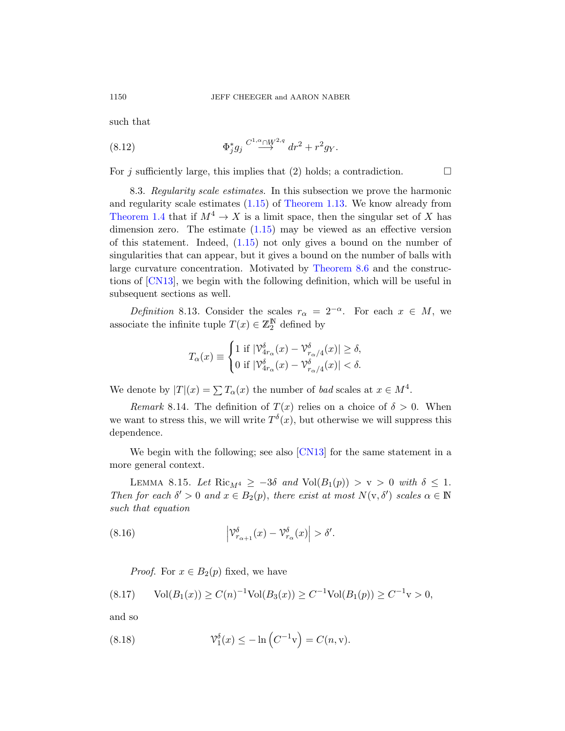such th[at](#page-4-0)

(8.12) 
$$
\Phi_j^* g_j \stackrel{C^1,\alpha} \longrightarrow H^2 + r^2 g_Y.
$$

For j [suffic](#page-4-0)iently large, this implies that (2) holds; a contradiction.  $\Box$ 

8.3. Regularity sc[ale estimates](#page-55-1). In this subsection we prove the harmonic and regularity scale estimates (1.15) of Theorem 1.13. We know already from Theorem 1.4 that if  $M^4 \to X$  is a limit space, then the singular set of X has dimension zero. The estimate  $(1.15)$  may be viewed as an effective version of this statement. Indeed, (1.15) not only gives a bound on the number of singularities that can appear, but it gives a bound on the number of balls with large curvature concentration. Motivated by Theorem 8.6 and the constructions of [CN13], we begin with the following definition, which will be useful in subsequent sections as well.

Definition 8.13. Consider the scales  $r_{\alpha} = 2^{-\alpha}$ . For each  $x \in M$ , we associate the infinite tuple  $T(x) \in \mathbb{Z}_2^{\mathbb{N}}$  defined by

$$
T_{\alpha}(x) \equiv \begin{cases} 1 \text{ if } |\mathcal{V}^{\delta}_{4r_{\alpha}}(x) - \mathcal{V}^{\delta}_{r_{\alpha}/4}(x)| \geq \delta, \\ 0 \text{ if } |\mathcal{V}^{\delta}_{4r_{\alpha}}(x) - \mathcal{V}^{\delta}_{r_{\alpha}/4}(x)| < \delta. \end{cases}
$$

We denote by  $|T|(x) = \sum T_\alpha(x)$  the number of bad scales at  $x \in M^4$ .

<span id="page-57-0"></span>Remark 8.14. The definition of  $T(x)$  relies on a choice of  $\delta > 0$ . When we want to stress this, we will write  $T^{\delta}(x)$ , but otherwise we will suppress this dependence.

We begin with the following; see also [CN13] for the same statement in a more general context.

LEMMA 8.15. Let Ric<sub>M4</sub>  $\geq -3\delta$  and Vol $(B_1(p)) > v > 0$  with  $\delta \leq 1$ . Then for each  $\delta' > 0$  and  $x \in B_2(p)$ , there exist at most  $N(\mathbf{v}, \delta')$  scales  $\alpha \in \mathbb{N}$ such that equation

(8.16) 
$$
\left|\mathcal{V}_{r_{\alpha+1}}^{\delta}(x)-\mathcal{V}_{r_{\alpha}}^{\delta}(x)\right|>\delta'.
$$

*Proof.* For  $x \in B_2(p)$  fixed, we have

$$
(8.17) \qquad \text{Vol}(B_1(x)) \ge C(n)^{-1} \text{Vol}(B_3(x)) \ge C^{-1} \text{Vol}(B_1(p)) \ge C^{-1} \text{v} > 0,
$$

and so

(8.18) 
$$
\mathcal{V}_1^{\delta}(x) \leq -\ln\left(C^{-1}v\right) = C(n,v).
$$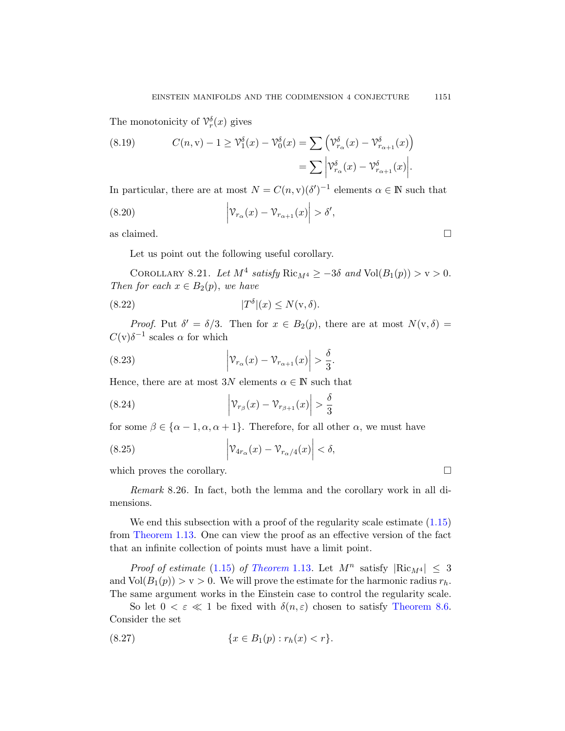The monotonicity of  $\mathcal{V}_r^{\delta}(x)$  gives

(8.19) 
$$
C(n, v) - 1 \geq \mathcal{V}_1^{\delta}(x) - \mathcal{V}_0^{\delta}(x) = \sum \left( \mathcal{V}_{r_{\alpha}}^{\delta}(x) - \mathcal{V}_{r_{\alpha+1}}^{\delta}(x) \right)
$$

$$
= \sum \left| \mathcal{V}_{r_{\alpha}}^{\delta}(x) - \mathcal{V}_{r_{\alpha+1}}^{\delta}(x) \right|.
$$

In particular, there are at most  $N = C(n, v)(\delta')^{-1}$  elements  $\alpha \in \mathbb{N}$  such that

(8.20) 
$$
\left| \mathcal{V}_{r_{\alpha}}(x) - \mathcal{V}_{r_{\alpha+1}}(x) \right| > \delta',
$$

as claimed.  $\square$ 

Let us point out the following useful corollary.

COROLLARY 8.21. Let  $M^4$  satisfy  $\text{Ric}_{M^4} \geq -3\delta$  and  $\text{Vol}(B_1(p)) > v > 0$ . Then for each  $x \in B_2(p)$ , we have

(8.22) 
$$
|T^{\delta}|(x) \le N(\mathbf{v}, \delta).
$$

*Proof.* Put  $\delta' = \delta/3$ . Then for  $x \in B_2(p)$ , there are at most  $N(v, \delta) =$  $C(v)\delta^{-1}$  scales  $\alpha$  for which

(8.23) 
$$
\left| \mathcal{V}_{r_{\alpha}}(x) - \mathcal{V}_{r_{\alpha+1}}(x) \right| > \frac{\delta}{3}.
$$

Hence, there are at most  $3N$  elements  $\alpha \in \mathbb{N}$  such that

(8.24) 
$$
\left| \mathcal{V}_{r_{\beta}}(x) - \mathcal{V}_{r_{\beta+1}}(x) \right| > \frac{\delta}{3}
$$

for some  $\beta \in {\alpha - 1, \alpha, \alpha + 1}$ . Therefore, for all other  $\alpha$ , we must have

(8.25) 
$$
\left| \mathcal{V}_{4r_{\alpha}}(x) - \mathcal{V}_{r_{\alpha}/4}(x) \right| < \delta,
$$

which proves the corollary.  $\Box$ 

[R](#page-4-0)emark [8.26.](#page-3-1) In fact, both the lemma and the corollary work in all dimensions.

We end this subsection with a proof [of the regulari](#page-55-1)ty scale estimate  $(1.15)$ from Theorem 1.13. One can view the proof as an effective version of the fact that an infinite collection of points must have a limit point.

*Proof of estimate* (1.15) of Theorem 1.13. Let  $M^n$  satisfy  $|\text{Ric}_{M^4}| \leq 3$ and  $Vol(B_1(p)) > v > 0$ . We will prove the estimate for the harmonic radius  $r_h$ . The same argument works in the Einstein case to control the regularity scale.

So let  $0 < \varepsilon \ll 1$  be fixed with  $\delta(n, \varepsilon)$  chosen to satisfy Theorem 8.6. Consider the set

$$
(8.27) \t\t\t\{x \in B_1(p) : r_h(x) < r\}.
$$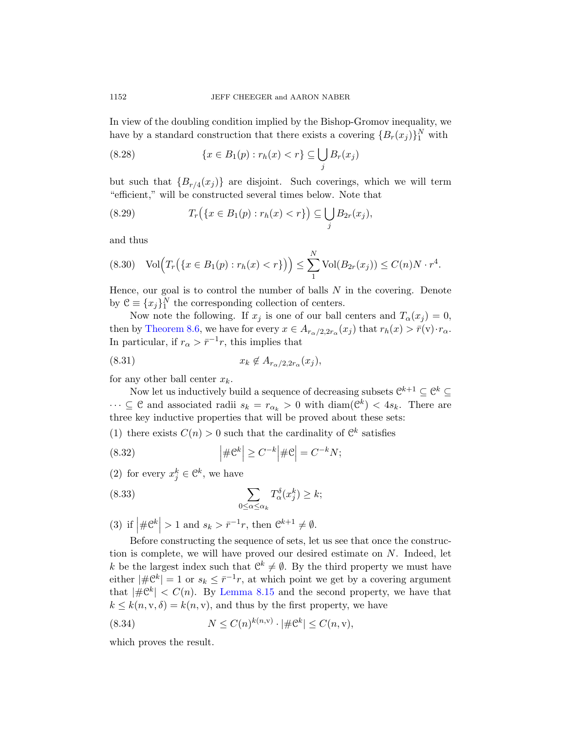In view of the doubling condition implied by the Bishop-Gromov inequality, we have by a standard construction that there exists a covering  $\{B_r(x_j)\}_1^N$  with

(8.28) 
$$
\{x \in B_1(p) : r_h(x) < r\} \subseteq \bigcup_j B_r(x_j)
$$

but such that  ${B_{r/4}(x_j)}$  are disjoint. Such coverings, which we will term "efficient," will be constructed several times below. Note that

(8.29) 
$$
T_r(\{x \in B_1(p) : r_h(x) < r\}) \subseteq \bigcup_j B_{2r}(x_j),
$$

and thus

<span id="page-59-0"></span>
$$
(8.30) \quad \text{Vol}\Big(T_r\big(\{x \in B_1(p) : r_h(x) < r\}\big)\Big) \le \sum_{1}^{N} \text{Vol}(B_{2r}(x_j)) \le C(n)N \cdot r^4.
$$

Hence, our goal is to control the number of balls  $N$  in the covering. Denote by  $\mathcal{C} \equiv \{x_j\}_1^N$  the corresponding collection of centers.

Now note the following. If  $x_j$  is one of our ball centers and  $T_\alpha(x_j) = 0$ , then by Theorem 8.6, we have for every  $x \in A_{r_\alpha/2, 2r_\alpha}(x_j)$  that  $r_h(x) > \bar{r}(v) \cdot r_\alpha$ . In particular, if  $r_{\alpha} > \bar{r}^{-1}r$ , this implies that

$$
(8.31) \t\t x_k \notin A_{r_\alpha/2, 2r_\alpha}(x_j),
$$

for any other ball center  $x_k$ .

Now let us inductively build a sequence of decreasing subsets  $\mathcal{C}^{k+1} \subseteq \mathcal{C}^k \subseteq$  $\cdots \subseteq \mathcal{C}$  and associated radii  $s_k = r_{\alpha_k} > 0$  with  $\text{diam}(\mathcal{C}^k) < 4s_k$ . There are three key inductive properties that will be proved about these sets:

(1) there exists  $C(n) > 0$  such that the cardinality of  $\mathbb{C}^k$  satisfies

(8.32) 
$$
\left| \# \mathcal{C}^k \right| \geq C^{-k} \left| \# \mathcal{C} \right| = C^{-k} N;
$$

(2) for every  $x_j^k \in \mathbb{C}^k$ , we have

(8.33) 
$$
\sum_{0 \leq \alpha \leq \alpha_k} T_{\alpha}^{\delta}(x_j^k) \geq k;
$$

(3) if  $|\# \mathcal{C}^k| > 1$  and  $s_k > \bar{r}^{-1}r$ , then  $\mathcal{C}^{k+1} \neq \emptyset$ .

Before constructing the sequence of sets, let us see that once the construction is complete, we will have proved our desired estimate on N. Indeed, let k be the largest index such that  $\mathbb{C}^k \neq \emptyset$ . By the third property we must have either  $|\#\mathcal{C}^k| = 1$  or  $s_k \leq \bar{r}^{-1}r$ , at which point we get by a covering argument that  $|\#\mathfrak{C}^k| < C(n)$ . By Lemma 8.15 and the second property, we have that  $k \leq k(n, v, \delta) = k(n, v)$ , and thus by the first property, we have

(8.34) 
$$
N \leq C(n)^{k(n,v)} \cdot |\# \mathcal{C}^k| \leq C(n,v),
$$

which proves the result.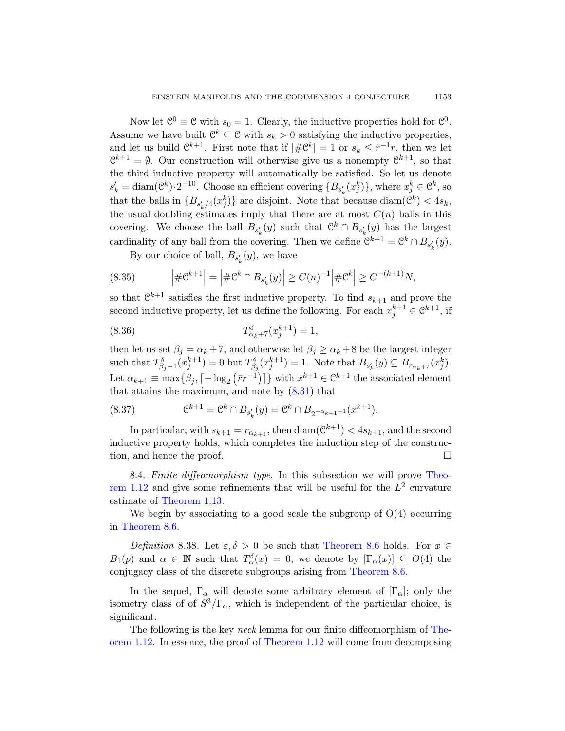Now let  $\mathcal{C}^0 \equiv \mathcal{C}$  with  $s_0 = 1$ . Clearly, the inductive properties hold for  $\mathcal{C}^0$ . Assume we have built  $\mathcal{C}^k \subseteq \mathcal{C}$  with  $s_k > 0$  satisfying the inductive properties, and let us build  $\mathbb{C}^{k+1}$ . First note that if  $|\#\mathbb{C}^k| = 1$  or  $s_k \leq \bar{r}^{-1}r$ , then we let  $\mathcal{C}^{k+1} = \emptyset$ . Our construction will otherwise give us a nonempty  $\mathcal{C}^{k+1}$ , so that the third inductive property will automatically be satisfied. So let us denote  $s'_k = \text{diam}(\mathbb{C}^k) \cdot 2^{-10}$ . Choose an efficient covering  $\{B_{s'_k}(x^k_j)\}\)$ , where  $x^k_j \in \mathbb{C}^k$ , so that the balls in  ${B_{s'_k/4}(x_j^k)}$  are disjoint. Note that because  $\text{diam}(\mathcal{C}^k) < 4s_k$ , the usual doubling estimates imply that there are at most  $C(n)$  balls in this covering. We choose the ball  $B_{s'_k}(y)$  such that  $\mathcal{C}^k \cap B_{s'_k}(y)$  has the largest cardinality of any ball from the covering. Then we define  $\mathcal{C}^{k+1} = \mathcal{C}^k \cap B_{s'_k}(y)$ .

By our choice of ball,  $B_{s'_{k}}(y)$ , we have

(8.35) 
$$
\left| \# \mathcal{C}^{k+1} \right| = \left| \# \mathcal{C}^k \cap B_{s'_k}(y) \right| \geq C(n)^{-1} \left| \# \mathcal{C}^k \right| \geq C^{-(k+1)} N,
$$

so that  $\mathbb{C}^{k+1}$  satisfies the first inductive property. To find  $s_{k+1}$  and prove the second inductive [prope](#page-59-0)rty, let us define the following. For each  $x_j^{k+1} \in \mathbb{C}^{k+1}$ , if

(8.36) 
$$
T^{\delta}_{\alpha_k+7}(x_j^{k+1}) = 1,
$$

then let us set  $\beta_j = \alpha_k + 7$ , and otherwise let  $\beta_j \ge \alpha_k + 8$  be the largest integer such that  $T^{\delta}_{\beta_j-1}(x_j^{k+1})=0$  but  $T^{\delta}_{\beta_j}(x_j^{k+1})=1$ . Note that  $B_{s'_k}(y) \subseteq B_{r_{\alpha_k+7}}(x_j^k)$ . Let  $\alpha_{k+1} \equiv \max\{\beta_j, \lceil -\log_2\left(\bar{r}r^{-1}\right) \rceil\}$  with  $x^{k+1} \in \mathbb{C}^{k+1}$  the associated element t[hat](#page-3-2) attains the maximum, and note by  $(8.31)$  that

<span id="page-60-0"></span>(8.37) 
$$
e^{k+1} = e^k \cap B_{s'_k}(y) = e^k \cap B_{2^{-\alpha_{k+1}+1}}(x^{k+1}).
$$

In particular, with  $s_{k+1} = r_{\alpha_{k+1}}$ , then  $\text{diam}(\mathcal{C}^{k+1}) < 4s_{k+1}$ , and the second inductive property holds, which completes the induction step of the construction, and hence the proof.

8.4. Finite diffeomo[rphism type](#page-55-1). In this subsection we will prove Theorem 1.12 and give some refine[ments that wi](#page-55-1)ll be useful for the  $L^2$  curvature estimate of Theorem 1.13.

We begin by associating to a good scale the subgroup of  $O(4)$  occurring in Theorem 8.6.

Definition 8.38. Let  $\varepsilon, \delta > 0$  be such that [Theore](#page-3-2)m 8.6 holds. For  $x \in$  $B_1(p)$  and  $\alpha \in \mathbb{N}$  [such t](#page-3-2)hat  $T_\alpha^{\delta}(x) = 0$ , we denote by  $[\Gamma_\alpha(x)] \subseteq O(4)$  the conjugacy class of the discrete subgroups arising from Theorem 8.6.

In the sequel,  $\Gamma_{\alpha}$  will denote some arbitrary element of  $[\Gamma_{\alpha}]$ ; only the isometry class of of  $S^3/\Gamma_\alpha$ , which is independent of the particular choice, is significant.

The following is the key neck lemma for our finite diffeomorphism of Theorem 1.12. In essence, the proof of Theorem 1.12 will come from decomposing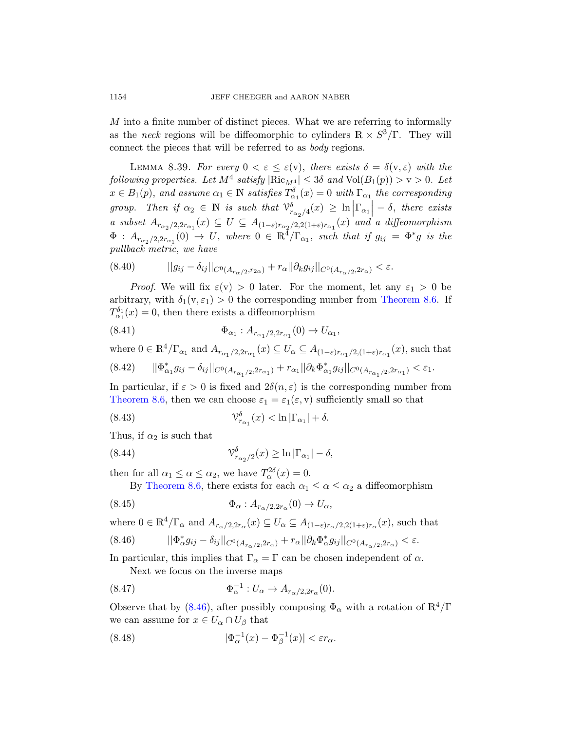M into a finite number of distinct pieces. What we are referring to informally as the neck regions will be diffeomorphic to cylinders  $\mathbb{R} \times S^3/\Gamma$ . They will connect the pieces that will be referred to as body regions.

LEMMA 8.39. For every  $0 < \varepsilon \leq \varepsilon(\mathbf{v})$ , there exists  $\delta = \delta(\mathbf{v}, \varepsilon)$  with the following properties. Let  $M^4$  satisfy  $|\text{Ric}_{M^4}| \leq 3\delta$  and  $\text{Vol}(B_1(p)) > v > 0$ . Let  $x \in B_1(p)$ , and assume  $\alpha_1 \in \mathbb{N}$  satisfies  $T^{\delta}_{\alpha_1}(x) = 0$  with  $\Gamma_{\alpha_1}$  the corresponding group. Then if  $\alpha_2 \in \mathbb{N}$  is such that  $\mathcal{V}^{\delta}_{r_{\alpha_2}/4}(x) \geq \ln |\Gamma_{\alpha_1}| - \delta$ , there exists a subset  $A_{r_{\alpha_2}/2,2r_{\alpha_1}}(x) \subseteq U \subseteq A_{(1-\varepsilon)r_{\alpha_2}/2,2(1+\varepsilon)r_{\alpha_1}}(x)$  $A_{r_{\alpha_2}/2,2r_{\alpha_1}}(x) \subseteq U \subseteq A_{(1-\varepsilon)r_{\alpha_2}/2,2(1+\varepsilon)r_{\alpha_1}}(x)$  $A_{r_{\alpha_2}/2,2r_{\alpha_1}}(x) \subseteq U \subseteq A_{(1-\varepsilon)r_{\alpha_2}/2,2(1+\varepsilon)r_{\alpha_1}}(x)$  and a diffeomorphism  $\Phi$  :  $A_{r_{\alpha_2}/2,2r_{\alpha_1}}(0) \rightarrow U$ , where  $0 \in \mathbb{R}^4/\Gamma_{\alpha_1}$ , such that if  $g_{ij} = \Phi^* g$  is the pullback metric, we have

$$
(8.40) \t\t ||g_{ij} - \delta_{ij}||_{C^{0}(A_{r_{\alpha}/2}, r_{2\alpha})} + r_{\alpha}||\partial_{k}g_{ij}||_{C^{0}(A_{r_{\alpha}/2}, 2r_{\alpha})} < \varepsilon.
$$

*Proof.* We will fix  $\varepsilon(\mathbf{v}) > 0$  later. For the moment, let any  $\varepsilon_1 > 0$  be arbitrary, with  $\delta_1(v, \varepsilon_1) > 0$  the corresponding number from Theorem 8.6. If  $T_{\alpha_1}^{\delta_1}(x) = 0$ , then there exists a diffeomorphism

(8.41) 
$$
\Phi_{\alpha_1} : A_{r_{\alpha_1}/2, 2r_{\alpha_1}}(0) \to U_{\alpha_1},
$$

where  $0 \in \mathbb{R}^4/\Gamma_{\alpha_1}$  and  $A_{r_{\alpha_1}/2, 2r_{\alpha_1}}(x) \subseteq U_\alpha \subseteq A_{(1-\varepsilon)r_{\alpha_1}/2, (1+\varepsilon)r_{\alpha_1}}(x)$ , such that (8.42)  $||\Phi_{\alpha_1}^* g_{ij} - \delta_{ij}||_{C^0(A_{r_{\alpha_1}/2}, 2r_{\alpha_1})} + r_{\alpha_1}||\partial_k \Phi_{\alpha_1}^* g_{ij}||_{C^0(A_{r_{\alpha_1}/2}, 2r_{\alpha_1})} < \varepsilon_1.$ 

In particular, if  $\varepsilon > 0$  is fixed and  $2\delta(n, \varepsilon)$  is the corresponding number from Theorem 8.6, then we can choose  $\varepsilon_1 = \varepsilon_1(\varepsilon, v)$  sufficiently small so that

(8.43) 
$$
\mathcal{V}_{r_{\alpha_1}}^{\delta}(x) < \ln |\Gamma_{\alpha_1}| + \delta.
$$

Thus, if  $\alpha_2$  is such that

(8.44) 
$$
\mathcal{V}_{r_{\alpha_2}/2}^{\delta}(x) \geq \ln |\Gamma_{\alpha_1}| - \delta,
$$

then for all  $\alpha_1 \leq \alpha \leq \alpha_2$ , we have  $T_\alpha^{2\delta}(x) = 0$ .

By Theorem 8.6, there exists for each  $\alpha_1 \leq \alpha \leq \alpha_2$  a diffeomorphism

$$
\Phi_{\alpha}: A_{r_{\alpha}/2,2r_{\alpha}}(0) \to U_{\alpha},
$$

where  $0 \in \mathbb{R}^4/\Gamma_\alpha$  and  $A_{r_\alpha/2,2r_\alpha}(x) \subseteq U_\alpha \subseteq A_{(1-\varepsilon)r_\alpha/2,2(1+\varepsilon)r_\alpha}(x)$ , such that

$$
(8.46)\qquad \qquad ||\Phi_{\alpha}^*g_{ij}-\delta_{ij}||_{C^0(A_{r_\alpha/2},2r_\alpha)}+r_\alpha ||\partial_k\Phi_{\alpha}^*g_{ij}||_{C^0(A_{r_\alpha/2},2r_\alpha)}<\varepsilon.
$$

<span id="page-61-0"></span>In particular, this implies that  $\Gamma_{\alpha} = \Gamma$  can be chosen independent of  $\alpha$ . Next we focus on the inverse maps

(8.47) 
$$
\Phi_{\alpha}^{-1}: U_{\alpha} \to A_{r_{\alpha}/2,2r_{\alpha}}(0).
$$

Observe that by (8.46), after possibly composing  $\Phi_{\alpha}$  with a rotation of  $\mathbb{R}^4/\Gamma$ we can assume for  $x \in U_\alpha \cap U_\beta$  that

(8.48) 
$$
|\Phi_{\alpha}^{-1}(x) - \Phi_{\beta}^{-1}(x)| < \varepsilon r_{\alpha}.
$$

<span id="page-61-1"></span>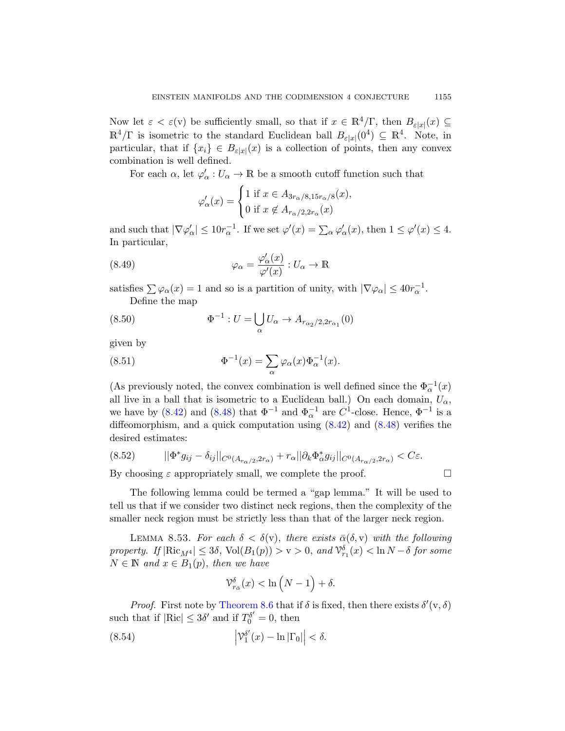Now let  $\varepsilon < \varepsilon$ (v) be sufficiently small, so that if  $x \in \mathbb{R}^4/\Gamma$ , then  $B_{\varepsilon|x|}(x) \subseteq$  $\mathbb{R}^4/\Gamma$  is isometric to the standard Euclidean ball  $B_{\varepsilon|x|}(0^4) \subseteq \mathbb{R}^4$ . Note, in particular, that if  $\{x_i\} \in B_{\varepsilon|x|}(x)$  is a collection of points, then any convex combination is well defined.

For each  $\alpha$ , let  $\varphi'_\alpha: U_\alpha \to \mathbb{R}$  be a smooth cutoff function such that

$$
\varphi'_{\alpha}(x) = \begin{cases} 1 \text{ if } x \in A_{3r_{\alpha}/8,15r_{\alpha}/8}(x), \\ 0 \text{ if } x \notin A_{r_{\alpha}/2,2r_{\alpha}}(x) \end{cases}
$$

and such that  $|\nabla \varphi_\alpha'| \leq 10r_\alpha^{-1}$ . If we set  $\varphi'(x) = \sum_\alpha \varphi_\alpha'(x)$ , then  $1 \leq \varphi'(x) \leq 4$ . In particular,

(8.49) 
$$
\varphi_{\alpha} = \frac{\varphi_{\alpha}'(x)}{\varphi'(x)} : U_{\alpha} \to \mathbb{R}
$$

satisfies  $\sum \varphi_\alpha(x) = 1$  and so is a partition of unity, with  $|\nabla \varphi_\alpha| \leq 40r_\alpha^{-1}$ . Define the map

(8.50) 
$$
\Phi^{-1} : U = \bigcup_{\alpha} U_{\alpha} \to A_{r_{\alpha_2}/2, 2r_{\alpha_1}}(0)
$$

[given](#page-61-0) by

(8.51) 
$$
\Phi^{-1}(x) = \sum_{\alpha} \varphi_{\alpha}(x) \Phi_{\alpha}^{-1}(x).
$$

(As previously noted, the convex combination is well defined since the  $\Phi_{\alpha}^{-1}(x)$ all live in a ball that is isometric to a Euclidean ball.) On each domain,  $U_{\alpha}$ , we have by (8.42) and (8.48) that  $\Phi^{-1}$  and  $\Phi_{\alpha}^{-1}$  are  $C^1$ -close. Hence,  $\Phi^{-1}$  is a diffeomorphism, and a quick computation using  $(8.42)$  and  $(8.48)$  verifies the desired estimates:

<span id="page-62-0"></span>
$$
(8.52) \qquad \qquad ||\Phi^* g_{ij} - \delta_{ij}||_{C^0(A_{r_\alpha/2}, 2r_\alpha)} + r_\alpha ||\partial_k \Phi_\alpha^* g_{ij}||_{C^0(A_{r_\alpha/2}, 2r_\alpha)} < C\varepsilon.
$$

By choosing  $\varepsilon$  appropriately small, we complete the proof.  $\Box$ 

The following lemma could be termed a "gap lemma." It will be used to tell us that if we consider two distinct neck regions, then the complexity of the s[maller neck re](#page-55-1)gion must be strictly less than that of the larger neck region.

LEMMA 8.53. For each  $\delta < \delta(v)$ , there exists  $\bar{\alpha}(\delta, v)$  with the following property. If  $|\text{Ric}_{M}4| \leq 3\delta$ ,  $\text{Vol}(B_1(p)) > v > 0$ , and  $\mathcal{V}^{\delta}_{r_1}(x) < \ln N - \delta$  for some  $N \in \mathbb{N}$  and  $x \in B_1(p)$ , then we have

$$
\mathcal{V}_{r_{\bar{\alpha}}}^{\delta}(x) < \ln\left(N - 1\right) + \delta.
$$

*Proof.* First note by Theorem 8.6 that if  $\delta$  is fixed, then there exists  $\delta'(v, \delta)$ such that if  $|\text{Ric}| \leq 3\delta'$  and if  $T_0^{\delta'} = 0$ , then

(8.54) 
$$
\left|\mathcal{V}_1^{\delta'}(x) - \ln|\Gamma_0|\right| < \delta.
$$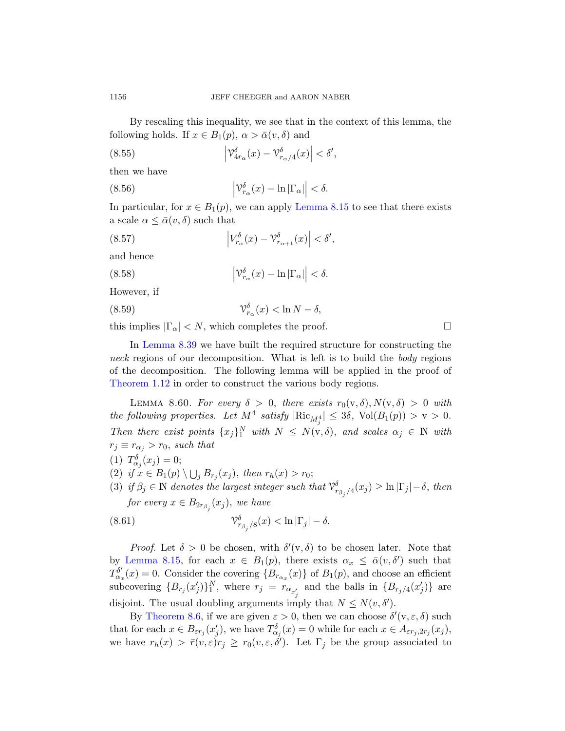By rescalingt[his inequality](#page-57-0), we see that in the context of this lemma, the following holds. If  $x \in B_1(p)$ ,  $\alpha > \bar{\alpha}(v, \delta)$  and

(8.55) 
$$
\left| \mathcal{V}_{4r_{\alpha}}^{\delta}(x) - \mathcal{V}_{r_{\alpha}/4}^{\delta}(x) \right| < \delta',
$$

then we have

(8.56) 
$$
\left| \mathcal{V}_{r_{\alpha}}^{\delta}(x) - \ln |\Gamma_{\alpha}| \right| < \delta.
$$

In particular, for  $x \in B_1(p)$ , we can apply Lemma 8.15 to see that there exists a scale  $\alpha \leq \bar{\alpha}(v,\delta)$  such that

(8.57) 
$$
\left| V_{r_\alpha}^{\delta}(x) - \mathcal{V}_{r_{\alpha+1}}^{\delta}(x) \right| < \delta',
$$

and hence

(8.58) 
$$
\left| \mathcal{V}_{r_{\alpha}}^{\delta}(x) - \ln |\Gamma_{\alpha}| \right| < \delta.
$$

However, if

(8.59) 
$$
\mathcal{V}_{r_{\alpha}}^{\delta}(x) < \ln N - \delta,
$$

<span id="page-63-0"></span>this implies  $|\Gamma_{\alpha}| < N$ , which completes the proof.

In Lemma 8.39 we have built the required structure for constructing the neck regions of our decomposition. What is left is to build the *body* regions of the decomposition. The following lemma will be applied in the proof of Theorem 1.12 in order to construct the various body regions.

LEMMA 8.60. For every  $\delta > 0$ , there exists  $r_0(v, \delta), N(v, \delta) > 0$  with the following properties. Let  $M^4$  satisfy  $|\text{Ric}_{M_j^4}| \leq 3\delta$ ,  $\text{Vol}(B_1(p)) > v > 0$ . Then there exist points  $\{x_j\}_1^N$  with  $N \leq N(\mathbf{v},\delta)$ , and scales  $\alpha_j \in \mathbb{N}$  with  $r_j \equiv r_{\alpha_j} > r_0$ , such that

$$
(1) T_{\alpha_j}^{\delta}(x_j) = 0;
$$

- (2) if  $x \in B_1(p) \setminus \bigcup_j B_{r_j}(x_j)$ , then  $r_h(x) > r_0$ ;
- (3) if  $\beta_j \in \mathbb{N}$  denotes the largest integer such that  $\mathcal{V}^{\delta}_{r_{\beta_j}/4}(x_j) \geq \ln|\Gamma_j| \delta$ , then for every  $x \in B_{2r_{\beta_j}}(x_j)$ , we have

(8.61) 
$$
\mathcal{V}_{r_{\beta_j}/8}^{\delta}(x) < \ln|\Gamma_j| - \delta.
$$

*Proof.* Let  $\delta > 0$  be chosen, with  $\delta'(v, \delta)$  to be chosen later. Note that by Lemma 8.15, for each  $x \in B_1(p)$ , there exists  $\alpha_x \leq \overline{\alpha}(v, \delta')$  such that  $T_{\alpha_x}^{\delta'}(x) = 0$ . Consider the covering  ${B_{r_{\alpha_x}}(x)}$  of  $B_1(p)$ , and choose an efficient subcovering  ${B_{r_j}(x'_j)}_1^N$ , where  $r_j = r_{\alpha_{x'_j}}$  and the balls in  ${B_{r_j/4}(x'_j)}$  are disjoint. The usual doubling arguments imply that  $N \leq N(v, \delta')$ .

By Theorem 8.6, if we are given  $\varepsilon > 0$ , then we can choose  $\delta'(v, \varepsilon, \delta)$  such that for each  $x \in B_{\varepsilon r_j}(x'_j)$ , we have  $T_{\alpha_j}^{\delta}(x) = 0$  while for each  $x \in A_{\varepsilon r_j, 2r_j}(x_j)$ , we have  $r_h(x) > \bar{r}(v, \varepsilon) r_j \geq r_0(v, \varepsilon, \delta')$ . Let  $\Gamma_j$  be the group associated to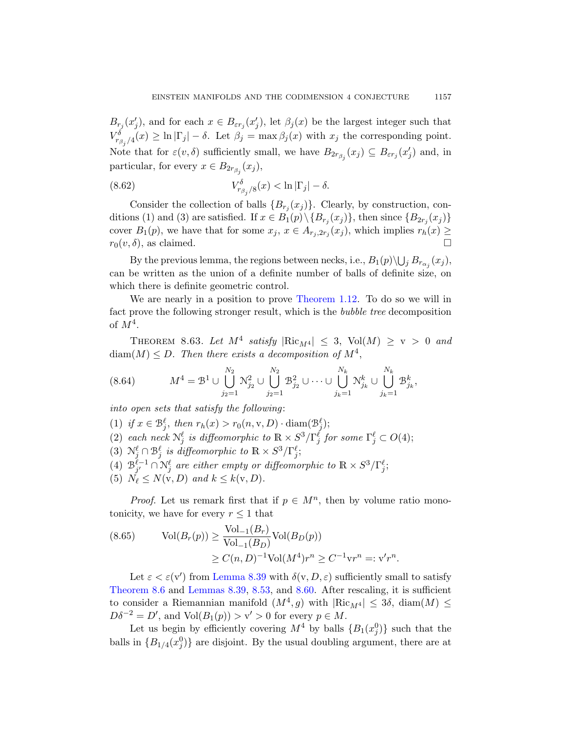$B_{r_j}(x'_j)$ , and for each  $x \in B_{\varepsilon r_j}(x'_j)$ , let  $\beta_j(x)$  be the largest integer such that  $V^{\delta}_{r_{\beta_j}/4}(x) \geq \ln|\Gamma_j| - \delta$ . Let  $\beta_j = \max \beta_j(x)$  with  $x_j$  the corresponding point. Note that for  $\varepsilon(v, \delta)$  sufficiently small, we have  $B_{2r_{\beta_j}}(x_j) \subseteq B_{\varepsilon r_j}(x'_j)$  and, in particular, for every  $x \in B_{2r_{\beta_j}}(x_j)$ ,

(8.62) 
$$
V_{r_{\beta_j}/8}^{\delta}(x) < \ln|\Gamma_j| - \delta.
$$

Consider the collection of balls  $\{B_{r_j}(x_j)\}\$ . Clearly, by construction, conditions (1) and (3) [are satisfied. If](#page-3-2)  $x \in B_1(p) \setminus \{B_{r_j}(x_j)\}\$ , then since  $\{B_{2r_j}(x_j)\}\$ cover  $B_1(p)$ , we have that for some  $x_j, x \in A_{r_j, 2r_j}(x_j)$ , which implies  $r_h(x) \geq$  $r_0(v, \delta)$ , as claimed.

By the previous lemma, the regions between necks, i.e.,  $B_1(p) \backslash \bigcup_j B_{r_{\alpha_j}}(x_j)$ , can be written as the union of a definite number of balls of definite size, on which there is definite geometric control.

We are nearly in a position to prove Theorem 1.12. To do so we will in fact prove the following stronger result, which is the bubble tree decomposition of  $M^4$ .

THEOREM 8.63. Let  $M^4$  satisfy  $|\text{Ric}_{M^4}| \leq 3$ ,  $\text{Vol}(M) \geq v > 0$  and  $\text{diam}(M) \leq D$ . Then there exists a decomposition of  $M^4$ ,

$$
(8.64) \t\t M4 = \mathcal{B}1 \cup \bigcup_{j_2=1}^{N_2} \mathcal{N}_{j_2}^2 \cup \bigcup_{j_2=1}^{N_2} \mathcal{B}_{j_2}^2 \cup \cdots \cup \bigcup_{j_k=1}^{N_k} \mathcal{N}_{j_k}^k \cup \bigcup_{j_k=1}^{N_k} \mathcal{B}_{j_k}^k,
$$

into open sets that satisfy the following:

(1) if  $x \in \mathcal{B}_j^{\ell}$ , then  $r_h(x) > r_0(n, v, D) \cdot \text{diam}(\mathcal{B}_j^{\ell})$ ; (2) each neck  $\mathcal{N}_j^{\ell}$  is diffeomorphic to  $\mathbb{R} \times S^3/\Gamma_j^{\tilde{\ell}}$  for some  $\Gamma_j^{\ell} \subset O(4)$ ; (3)  $\mathcal{N}_j^{\ell} \cap \mathcal{B}_j^{\ell}$  is diffeomorphic to  $\mathbb{R} \times S^3/\Gamma_j^{\ell}$ ;  $(4) \mathcal{B}_{i'}^{\ell-1}$  $\ell^{-1}_{j'}\cap \mathcal{N}^\ell_j$  are either empty or diffeomorphic to  $\mathbb{R}\times S^3/\Gamma^\ell_j;$ (5)  $N_{\ell} \leq N(\mathbf{v}, D)$  and  $k \leq k(\mathbf{v}, D)$ .

*[Proof](#page-61-1).* Let us remark first that if  $p \in M<sup>n</sup>$ , then by volume ratio mono[tonicity,](#page-61-1) [we ha](#page-62-0)ve f[or eve](#page-63-0)ry  $r \leq 1$  that

(8.65) 
$$
\text{Vol}(B_r(p)) \ge \frac{\text{Vol}_{-1}(B_r)}{\text{Vol}_{-1}(B_D)} \text{Vol}(B_D(p))
$$

$$
\ge C(n, D)^{-1} \text{Vol}(M^4) r^n \ge C^{-1} \text{v} r^n =: \text{v}' r^n
$$

Let  $\varepsilon < \varepsilon(\mathbf{v}')$  from Lemma 8.39 with  $\delta(\mathbf{v}, D, \varepsilon)$  sufficiently small to satisfy Theorem 8.6 and Lemmas 8.39, 8.53, and 8.60. After rescaling, it is sufficient to consider a Riemannian manifold  $(M^4, g)$  with  $|\text{Ric}_{M^4}| \leq 3\delta$ ,  $\text{diam}(M) \leq$  $D\delta^{-2} = D'$ , and  $Vol(B_1(p)) > v' > 0$  for every  $p \in M$ .

.

Let us begin by efficiently covering  $M^4$  by balls  $\{B_1(x_j^0)\}\$  such that the balls in  ${B_{1/4}(x_j^0)}$  are disjoint. By the usual doubling argument, there are at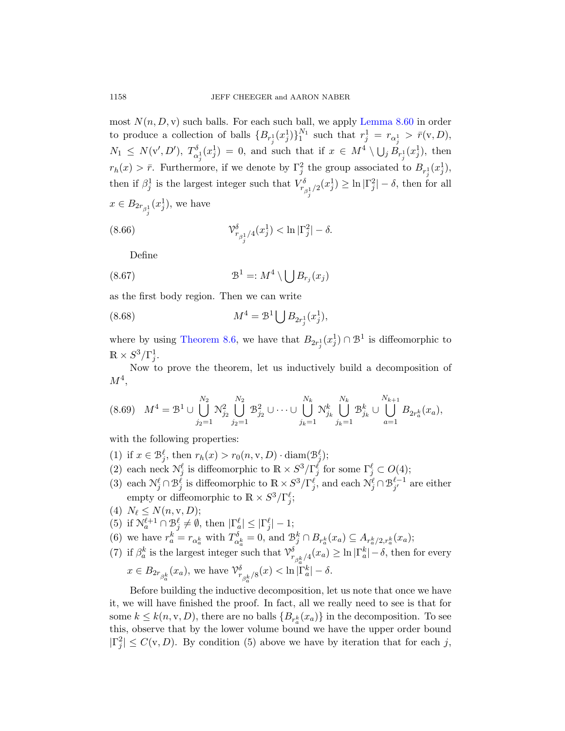most  $N(n, D, v)$  such balls. For each such ball, we apply Lemma 8.60 in order to produce a collection of balls  $\{B_{r_j^1}(x_j^1)\}_1^{N_1}$  such that  $r_j^1 = r_{\alpha_j^1} > \overline{r}(v, D)$ ,  $N_1 \leq N(\mathbf{v}', D'), T_{\alpha}^{\delta}$  $\alpha_j^{\delta}(x_j^1) = 0$ , and such that if  $x \in M^4 \setminus \bigcup_j B_{r_j^1}(x_j^1)$ , then  $r_h(x) > \bar{r}$ . Furthermore, if we denote by  $\Gamma_j^2$  the group associated to  $B_{r_j^1}(x_j^1)$ , then if  $\beta_j^1$  is the largest integer such that  $V^{\delta}_{r_{\beta_j^1}/2}(x_j^1) \ge \ln |\Gamma_j^2| - \delta$ , then for all  $x \in B_{2r_{\beta_j^1}}(x_j^1)$ , we have

(8.66) 
$$
\mathcal{V}_{r_{\beta_j^1}/4}^{\delta}(x_j^1) < \ln|\Gamma_j^2| - \delta.
$$

[D](#page-55-1)efine

(8.67) 
$$
\mathcal{B}^1 =: M^4 \setminus \bigcup B_{r_j}(x_j)
$$

as the first body region. Then we can write

(8.68) 
$$
M^4 = \mathcal{B}^1 \bigcup B_{2r_j^1}(x_j^1),
$$

where by using Theorem 8.6, we have that  $B_{2r_j^1}(x_j^1) \cap \mathcal{B}^1$  is diffeomorphic to  $\mathbb{R} \times S^3/\Gamma_j^1$ .

Now to prove the theorem, let us inductively build a decomposition of  $M^4$ ,

$$
(8.69) \quad M^4 = \mathcal{B}^1 \cup \bigcup_{j_2=1}^{N_2} \mathcal{N}_{j_2}^2 \bigcup_{j_2=1}^{N_2} \mathcal{B}_{j_2}^2 \cup \cdots \cup \bigcup_{j_k=1}^{N_k} \mathcal{N}_{j_k}^k \bigcup_{j_k=1}^{N_k} \mathcal{B}_{j_k}^k \cup \bigcup_{a=1}^{N_{k+1}} B_{2r_a^k}(x_a),
$$

with the following properties:

- (1) if  $x \in \mathcal{B}_{j}^{\ell}$ , then  $r_{h}(x) > r_{0}(n, v, D) \cdot \text{diam}(\mathcal{B}_{j}^{\ell})$ ;
- (2) each neck  $\mathcal{N}_j^{\ell}$  is diffeomorphic to  $\mathbb{R} \times S^3/\Gamma_j^{\ell}$  for some  $\Gamma_j^{\ell} \subset O(4)$ ;
- (3) each  $\mathcal{N}_j^{\ell} \cap \mathcal{B}_j^{\ell}$  is diffeomorphic to  $\mathbb{R} \times S^3/\Gamma_j^{\ell}$ , and each  $\mathcal{N}_j^{\ell} \cap \mathcal{B}_{j'}^{\ell-1}$  $j^{\ell-1}_{j'}$  are either empty or diffeomorphic to  $\mathbb{R} \times S^3/\Gamma_j^{\ell}$ ;
- (4)  $N_{\ell} \le N(n, v, D);$

(5) if 
$$
\mathcal{N}_a^{\ell+1} \cap \mathcal{B}_j^{\ell} \neq \emptyset
$$
, then  $|\Gamma_a^{\ell}| \leq |\Gamma_j^{\ell}| - 1$ ;

- (6) we have  $r_a^k = r_{\alpha_a^k}$  with  $T_{\alpha_a^k}^{\delta} = 0$ , and  $\mathcal{B}_{j}^k \cap B_{r_a^k}(x_a) \subseteq A_{r_a^k/2, r_a^k}(x_a)$ ;
- (7) if  $\beta_a^k$  is the largest integer such that  $\mathcal{V}^{\delta}_{r_{\beta_a^k}/4}(x_a) \geq \ln |\Gamma_a^k| \delta$ , then for every

$$
x \in B_{2r_{\beta_a^k}}(x_a)
$$
, we have  $\mathcal{V}_{r_{\beta_a^k}/8}^{\delta}(x) < \ln |\Gamma_a^k| - \delta$ .

Before building the inductive decomposition, let us note that once we have it, we will have finished the proof. In fact, all we really need to see is that for some  $k \leq k(n, v, D)$ , there are no balls  $\{B_{r_a^k}(x_a)\}\$ in the decomposition. To see this, observe that by the lower volume bound we have the upper order bound  $|\Gamma_j^2| \leq C(\mathbf{v}, D)$ . By condition (5) above we have by iteration that for each j,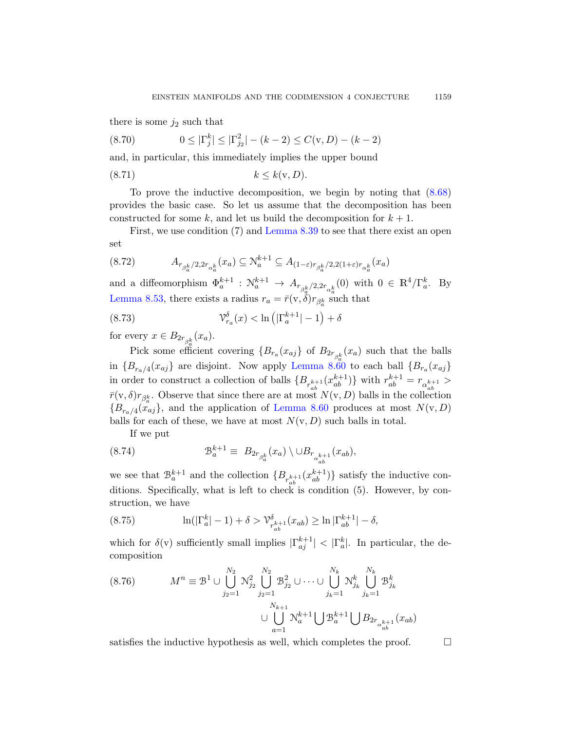there is some  $j_2$  such that

(8.70) 
$$
0 \leq |\Gamma_j^k| \leq |\Gamma_{j_2}^2| - (k-2) \leq C(\mathbf{v}, D) - (k-2)
$$

and, in part[icular, this im](#page-61-1)mediately implies the upper bound

$$
(8.71) \t\t k \leq k(\mathbf{v}, D).
$$

To prove the inductive decomposition, we begin by noting that (8.68) provides the basic case. So let us assume that the decomposition has been constructed for some k, and let us build the decomposition for  $k + 1$ .

First, we use condition (7) and Lemma 8.39 to see that there exist an open set

$$
(8.72) \t A_{r_{\beta_a^k}/2, 2r_{\alpha_a^k}}(x_a) \subseteq \mathcal{N}_a^{k+1} \subseteq A_{(1-\varepsilon)r_{\beta_a^k}/2, 2(1+\varepsilon)r_{\alpha_a^k}}(x_a)
$$

and a diffeomorphism  $\Phi_a^{k+1} : \mathcal{N}_a^{k+1} \to A_{r_{\beta_a^k}/2, 2r_{\alpha_a^k}}(0)$  with  $0 \in \mathbb{R}^4/\Gamma_a^k$ . By Lemma 8.53, there exists a radius  $r_a = \bar{r}(v, \delta) r_{\beta_a^k}$  such that

(8.73) 
$$
\mathcal{V}_{r_a}^{\delta}(x) < \ln\left(\left|\Gamma_a^{k+1}\right| - 1\right) + \delta
$$

for every  $x \in B_{2r_{\beta_a^k}}(x_a)$ .

Pick some efficient covering  $\{B_{r_a}(x_{aj}\}\)$  of  $B_{2r_{\beta_a^k}}(x_a)\)$  such that the balls in  ${B_{r_a/4}(x_{aj})}$  are disjoint. Now apply Lemma 8.60 to each ball  ${B_{r_a}(x_{aj})}$ in order to construct a collection of balls  $\{B_{r_{ab}^{k+1}}(x_{ab}^{k+1})\}$  with  $r_{ab}^{k+1} = r_{\alpha_{ab}^{k+1}} >$  $\bar{r}(v, \delta)r_{\beta_a^k}$ . Observe that since there are at most  $N(v, D)$  balls in the collection  ${B_{r_a/4}(x_{aj})}$ , and the application of Lemma 8.60 produces at most  $N(v, D)$ balls for each of these, we have at most  $N(v, D)$  such balls in total.

If we put

(8.74) 
$$
\mathcal{B}_a^{k+1} \equiv B_{2r_{\beta_a^k}}(x_a) \setminus \cup B_{r_{\alpha_{ab}^{k+1}}}(x_{ab}),
$$

we see that  $\mathcal{B}_a^{k+1}$  and the collection  $\{B_{r_{ab}^{k+1}}(x_{ab}^{k+1})\}$  satisfy the inductive conditions. Specifically, what is left to check is condition (5). However, by construction, we have

(8.75) 
$$
\ln(|\Gamma_a^k| - 1) + \delta > \mathcal{V}_{r_{ab}^{k+1}}^{\delta}(x_{ab}) \ge \ln|\Gamma_{ab}^{k+1}| - \delta,
$$

which for  $\delta(v)$  sufficiently small implies  $|\Gamma_{aj}^{k+1}| < |\Gamma_a^k|$ . In particular, the decomposition

$$
(8.76) \t\t Mn \equiv \mathcal{B}^{1} \cup \bigcup_{j_{2}=1}^{N_{2}} \mathcal{N}_{j_{2}}^{2} \bigcup_{j_{2}=1}^{N_{2}} \mathcal{B}_{j_{2}}^{2} \cup \cdots \cup \bigcup_{j_{k}=1}^{N_{k}} \mathcal{N}_{j_{k}}^{k} \bigcup_{j_{k}=1}^{N_{k}} \mathcal{B}_{j_{k}}^{k}
$$
  

$$
\cup \bigcup_{a=1}^{N_{k+1}} \mathcal{N}_{a}^{k+1} \bigcup \mathcal{B}_{a}^{k+1} \bigcup B_{2r_{\alpha_{ab}^{k+1}}} (x_{ab})
$$

satisfies the inductive hypothesis as well, which completes the proof.  $\Box$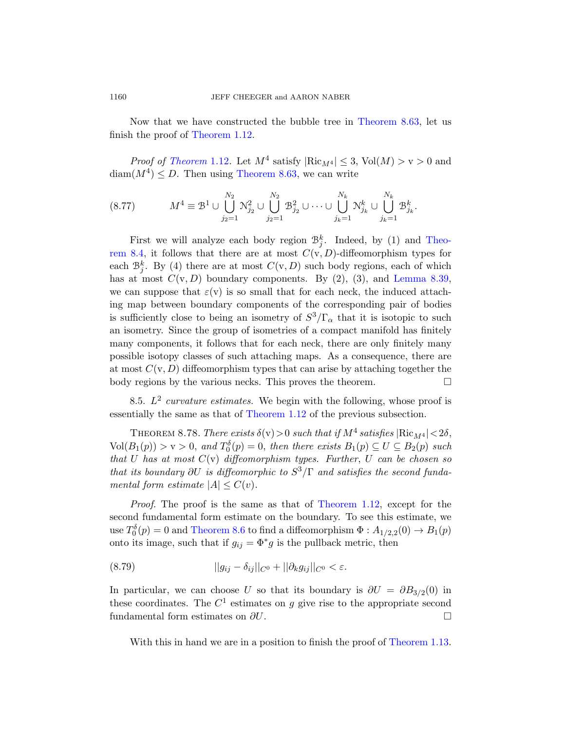Now that we have constructed the bubble tree in Theorem 8.63, let us finish the proof of Theorem 1.12.

*Proof of Theorem* 1.12. Let  $M^4$  satisfy  $|\text{Ric}_{M^4}| \leq 3$ ,  $\text{Vol}(M) > v > 0$  and  $\text{diam}(M^4) \leq D$ . Then using Theorem 8.63, we can write

$$
(8.77) \t\t M4 \equiv \mathcal{B}1 \cup \bigcup_{j_2=1}^{N_2} \mathcal{N}_{j_2}^2 \cup \bigcup_{j_2=1}^{N_2} \mathcal{B}_{j_2}^2 \cup \cdots \cup \bigcup_{j_k=1}^{N_k} \mathcal{N}_{j_k}^k \cup \bigcup_{j_k=1}^{N_k} \mathcal{B}_{j_k}^k.
$$

First we will analyze each body region  $\mathcal{B}_j^k$ . Indeed, by (1) and Theorem 8.4, it follows that there are at most  $C(v, D)$ -diffeomorphism types for each  $\mathcal{B}_{j}^{k}$ . By (4) there are at most  $C(v, D)$  such body regions, each of which has at most  $C(v, D)$  boundary components. By  $(2)$ ,  $(3)$ , and Lemma 8.39, we can suppose that  $\varepsilon(\mathbf{v})$  is so small that for each neck, the induced attaching map between boundary components of the corresponding pair of bodies is sufficiently close to being an isometry of  $S^3/\Gamma_\alpha$  that it is isotopic to such an iso[metry. Since the](#page-3-2) group of isometries of a compact manifold has finitely many components, it follows that for each neck, there are only finitely many possible isotopy classes of such attaching maps. As a consequence, there are at most  $C(v, D)$  diffeomorphism types that can arise by attaching together the body regions by the various necks. This proves the theorem.  $\Box$ 

<span id="page-67-0"></span>8.5.  $L^2$  curvature estimates. We begin with the following, whose proof is essentially the same as that of Theorem 1.12 of the previous subsection.

THEOREM 8.78. Th[ere exists](#page-3-2)  $\delta(v) > 0$  such that if  $M^4$  satisfies  $|Ric_{M^4}| < 2\delta$ ,  $Vol(B_1(p)) > v > 0$  $Vol(B_1(p)) > v > 0$ , and  $T_0^{\delta}(p) = 0$ , then there exists  $B_1(p) \subseteq U \subseteq B_2(p)$  such that U has at most  $C(v)$  diffeomorphism types. Further, U can be chosen so that its boundary  $\partial U$  is diffeomorphic to  $S^3/\Gamma$  and satisfies the second fundamental form estimate  $|A| \leq C(v)$ .

Proof. The proof is the same as that of Theorem 1.12, except for the second fundamental form estimate on the boundary. To see this estimate, we use  $T_0^{\delta}(p) = 0$  and Theorem 8.6 to find a diffeomorphism  $\Phi: A_{1/2,2}(0) \to B_1(p)$ onto its image, such that if  $g_{ij} = \Phi^* g$  is the pullback metric, then

(8.79) 
$$
||g_{ij} - \delta_{ij}||_{C^0} + ||\partial_k g_{ij}||_{C^0} < \varepsilon.
$$

In particular, we can choose U so that its boundary is  $\partial U = \partial B_{3/2}(0)$  in these coordinates. The  $C<sup>1</sup>$  estimates on g give rise to the appropriate second fundamental form estimates on  $\partial U$ .

With this in hand we are in a position to finish the proof of Theorem 1.13.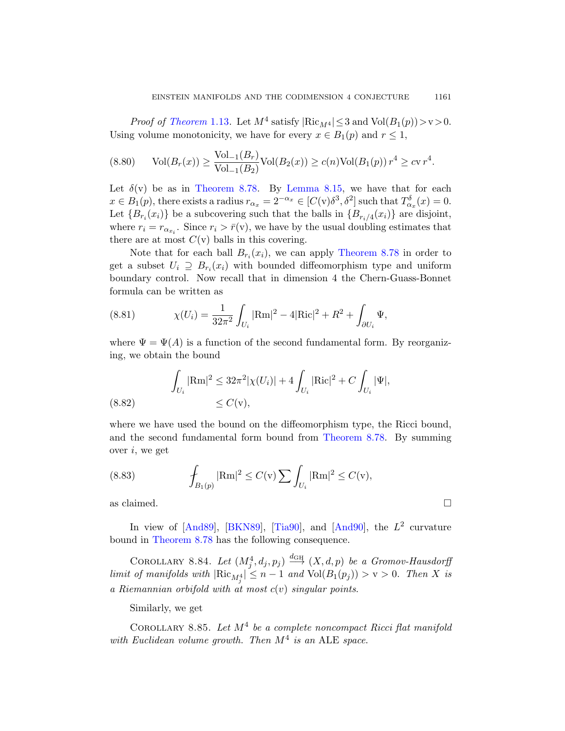*Proof of Theorem* 1.13. Let  $M^4$  satisfy  $|\text{Ric}_{M^4}| \leq 3$  and  $\text{Vol}(B_1(p)) > v > 0$ . Using volume monotonicity, we have for every  $x \in B_1(p)$  and  $r \leq 1$ ,

$$
(8.80) \quad \text{Vol}(B_r(x)) \ge \frac{\text{Vol}_{-1}(B_r)}{\text{Vol}_{-1}(B_2)} \text{Vol}(B_2(x)) \ge c(n) \text{Vol}(B_1(p)) r^4 \ge c v r^4.
$$

Let  $\delta(v)$  be as in Theorem 8.78. By Lemma 8.15, we have that for each  $x \in B_1(p)$ , there exists a radius  $r_{\alpha_x} = 2^{-\alpha_x} \in [C(v)\delta^3, \delta^2]$  such that  $T_{\alpha_x}^{\delta}(x) = 0$ . Let  ${B_{r_i}(x_i)}$  be a subcovering such that the balls in  ${B_{r_i/4}(x_i)}$  are disjoint, where  $r_i = r_{\alpha_{x_i}}$ . Since  $r_i > \bar{r}(v)$ , we have by the usual doubling estimates that there are at most  $C(v)$  balls in this covering.

Note that for each ball  $B_{r_i}(x_i)$ , we can apply Theorem 8.78 in order to get a subset  $U_i \supseteq B_{r_i}(x_i)$  with bounded diffeomorphism type and uniform boundary control. Now recall that in dimension 4 the Chern-Guass-Bonnet formula can be written as

(8.81) 
$$
\chi(U_i) = \frac{1}{32\pi^2} \int_{U_i} |\text{Rm}|^2 - 4|\text{Ric}|^2 + R^2 + \int_{\partial U_i} \Psi,
$$

where  $\Psi = \Psi(A)$  is a function of the second fundamental form. By reorganizing, we obtain the bound

(8.82) 
$$
\int_{U_i} |\text{Rm}|^2 \leq 32\pi^2 |\chi(U_i)| + 4 \int_{U_i} |\text{Ric}|^2 + C \int_{U_i} |\Psi|,
$$
  

$$
\leq C(v),
$$

where we have used the bound on the diffeomorphism type, the Ricci bound, and the seco[nd fund](#page-72-0)ament[al form](#page-70-0) bound from Theorem 8.78. By summing [o](#page-69-1)ver  $i$ [, we g](#page-70-3)et

(8.83) 
$$
\int_{B_1(p)} |\text{Rm}|^2 \le C(\text{v}) \sum \int_{U_i} |\text{Rm}|^2 \le C(\text{v}),
$$

as claimed.  $\Box$ 

In view of  $[And89], [BKNS9], [Tia90], and [And90], the L<sup>2</sup> curvature$ bound in Theorem 8.78 has the following consequence.

COROLLARY 8.84. Let  $(M_j^4, d_j, p_j) \stackrel{d_{GH}}{\longrightarrow} (X, d, p)$  be a Gromov-Hausdorff limit of manifolds with  $|\text{Ric}_{M_j^4}| \leq n-1$  and  $\text{Vol}(B_1(p_j)) > v > 0$ . Then X is a Riemannian orbifold with at most  $c(v)$  singular points.

Similarly, we get

COROLLARY 8.85. Let  $M^4$  be a complete noncompact Ricci flat manifold with Euclidean volume growth. Then  $M^4$  is an ALE space.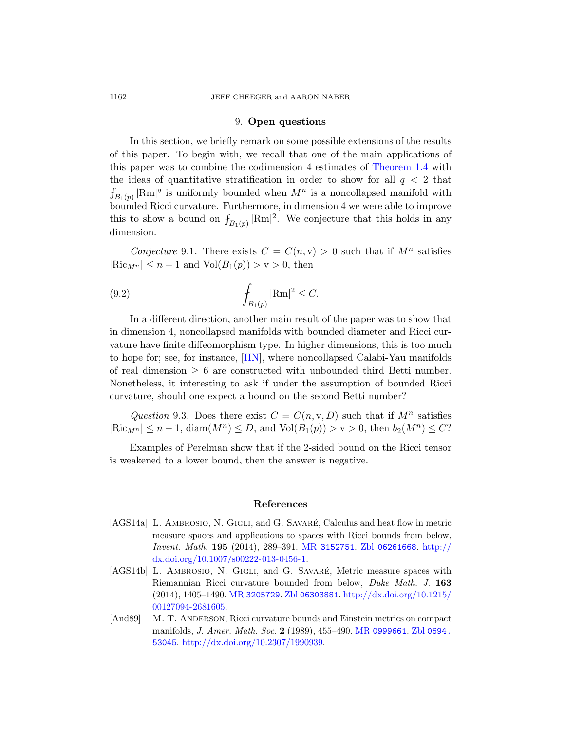## 9. Open questions

<span id="page-69-0"></span>In this section, we briefly remark on some possible extensions of the results of this paper. To begin with, we recall that one of the main applications of this paper was to combine the codimension 4 estimates of Theorem 1.4 with the ideas of quantitative stratification in order to show for all  $q < 2$  that  $f_{B_1(p)} |\text{Rm}|^q$  is uniformly bounded when  $M^n$  is a noncollapsed manifold with bounded Ricci curvature. Furthermore, in dimension 4 we were able to improve this to show a bound on  $f_{B_1(p)} |Rm|^2$ . We conjecture that this holds in any dimension.

Conjecture 9.1. There exists  $C = C(n, v) > 0$  such that if  $M<sup>n</sup>$  satisfies  $|\text{Ric}_{M^n}| \leq n-1$  and  $\text{Vol}(B_1(p)) > v > 0$ , then

(9.2) 
$$
\int_{B_1(p)} |\text{Rm}|^2 \leq C.
$$

In a different direction, another main result of the paper was to show that in dimension 4, noncollapsed manifolds with bounded diameter and Ricci curvature have finite diffeomorphism type. In higher dimensions, this is too much to hope for; see, for instance, [HN], where noncollapsed Calabi-Yau manifolds of real dimension  $\geq 6$  are constructed with unbounded third Betti number. Nonetheless, it interesting to ask if under the assumption of bounded Ricci curvature, should one expect a bound on the second Betti number?

Question 9.3. Does there exist  $C = C(n, v, D)$  such that if  $M<sup>n</sup>$  satisfies  $|\text{Ric}_{M^n}| \leq n-1$ ,  $\text{diam}(M^n) \leq D$ , and  $\text{Vol}(B_1(p)) > \text{v} > 0$ , then  $b_2(M^n) \leq C$ ?

Examples of Perelman show that if the 2-sided bound on the Ricci tensor is weakened to a lo[wer bound, th](http://www.ams.org/mathscinet-getitem?mr=3152751)[en the answer](http://www.zentralblatt-math.org/zmath/en/search/?q=an:06261668) [is negat](http://dx.doi.org/10.1007/s00222-013-0456-1)ive.

#### References

- <span id="page-69-1"></span>[\[AG](http://dx.doi.org/10.1215/00127094-2681605)S14a] L. AMBROSIO, N. GIGLI, and G. SAVARÉ, Calculus and heat flow in metric measure spaces and applications to spaces with Ricci bounds from below, Invent. Math. 195 (201[4\), 289–391.](http://www.ams.org/mathscinet-getitem?mr=0999661) MR [3152751](http://www.zentralblatt-math.org/zmath/en/search/?q=an:0694.53045). Zbl 06261668. http:// [dx.doi.org/10.100](http://dx.doi.org/10.2307/1990939)7/s00222-013-0456-1.
- [AGS14b] L. AMBROSIO, N. GIGLI, and G. SAVARÉ, Metric measure spaces with Riemannian Ricci curvature bounded from below, Duke Math. J. 163 (2014), 1405–1490. MR 3205729. Zbl 06303881. http://dx.doi.org/10.1215/ 00127094-2681605.
- [And89] M. T. ANDERSON, Ricci curvature bounds and Einstein metrics on compact manifolds, J. Amer. Math. Soc. 2 (1989), 455–490. MR 0999661. Zbl 0694. 53045. http://dx.doi.org/10.2307/1990939.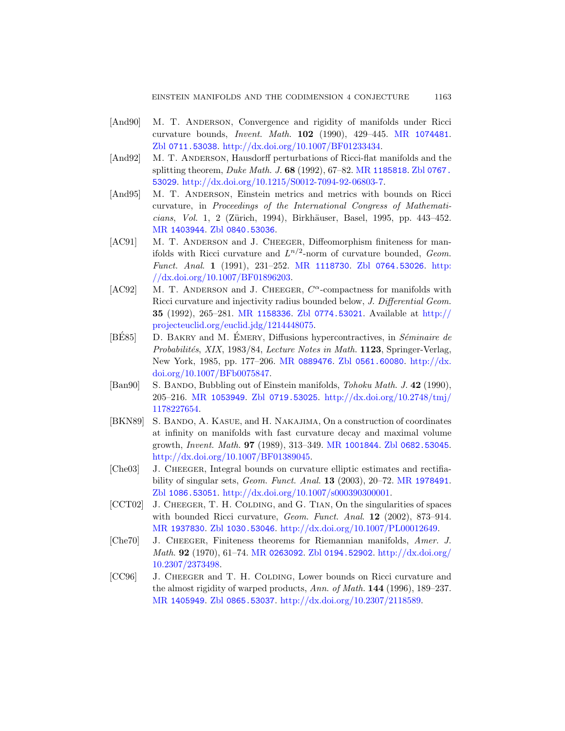- <span id="page-70-0"></span>[And90] M. T. ANDERSON, Convergence and rigidity of manifolds under Ricci curvature bounds, Invent. Math. 102 (1990), 429–445. MR 1074481. [Zbl](http://www.zentralblatt-math.org/zmath/en/search/?q=an:0840.53036) 0711.53038. http://dx.doi.org/10.1007/BF01233434.
- [And92] M. T. ANDERSON, Hausdorff perturbations of Ricci-flat manifolds and the splitting theorem, *Duke Math. J.*  $68$  (1992),  $67-82$ . MR 1185818. Zbl 0767. 53029. ht[tp://dx.doi.org](http://www.ams.org/mathscinet-getitem?mr=1118730)[/10.1215/S0012-70](http://www.zentralblatt-math.org/zmath/en/search/?q=an:0764.53026)[94-92-](http://dx.doi.org/10.1007/BF01896203)06803-7.
- <span id="page-70-2"></span>[\[And95\]](http://dx.doi.org/10.1007/BF01896203) M. T. ANDERSON, Einstein metrics and metrics with bounds on Ricci curvature, in Proceedings of the International Congress of Mathematicians, Vol. 1, 2 (Zürich, 1994), Birkhäuser, Basel, 1995, pp. 443-452. MR [1403](http://www.ams.org/mathscinet-getitem?mr=1158336)944. Zbl [0840.530](http://www.zentralblatt-math.org/zmath/en/search/?q=an:0774.53021)36.
- [AC91] M. T. ANDERSON and J. CHEEGER, Di[ffeomorp](http://projecteuclid.org/euclid.jdg/1214448075)hism finiteness for manifolds with Ricci curvature and  $L^{n/2}$ -norm of curvature bounded, Geom. Funct. Anal. 1 (1991), 231–252. MR 1118730. Zbl 0764.53026. http: //dx.[doi.org/10.100](http://www.ams.org/mathscinet-getitem?mr=0889476)[7/BF01896203.](http://www.zentralblatt-math.org/zmath/en/search/?q=an:0561.60080)
- [\[AC92\]](http://dx.doi.org/10.1007/BFb0075847) M. T. ANDERSON and J. CHEEGER,  $C^{\alpha}$ [-compac](http://dx.doi.org/10.1007/BFb0075847)tness for manifolds with Ricci curvature and injectivity radius bounded below, J. Differential Geom. 35 [\(1992\), 265–](http://www.zentralblatt-math.org/zmath/en/search/?q=an:0719.53025)281. MR 1158336. Zbl [0774.530](http://dx.doi.org/10.2748/tmj/1178227654)21. Available at http:// projecteuclid.org/euclid.jdg/1214448075.
- <span id="page-70-3"></span>[BE85]  $\Box$  D. BAKRY and M. EMERY, Diffusions hypercontractives, in Séminaire de Probabilités, XIX, 1983/84, Lecture Notes in Math. 1123, Springer-Verlag, New York, 1985, [pp. 177–206.](http://www.ams.org/mathscinet-getitem?mr=1001844) MR [0889476](http://www.zentralblatt-math.org/zmath/en/search/?q=an:0682.53045). Zbl 0561.60080. http://dx. [doi.org/10.100](http://dx.doi.org/10.1007/BF01389045)7/BFb0075847.
- [Ban90] S. BANDO, Bubbling out of Einstein manifolds, *Tohoku Math. J.* 42 (1990), 205–216. MR 1053949. Zbl 0719.[53025](http://www.ams.org/mathscinet-getitem?mr=1978491). http://dx.doi.org/10.2748/tmj/ [1178227654.](http://dx.doi.org/10.1007/s000390300001)
- [\[B](http://www.zentralblatt-math.org/zmath/en/search/?q=an:1086.53051)KN89] S. BANDO, A. KASUE, and H. NAKAJIMA, On a construction of coordinates at infinity on manifolds with fast curvature decay and maximal volume [growt](http://www.zentralblatt-math.org/zmath/en/search/?q=an:1030.53046)h, Invent. Math. 97 [\(1989\), 313–349.](http://dx.doi.org/10.1007/PL00012649) MR 1001844. Zbl 0682.53045. http://dx.doi.org/10.1007/BF01389045.
- [Che03] J. CHEEGER[, Integral bounds](http://www.zentralblatt-math.org/zmath/en/search/?q=an:0194.52902) [on curvature ellipt](http://dx.doi.org/10.2307/2373498)ic estimates and rectifiability of singular sets, Geom. Funct. Anal. 13 (2003), 20–72. MR 1978491. Zbl 1086.53051. http://dx.doi.org/10.1007/s000390300001.
- <span id="page-70-1"></span>[CCT02] J. CHEEGER, T. H. COLDING, and G. TIAN, On the singularities of spaces [with](http://www.zentralblatt-math.org/zmath/en/search/?q=an:0865.53037) [bounded Ricci curvature,](http://dx.doi.org/10.2307/2118589) Geom. Funct. Anal. 12 (2002), 873-914. MR 1937830. Zbl 1030.53046. http://dx.doi.org/10.1007/PL00012649.
- [Che70] J. CHEEGER, Finiteness theorems for Riemannian manifolds, Amer. J. Math. 92 (1970), 61–74. MR 0263092. Zbl 0194.52902. http://dx.doi.org/ 10.2307/2373498.
- [CC96] J. CHEEGER and T. H. COLDING, Lower bounds on Ricci curvature and the almost rigidity of warped products, Ann. of Math. 144 (1996), 189–237. MR 1405949. Zbl 0865.53037. http://dx.doi.org/10.2307/2118589.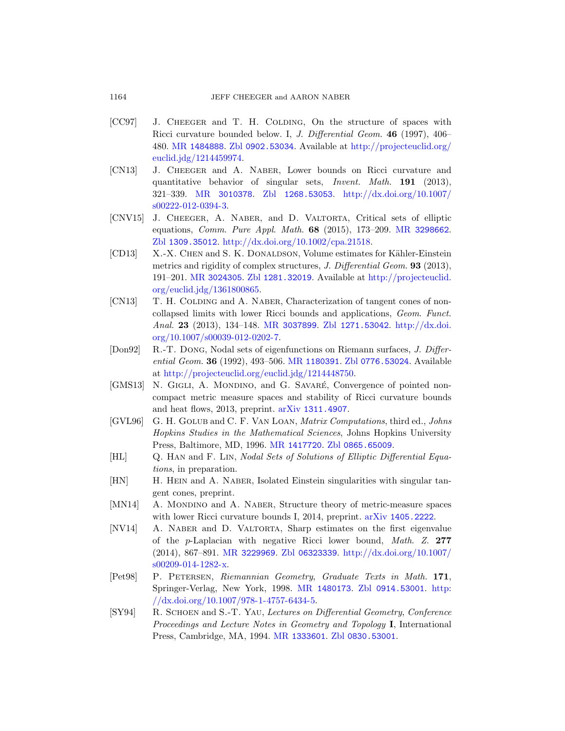- <span id="page-71-1"></span><span id="page-71-0"></span>[\[CC](http://dx.doi.org/10.1007/s00222-012-0394-3)[97\]](http://www.ams.org/mathscinet-getitem?mr=3010378) J. CHEEGER and T. H. COLDING, On the structure of spaces with Ricci curvature bounded below. I, J. Differential Geom. 46 (1997), 406– 480. MR 1484888. Zbl 0902.53034[. Available at](http://www.ams.org/mathscinet-getitem?mr=3298662) http://projecteuclid.org/ [euclid.jdg/1214459974.](http://dx.doi.org/10.1002/cpa.21518)
- [\[C](http://www.zentralblatt-math.org/zmath/en/search/?q=an:1309.35012)N13] J. Cheeger and A. Naber, Lower bounds on Ricci curvature and quantitative behavior of singular sets, Invent. Math. 191 (2013), [321–339.](http://www.zentralblatt-math.org/zmath/en/search/?q=an:1281.32019) MR 3010378. Zbl [1268.53053](http://projecteuclid.org/euclid.jdg/1361800865). http://dx.doi.org/10.1007/ s00222-012-0394-3.
- [\[CNV15\]](http://projecteuclid.org/euclid.jdg/1361800865) J. CHEEGER, A. NABER, and D. VALTORTA, Critical sets of elliptic equations, Comm. Pure Appl. Math. 68 (2015), 173–209. MR 3298662. Zbl [1309.35012](http://www.ams.org/mathscinet-getitem?mr=3037899). [http://dx.doi.org](http://www.zentralblatt-math.org/zmath/en/search/?q=an:1271.53042)[/10.1002/cpa.2](http://dx.doi.org/10.1007/s00039-012-0202-7)1518.
- [\[CD13\]](http://dx.doi.org/10.1007/s00039-012-0202-7) X.-X. CHEN and S. K. DONALDSON, Volume estimates for Kähler-Einstein metrics and rigidity of complex structures, J. Differential Geom. **93** (2013), 191–201. MR [3024305](http://www.ams.org/mathscinet-getitem?mr=1180391). Zbl [1281.32019](http://www.zentralblatt-math.org/zmath/en/search/?q=an:0776.53024). Available at http://projecteuclid. [org/euclid.jdg/136180086](http://projecteuclid.org/euclid.jdg/1214448750)5.
- [CN13] T. H. COLDING and A. NABER, Characterization of tangent cones of noncollapsed limits with lower Ricci bounds and applications, Geom. Funct. Anal. 23 [\(2013\), 134–1](http://www.arxiv.org/abs/1311.4907)48. MR 3037899. Zbl 1271.53042. http://dx.doi. org/10.1007/s00039-012-0202-7.
- [Don92] R.-T. Dong, Nodal sets of eigenfunctions on Riemann surfaces, J. Different[ial Geom](http://www.ams.org/mathscinet-getitem?mr=1417720). 36 ([1992\), 493–506.](http://www.zentralblatt-math.org/zmath/en/search/?q=an:0865.65009) MR 1180391. Zbl 0776.53024. Available at http://projecteuclid.org/euclid.jdg/1214448750.
- [GMS13] N. GIGLI, A. MONDINO, and G. SAVARÉ, Convergence of pointed noncompact metric measure spaces and stability of Ricci curvature bounds and heat flows, 2013, preprint. arXiv 1311.4907.
- [GVL96] G. H. Golub and C. F. Van Loan, Matrix Computations, third ed., Johns Hopkins Studies in the M[athematical Science](http://www.arxiv.org/abs/1405.2222)s, Johns Hopkins University Press, Baltimore, MD, 1996. MR 1417720. Zbl 0865.65009.
- [HL] Q. Han and F. Lin, Nodal Sets of Solutions of Elliptic Differential Equa[tions](http://www.ams.org/mathscinet-getitem?mr=3229969), [in preparation.](http://www.zentralblatt-math.org/zmath/en/search/?q=an:06323339)
- <span id="page-71-2"></span>[\[HN\]](http://dx.doi.org/10.1007/s00209-014-1282-x) H. HEIN and A. NABER[, Isolated Einstein singul](http://dx.doi.org/10.1007/s00209-014-1282-x)arities with singular tangent cones, preprint.
- [MN14] A. MONDINO and A. NABER[, Structure t](http://www.zentralblatt-math.org/zmath/en/search/?q=an:0914.53001)[heory o](http://dx.doi.org/10.1007/978-1-4757-6434-5)f metric-measure spaces [with lower Ricc](http://dx.doi.org/10.1007/978-1-4757-6434-5)[i curvatur](http://www.ams.org/mathscinet-getitem?mr=1480173)e bounds I, 2014, preprint. arXiv 1405.2222.
- [NV14] A. Naber and D. Valtorta, Sharp estimates on the first eigenvalue of the p-Laplacian with negative Ricci lower bound, Math. Z. 277 (201[4\), 867–891.](http://www.ams.org/mathscinet-getitem?mr=1333601) MR [3229969](http://www.zentralblatt-math.org/zmath/en/search/?q=an:0830.53001). Zbl 06323339. http://dx.doi.org/10.1007/ s00209-014-1282-x.
- [Pet98] P. Petersen, Riemannian Geometry, Graduate Texts in Math. 171, Springer-Verlag, New York, 1998. MR 1480173. Zbl 0914.53001. http: //dx.doi.org/10.1007/978-1-4757-6434-5.
- [SY94] R. Schoen and S.-T. Yau, Lectures on Differential Geometry, Conference Proceedings and Lecture Notes in Geometry and Topology I, International Press, Cambridge, MA, 1994. MR 1333601. Zbl 0830.53001.